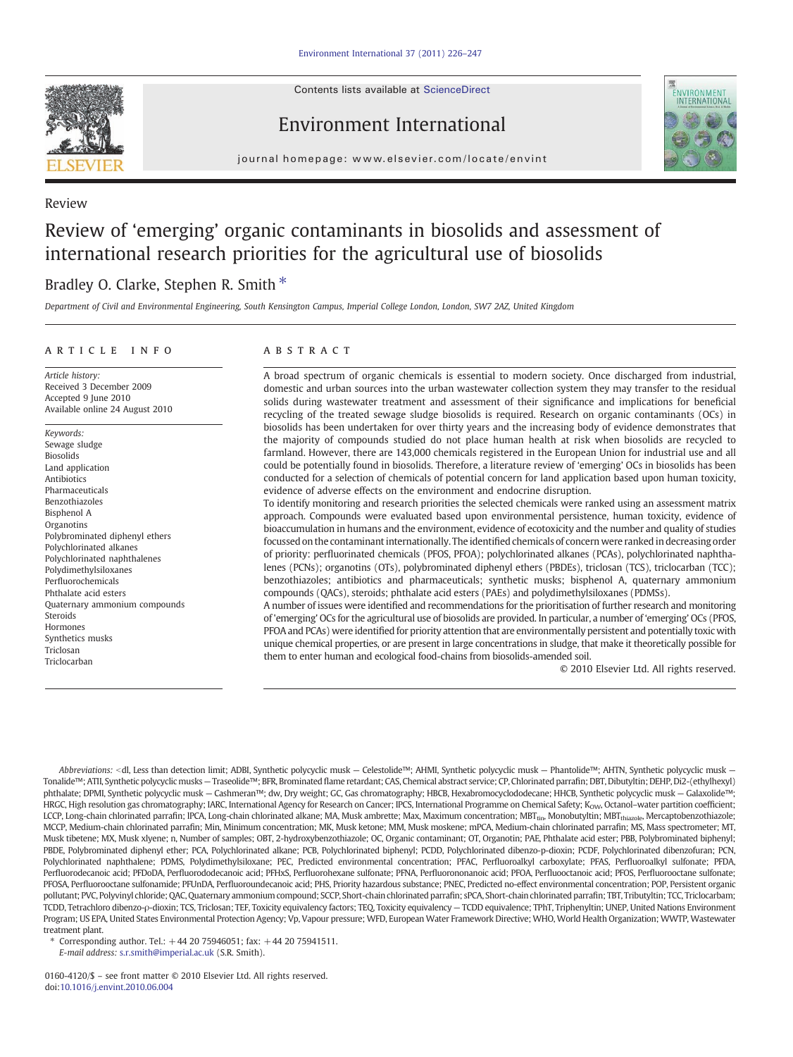Contents lists available at ScienceDirect



Environment International



 $j$  o u r n a l  $h$  on  $\mathcal{C}$  is even if the component  $\mathcal{C}$  and  $\mathcal{C}$  are  $\mathcal{C}$  and  $\mathcal{C}$  are  $\mathcal{C}$  and  $\mathcal{C}$  are  $\mathcal{C}$  and  $\mathcal{C}$  are  $\mathcal{C}$  are  $\mathcal{C}$  and  $\mathcal{C}$  are  $\mathcal{C}$  are  $\mathcal{C}$ 

Review

# Review of 'emerging' organic contaminants in biosolids and assessment of international research priorities for the agricultural use of biosolids

## Bradley O. Clarke, Stephen R. Smith  $*$

Department of Civil and Environmental Engineering, South Kensington Campus, Imperial College London, London, SW7 2AZ, United Kingdom

#### article info abstract

Article history: Received 3 December 2009 Accepted 9 June 2010 Available online 24 August 2010

Keywords: Sewage sludge Biosolids Land application Antibiotics Pharmaceuticals Benzothiazoles Bisphenol A **Organotins** Polybrominated diphenyl ethers Polychlorinated alkanes Polychlorinated naphthalenes Polydimethylsiloxanes Perfluorochemicals Phthalate acid esters Quaternary ammonium compounds Steroids Hormones Synthetics musks Triclosan Triclocarban

A broad spectrum of organic chemicals is essential to modern society. Once discharged from industrial, domestic and urban sources into the urban wastewater collection system they may transfer to the residual solids during wastewater treatment and assessment of their significance and implications for beneficial recycling of the treated sewage sludge biosolids is required. Research on organic contaminants (OCs) in biosolids has been undertaken for over thirty years and the increasing body of evidence demonstrates that the majority of compounds studied do not place human health at risk when biosolids are recycled to farmland. However, there are 143,000 chemicals registered in the European Union for industrial use and all could be potentially found in biosolids. Therefore, a literature review of 'emerging' OCs in biosolids has been conducted for a selection of chemicals of potential concern for land application based upon human toxicity, evidence of adverse effects on the environment and endocrine disruption.

To identify monitoring and research priorities the selected chemicals were ranked using an assessment matrix approach. Compounds were evaluated based upon environmental persistence, human toxicity, evidence of bioaccumulation in humans and the environment, evidence of ecotoxicity and the number and quality of studies focussed on the contaminant internationally. The identified chemicals of concern were ranked in decreasing order of priority: perfluorinated chemicals (PFOS, PFOA); polychlorinated alkanes (PCAs), polychlorinated naphthalenes (PCNs); organotins (OTs), polybrominated diphenyl ethers (PBDEs), triclosan (TCS), triclocarban (TCC); benzothiazoles; antibiotics and pharmaceuticals; synthetic musks; bisphenol A, quaternary ammonium compounds (QACs), steroids; phthalate acid esters (PAEs) and polydimethylsiloxanes (PDMSs).

A number of issues were identified and recommendations for the prioritisation of further research and monitoring of 'emerging' OCs for the agricultural use of biosolids are provided. In particular, a number of 'emerging' OCs (PFOS, PFOA and PCAs) were identified for priority attention that are environmentally persistent and potentially toxic with unique chemical properties, or are present in large concentrations in sludge, that make it theoretically possible for them to enter human and ecological food-chains from biosolids-amended soil.

© 2010 Elsevier Ltd. All rights reserved.

Abbreviations: <dl, Less than detection limit; ADBI, Synthetic polycyclic musk — Celestolide™; AHMI, Synthetic polycyclic musk — Phantolide™; AHTN, Synthetic polycyclic musk — Tonalide™; ATII, Synthetic polycyclic musks - Traseolide™; BFR, Brominated flame retardant; CAS, Chemical abstract service; CP, Chlorinated parrafin; DBT, Dibutyltin; DEHP, Di2-(ethylhexyl) phthalate; DPMI, Synthetic polycyclic musk – Cashmeran™; dw, Dry weight; GC, Gas chromatography; HBCB, Hexabromocyclododecane; HHCB, Synthetic polycyclic musk – Galaxolide™; HRGC, High resolution gas chromatography; IARC, International Agency for Research on Cancer; IPCS, International Programme on Chemical Safety; K<sub>OW</sub>, Octanol-water partition coefficient; LCCP, Long-chain chlorinated parrafin; IPCA, Long-chain chlorinated alkane; MA, Musk ambrette; Max, Maximum concentration; MBTtin, Monobutyltin; MBTthiazole, Mercaptobenzothiazole; MCCP, Medium-chain chlorinated parrafin; Min, Minimum concentration; MK, Musk ketone; MM, Musk moskene; mPCA, Medium-chain chlorinated parrafin; MS, Mass spectrometer; MT, Musk tibetene; MX, Musk xlyene; n, Number of samples; OBT, 2-hydroxybenzothiazole; OC, Organic contaminant; OT, Organotin; PAE, Phthalate acid ester; PBB, Polybrominated biphenyl; PBDE, Polybrominated diphenyl ether; PCA, Polychlorinated alkane; PCB, Polychlorinated biphenyl; PCDD, Polychlorinated dibenzo-p-dioxin; PCDF, Polychlorinated dibenzofuran; PCN, Polychlorinated naphthalene; PDMS, Polydimethylsiloxane; PEC, Predicted environmental concentration; PFAC, Perfluoroalkyl carboxylate; PFAS, Perfluoroalkyl sulfonate; PFDA, Perfluorodecanoic acid; PFDoDA, Perfluorododecanoic acid; PFHxS, Perfluorohexane sulfonate; PFNA, Perfluorononanoic acid; PFOA, Perfluooctanoic acid; PFOS, Perfluorooctane sulfonate; PFOSA, Perfluorooctane sulfonamide; PFUnDA, Perfluoroundecanoic acid; PHS, Priority hazardous substance; PNEC, Predicted no-effect environmental concentration; POP, Persistent organic pollutant; PVC, Polyvinyl chloride; QAC, Quaternary ammonium compound; SCCP, Short-chain chlorinated parrafin; sPCA, Short-chain chlorinated parrafin; TBT, Tributyltin; TCC, Triclocarbam; TCDD, Tetrachloro dibenzo-p-dioxin; TCS, Triclosan; TEF, Toxicity equivalency factors; TEQ, Toxicity equivalency — TCDD equivalence; TPhT, Triphenyltin; UNEP, United Nations Environment Program; US EPA, United States Environmental Protection Agency; Vp, Vapour pressure; WFD, European Water Framework Directive; WHO, World Health Organization; WWTP, Wastewater treatment plant.

⁎ Corresponding author. Tel.: +44 20 75946051; fax: +44 20 75941511.

E-mail address: [s.r.smith@imperial.ac.uk](mailto:s.r.smith@imperial.ac.uk) (S.R. Smith).

0160-4120/\$ – see front matter © 2010 Elsevier Ltd. All rights reserved. doi[:10.1016/j.envint.2010.06.004](http://dx.doi.org/10.1016/j.envint.2010.06.004)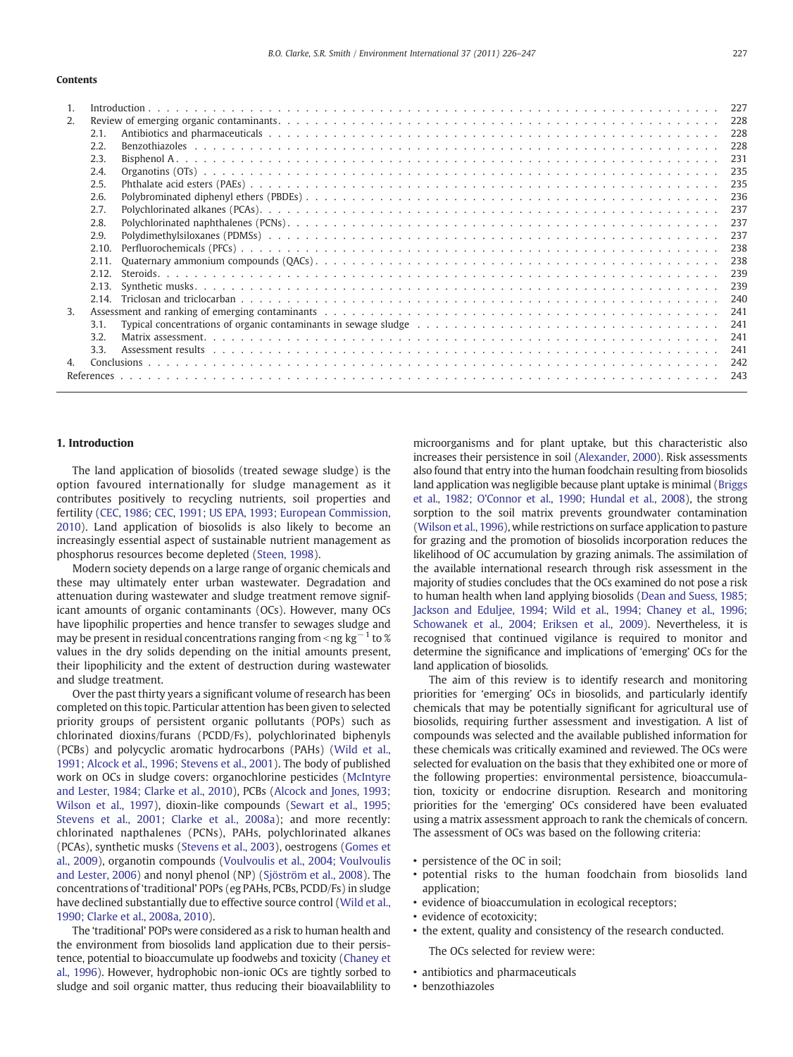| $\mathbf{1}$ . | Introduction. |     |
|----------------|---------------|-----|
| 2.             |               |     |
|                | 2.1.          |     |
|                | 2.2.          | 228 |
|                |               |     |
|                | 2.3.          | 231 |
|                | 2.4.          | 235 |
|                | 2.5.          |     |
|                | 2.6.          | 236 |
|                | 2.7.          |     |
|                | 2.8.          |     |
|                | 2.9.          | 237 |
|                | 2.10.         | 238 |
|                | 2.11.         | 238 |
|                | 2.12.         | 239 |
|                | 2.13.         | 239 |
|                | 2.14.         | 240 |
| 3 <sub>1</sub> |               |     |
|                | 3.1.          |     |
|                | 3.2.          | 241 |
|                | 3.3.          |     |
| 4 <sup>1</sup> |               |     |
|                |               | 243 |
|                |               |     |

#### 1. Introduction

The land application of biosolids (treated sewage sludge) is the option favoured internationally for sludge management as it contributes positively to recycling nutrients, soil properties and fertility [\(CEC, 1986; CEC, 1991; US EPA, 1993; European Commission,](#page-17-0) [2010\)](#page-17-0). Land application of biosolids is also likely to become an increasingly essential aspect of sustainable nutrient management as phosphorus resources become depleted [\(Steen, 1998\)](#page-20-0).

Modern society depends on a large range of organic chemicals and these may ultimately enter urban wastewater. Degradation and attenuation during wastewater and sludge treatment remove significant amounts of organic contaminants (OCs). However, many OCs have lipophilic properties and hence transfer to sewages sludge and may be present in residual concentrations ranging from  $\langle$ ng kg<sup>−1</sup> to % values in the dry solids depending on the initial amounts present, their lipophilicity and the extent of destruction during wastewater and sludge treatment.

Over the past thirty years a significant volume of research has been completed on this topic. Particular attention has been given to selected priority groups of persistent organic pollutants (POPs) such as chlorinated dioxins/furans (PCDD/Fs), polychlorinated biphenyls (PCBs) and polycyclic aromatic hydrocarbons (PAHs) [\(Wild et al.,](#page-21-0) [1991; Alcock et al., 1996; Stevens et al., 2001\)](#page-21-0). The body of published work on OCs in sludge covers: organochlorine pesticides ([McIntyre](#page-19-0) [and Lester, 1984; Clarke et al., 2010\)](#page-19-0), PCBs [\(Alcock and Jones, 1993;](#page-17-0) [Wilson et al., 1997\)](#page-17-0), dioxin-like compounds [\(Sewart et al., 1995;](#page-20-0) [Stevens et al., 2001; Clarke et al., 2008a\)](#page-20-0); and more recently: chlorinated napthalenes (PCNs), PAHs, polychlorinated alkanes (PCAs), synthetic musks [\(Stevens et al., 2003](#page-20-0)), oestrogens [\(Gomes et](#page-18-0) [al., 2009](#page-18-0)), organotin compounds [\(Voulvoulis et al., 2004; Voulvoulis](#page-21-0) [and Lester, 2006\)](#page-21-0) and nonyl phenol (NP) [\(Sjöström et al., 2008\)](#page-20-0). The concentrations of 'traditional' POPs (eg PAHs, PCBs, PCDD/Fs) in sludge have declined substantially due to effective source control [\(Wild et al.,](#page-21-0) [1990; Clarke et al., 2008a, 2010](#page-21-0)).

The 'traditional' POPs were considered as a risk to human health and the environment from biosolids land application due to their persistence, potential to bioaccumulate up foodwebs and toxicity [\(Chaney et](#page-17-0) [al., 1996\)](#page-17-0). However, hydrophobic non-ionic OCs are tightly sorbed to sludge and soil organic matter, thus reducing their bioavailablility to microorganisms and for plant uptake, but this characteristic also increases their persistence in soil ([Alexander, 2000](#page-17-0)). Risk assessments also found that entry into the human foodchain resulting from biosolids land application was negligible because plant uptake is minimal ([Briggs](#page-17-0) [et al., 1982; O'Connor et al., 1990; Hundal et al., 2008\)](#page-17-0), the strong sorption to the soil matrix prevents groundwater contamination [\(Wilson et al., 1996](#page-21-0)), while restrictions on surface application to pasture for grazing and the promotion of biosolids incorporation reduces the likelihood of OC accumulation by grazing animals. The assimilation of the available international research through risk assessment in the majority of studies concludes that the OCs examined do not pose a risk to human health when land applying biosolids ([Dean and Suess, 1985;](#page-18-0) [Jackson and Eduljee, 1994; Wild et al., 1994; Chaney et al., 1996;](#page-18-0) [Schowanek et al., 2004; Eriksen et al., 2009](#page-18-0)). Nevertheless, it is recognised that continued vigilance is required to monitor and determine the significance and implications of 'emerging' OCs for the land application of biosolids.

The aim of this review is to identify research and monitoring priorities for 'emerging' OCs in biosolids, and particularly identify chemicals that may be potentially significant for agricultural use of biosolids, requiring further assessment and investigation. A list of compounds was selected and the available published information for these chemicals was critically examined and reviewed. The OCs were selected for evaluation on the basis that they exhibited one or more of the following properties: environmental persistence, bioaccumulation, toxicity or endocrine disruption. Research and monitoring priorities for the 'emerging' OCs considered have been evaluated using a matrix assessment approach to rank the chemicals of concern. The assessment of OCs was based on the following criteria:

- persistence of the OC in soil;
- potential risks to the human foodchain from biosolids land application;
- evidence of bioaccumulation in ecological receptors;
- evidence of ecotoxicity;
- the extent, quality and consistency of the research conducted.

The OCs selected for review were:

- antibiotics and pharmaceuticals
- benzothiazoles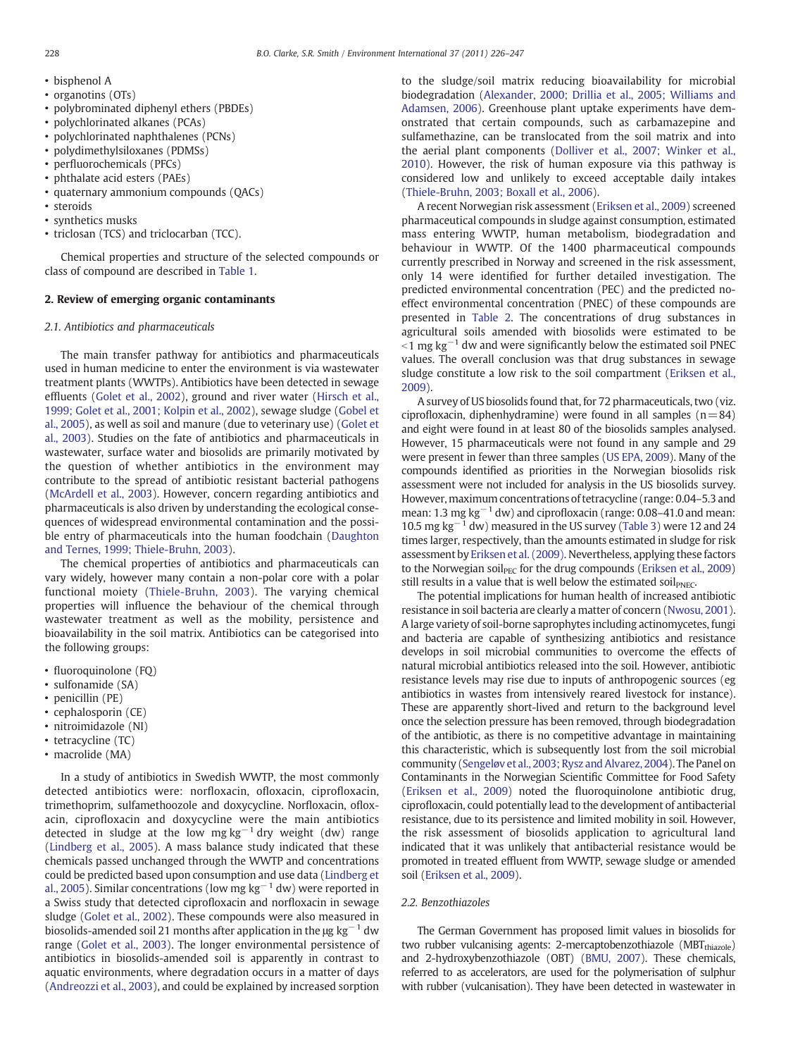- bisphenol A
- organotins (OTs)
- polybrominated diphenyl ethers (PBDEs)
- polychlorinated alkanes (PCAs)
- polychlorinated naphthalenes (PCNs)
- polydimethylsiloxanes (PDMSs)
- perfluorochemicals (PFCs)
- phthalate acid esters (PAEs)
- quaternary ammonium compounds (QACs)
- steroids
- synthetics musks
- triclosan (TCS) and triclocarban (TCC).

Chemical properties and structure of the selected compounds or class of compound are described in [Table 1](#page-3-0).

#### 2. Review of emerging organic contaminants

#### 2.1. Antibiotics and pharmaceuticals

The main transfer pathway for antibiotics and pharmaceuticals used in human medicine to enter the environment is via wastewater treatment plants (WWTPs). Antibiotics have been detected in sewage effluents ([Golet et al., 2002\)](#page-18-0), ground and river water [\(Hirsch et al.,](#page-19-0) [1999; Golet et al., 2001; Kolpin et al., 2002\)](#page-19-0), sewage sludge ([Gobel et](#page-18-0) [al., 2005\)](#page-18-0), as well as soil and manure (due to veterinary use) [\(Golet et](#page-18-0) [al., 2003](#page-18-0)). Studies on the fate of antibiotics and pharmaceuticals in wastewater, surface water and biosolids are primarily motivated by the question of whether antibiotics in the environment may contribute to the spread of antibiotic resistant bacterial pathogens [\(McArdell et al., 2003](#page-19-0)). However, concern regarding antibiotics and pharmaceuticals is also driven by understanding the ecological consequences of widespread environmental contamination and the possible entry of pharmaceuticals into the human foodchain [\(Daughton](#page-17-0) [and Ternes, 1999; Thiele-Bruhn, 2003](#page-17-0)).

The chemical properties of antibiotics and pharmaceuticals can vary widely, however many contain a non-polar core with a polar functional moiety [\(Thiele-Bruhn, 2003\)](#page-20-0). The varying chemical properties will influence the behaviour of the chemical through wastewater treatment as well as the mobility, persistence and bioavailability in the soil matrix. Antibiotics can be categorised into the following groups:

- fluoroquinolone (FQ)
- sulfonamide (SA)
- penicillin (PE)
- cephalosporin (CE)
- nitroimidazole (NI)
- tetracycline (TC)
- macrolide (MA)

In a study of antibiotics in Swedish WWTP, the most commonly detected antibiotics were: norfloxacin, ofloxacin, ciprofloxacin, trimethoprim, sulfamethoozole and doxycycline. Norfloxacin, ofloxacin, ciprofloxacin and doxycycline were the main antibiotics detected in sludge at the low mg  $kg^{-1}$  dry weight (dw) range [\(Lindberg et al., 2005](#page-19-0)). A mass balance study indicated that these chemicals passed unchanged through the WWTP and concentrations could be predicted based upon consumption and use data [\(Lindberg et](#page-19-0) [al., 2005\)](#page-19-0). Similar concentrations (low mg kg<sup>-1</sup> dw) were reported in a Swiss study that detected ciprofloxacin and norfloxacin in sewage sludge [\(Golet et al., 2002\)](#page-18-0). These compounds were also measured in biosolids-amended soil 21 months after application in the  $\mu$ g kg<sup>-1</sup> dw range [\(Golet et al., 2003](#page-18-0)). The longer environmental persistence of antibiotics in biosolids-amended soil is apparently in contrast to aquatic environments, where degradation occurs in a matter of days [\(Andreozzi et al., 2003\)](#page-17-0), and could be explained by increased sorption

to the sludge/soil matrix reducing bioavailability for microbial biodegradation ([Alexander, 2000; Drillia et al., 2005; Williams and](#page-17-0) [Adamsen, 2006\)](#page-17-0). Greenhouse plant uptake experiments have demonstrated that certain compounds, such as carbamazepine and sulfamethazine, can be translocated from the soil matrix and into the aerial plant components [\(Dolliver et al., 2007; Winker et al.,](#page-18-0) [2010\)](#page-18-0). However, the risk of human exposure via this pathway is considered low and unlikely to exceed acceptable daily intakes [\(Thiele-Bruhn, 2003; Boxall et al., 2006](#page-20-0)).

A recent Norwegian risk assessment [\(Eriksen et al., 2009](#page-18-0)) screened pharmaceutical compounds in sludge against consumption, estimated mass entering WWTP, human metabolism, biodegradation and behaviour in WWTP. Of the 1400 pharmaceutical compounds currently prescribed in Norway and screened in the risk assessment, only 14 were identified for further detailed investigation. The predicted environmental concentration (PEC) and the predicted noeffect environmental concentration (PNEC) of these compounds are presented in [Table 2.](#page-5-0) The concentrations of drug substances in agricultural soils amended with biosolids were estimated to be  $1$  mg kg<sup>-1</sup> dw and were significantly below the estimated soil PNEC values. The overall conclusion was that drug substances in sewage sludge constitute a low risk to the soil compartment [\(Eriksen et al.,](#page-18-0) [2009\)](#page-18-0).

A survey of US biosolids found that, for 72 pharmaceuticals, two (viz. ciprofloxacin, diphenhydramine) were found in all samples  $(n=84)$ and eight were found in at least 80 of the biosolids samples analysed. However, 15 pharmaceuticals were not found in any sample and 29 were present in fewer than three samples ([US EPA, 2009\)](#page-21-0). Many of the compounds identified as priorities in the Norwegian biosolids risk assessment were not included for analysis in the US biosolids survey. However, maximum concentrations of tetracycline (range: 0.04–5.3 and mean: 1.3 mg  $kg^{-1}$  dw) and ciprofloxacin (range: 0.08–41.0 and mean: 10.5 mg kg $^{-1}$  dw) measured in the US survey [\(Table 3](#page-6-0)) were 12 and 24 times larger, respectively, than the amounts estimated in sludge for risk assessment by [Eriksen et al. \(2009\).](#page-18-0) Nevertheless, applying these factors to the Norwegian soil $_{PEC}$  for the drug compounds [\(Eriksen et al., 2009](#page-18-0)) still results in a value that is well below the estimated soil $_{\text{PNEC}}$ .

The potential implications for human health of increased antibiotic resistance in soil bacteria are clearly a matter of concern ([Nwosu, 2001\)](#page-19-0). A large variety of soil-borne saprophytes including actinomycetes, fungi and bacteria are capable of synthesizing antibiotics and resistance develops in soil microbial communities to overcome the effects of natural microbial antibiotics released into the soil. However, antibiotic resistance levels may rise due to inputs of anthropogenic sources (eg antibiotics in wastes from intensively reared livestock for instance). These are apparently short-lived and return to the background level once the selection pressure has been removed, through biodegradation of the antibiotic, as there is no competitive advantage in maintaining this characteristic, which is subsequently lost from the soil microbial community ([Sengeløv et al., 2003; Rysz and Alvarez, 2004\)](#page-20-0). The Panel on Contaminants in the Norwegian Scientific Committee for Food Safety [\(Eriksen et al., 2009](#page-18-0)) noted the fluoroquinolone antibiotic drug, ciprofloxacin, could potentially lead to the development of antibacterial resistance, due to its persistence and limited mobility in soil. However, the risk assessment of biosolids application to agricultural land indicated that it was unlikely that antibacterial resistance would be promoted in treated effluent from WWTP, sewage sludge or amended soil ([Eriksen et al., 2009\)](#page-18-0).

#### 2.2. Benzothiazoles

The German Government has proposed limit values in biosolids for two rubber vulcanising agents: 2-mercaptobenzothiazole  $(MBT<sub>thiazole</sub>)$ and 2-hydroxybenzothiazole (OBT) ([BMU, 2007](http://www.bmu.de/files/pdfs/allgemein/application/pdf/novellierung_klaerschlammverordnung.pdf)). These chemicals, referred to as accelerators, are used for the polymerisation of sulphur with rubber (vulcanisation). They have been detected in wastewater in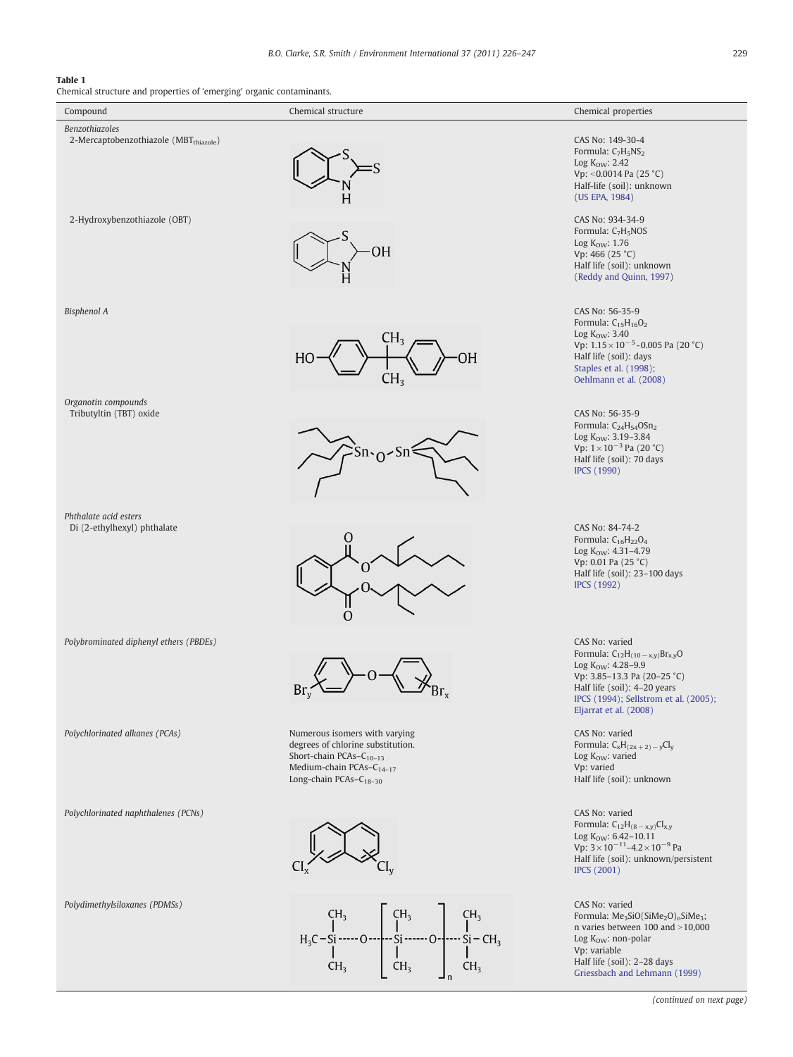#### <span id="page-3-0"></span>Table 1

Chemical structure and properties of 'emerging' organic contaminants.

| Compound                                                             | Chemical structure                                                                                                                                                    | Chemical properties                                                                                                                                                                                                   |
|----------------------------------------------------------------------|-----------------------------------------------------------------------------------------------------------------------------------------------------------------------|-----------------------------------------------------------------------------------------------------------------------------------------------------------------------------------------------------------------------|
| Benzothiazoles<br>2-Mercaptobenzothiazole (MBT <sub>thiazole</sub> ) |                                                                                                                                                                       | CAS No: 149-30-4<br>Formula: $C_7H_5NS_2$<br>Log $K_{OW}$ : 2.42<br>Vp: $< 0.0014$ Pa (25 °C)<br>Half-life (soil): unknown<br>(US EPA, 1984)                                                                          |
| 2-Hydroxybenzothiazole (OBT)                                         | ΟH                                                                                                                                                                    | CAS No: 934-34-9<br>Formula: $C_7H_5NOS$<br>Log $K_{\text{OW}}$ : 1.76<br>Vp: 466 (25 °C)<br>Half life (soil): unknown<br>(Reddy and Quinn, 1997)                                                                     |
| <b>Bisphenol A</b>                                                   | CH <sub>3</sub><br><b>OH</b><br>HO<br>CH <sub>3</sub>                                                                                                                 | CAS No: 56-35-9<br>Formula: $C_{15}H_{16}O_2$<br>Log $K_{\text{OW}}$ : 3.40<br>Vp: $1.15 \times 10^{-5}$ - 0.005 Pa (20 °C)<br>Half life (soil): days<br>Staples et al. (1998);<br>Oehlmann et al. (2008)             |
| Organotin compounds<br>Tributyltin (TBT) oxide                       | sn <sub>`O</sub> ~Sn                                                                                                                                                  | CAS No: 56-35-9<br>Formula: $C_{24}H_{54}OSn_2$<br>Log $K_{OW}$ : 3.19-3.84<br>Vp: $1 \times 10^{-3}$ Pa (20 °C)<br>Half life (soil): 70 days<br><b>IPCS (1990)</b>                                                   |
| Phthalate acid esters<br>Di (2-ethylhexyl) phthalate                 |                                                                                                                                                                       | CAS No: 84-74-2<br>Formula: $C_{16}H_{22}O_4$<br>Log Kow: 4.31-4.79<br>Vp: 0.01 Pa $(25 °C)$<br>Half life (soil): 23-100 days<br><b>IPCS</b> (1992)                                                                   |
| Polybrominated diphenyl ethers (PBDEs)                               | $\rm Br_y$<br>$\mathbf{p_1}^{\mathbf{X}}$                                                                                                                             | CAS No: varied<br>Formula: $C_{12}H_{(10-x,y)}Br_{x,y}O$<br>Log $K_{OW}$ : 4.28-9.9<br>Vp: 3.85-13.3 Pa (20-25 °C)<br>Half life (soil): 4-20 years<br>IPCS (1994); Sellstrom et al. (2005);<br>Eljarrat et al. (2008) |
| Polychlorinated alkanes (PCAs)                                       | Numerous isomers with varying<br>degrees of chlorine substitution.<br>Short-chain PCAs- $C_{10-13}$<br>Medium-chain PCAs- $C_{14-17}$<br>Long-chain PCAs- $C_{18-30}$ | CAS No: varied<br>Formula: $C_xH_{(2x+2)-y}Cl_y$<br>Log $K_{OW}$ : varied<br>Vp: varied<br>Half life (soil): unknown                                                                                                  |
| Polychlorinated naphthalenes (PCNs)                                  |                                                                                                                                                                       | CAS No: varied<br>Formula: $C_{12}H_{(8-x,y)}Cl_{x,y}$<br>$Log KOW: 6.42-10.11$<br>Vp: $3 \times 10^{-11} - 4.2 \times 10^{-9}$ Pa<br>Half life (soil): unknown/persistent<br><b>IPCS (2001)</b>                      |
| Polydimethylsiloxanes (PDMSs)                                        |                                                                                                                                                                       | CAS No: varied<br>Formula: $Me3SiO(SiMe2O)nSiMe3;$<br>n varies between $100$ and $>10,000$<br>Log $KOW$ : non-polar<br>Vp: variable<br>Half life (soil): 2-28 days<br>Griessbach and Lehmann (1999)                   |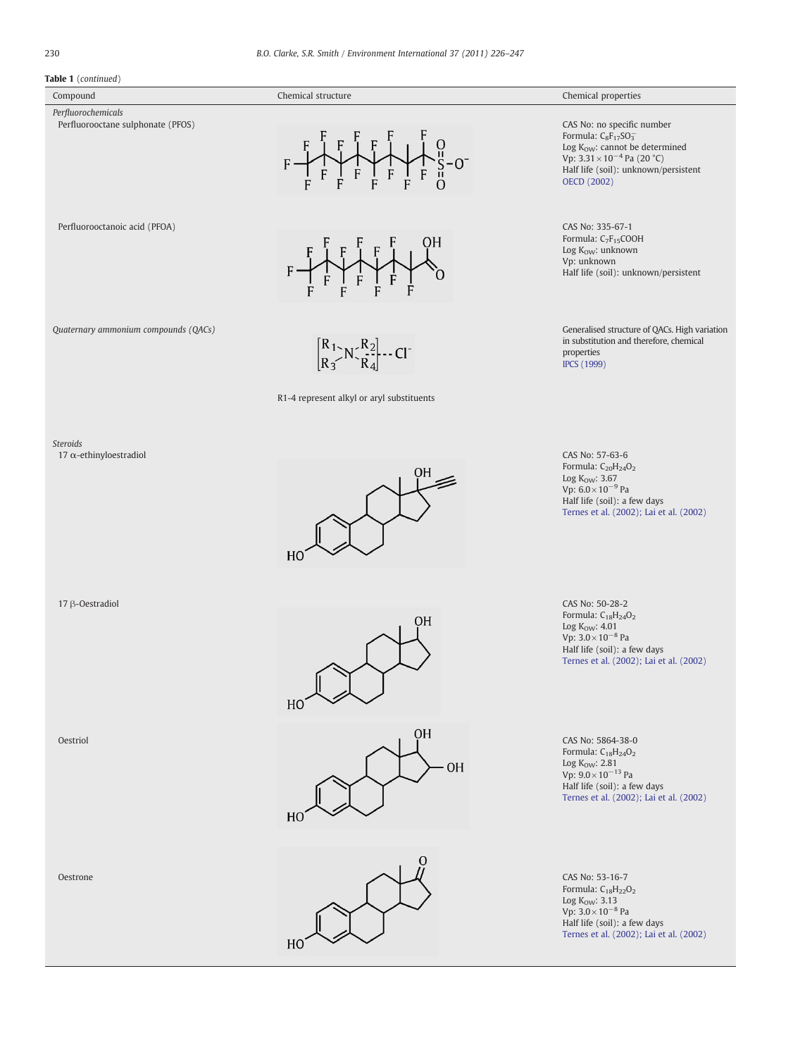

HO

Log  $K<sub>OW</sub>: 3.13$ Vp: 3.0 × 10−<sup>8</sup> Pa Half life (soil): a few days [Ternes et al. \(2002\); Lai et al. \(2002\)](#page-20-0)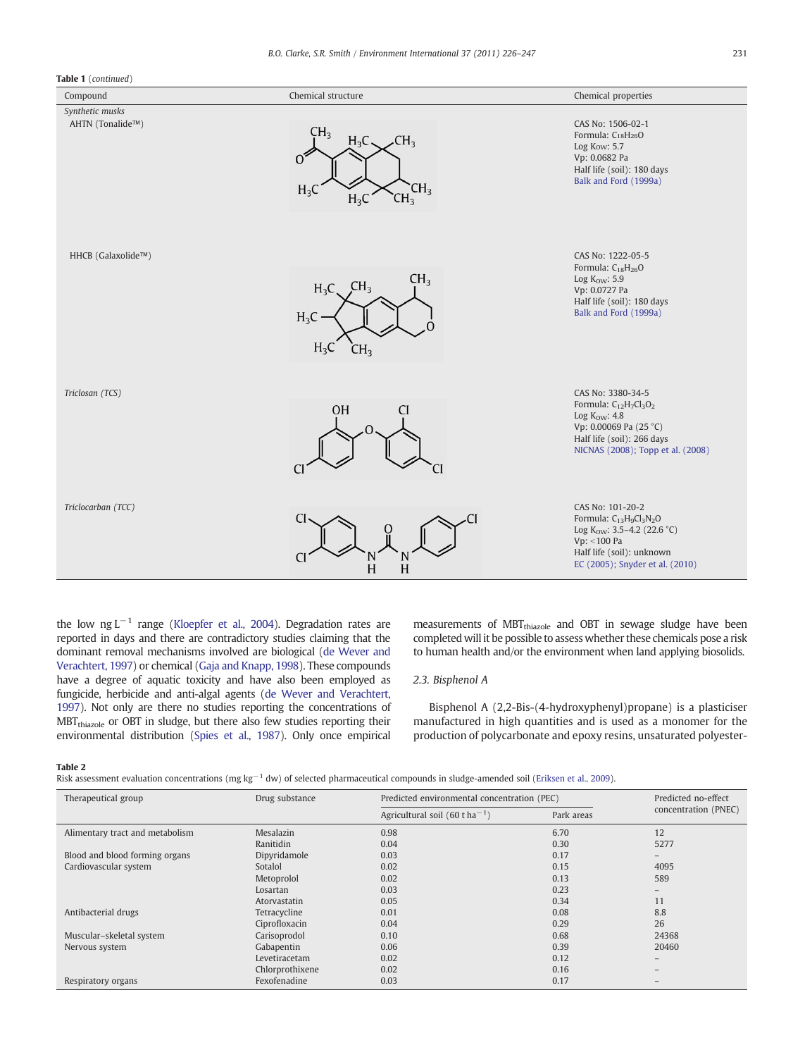<span id="page-5-0"></span>

the low ng  $L^{-1}$  range ([Kloepfer et al., 2004\)](#page-19-0). Degradation rates are reported in days and there are contradictory studies claiming that the dominant removal mechanisms involved are biological [\(de Wever and](#page-17-0) [Verachtert, 1997\)](#page-17-0) or chemical ([Gaja and Knapp, 1998](#page-18-0)). These compounds have a degree of aquatic toxicity and have also been employed as fungicide, herbicide and anti-algal agents [\(de Wever and Verachtert,](#page-17-0) [1997\)](#page-17-0). Not only are there no studies reporting the concentrations of  $MBT<sub>thiazole</sub>$  or OBT in sludge, but there also few studies reporting their environmental distribution [\(Spies et al., 1987](#page-20-0)). Only once empirical

measurements of MBTthiazole and OBT in sewage sludge have been completed will it be possible to assess whether these chemicals pose a risk to human health and/or the environment when land applying biosolids.

#### 2.3. Bisphenol A

Bisphenol A (2,2-Bis-(4-hydroxyphenyl)propane) is a plasticiser manufactured in high quantities and is used as a monomer for the production of polycarbonate and epoxy resins, unsaturated polyester-

#### Table 2

Risk assessment evaluation concentrations (mg kg<sup>-1</sup> dw) of selected pharmaceutical compounds in sludge-amended soil ([Eriksen et al., 2009](#page-18-0)).

| Therapeutical group             | Drug substance  | Predicted environmental concentration (PEC)             |            | Predicted no-effect  |  |
|---------------------------------|-----------------|---------------------------------------------------------|------------|----------------------|--|
|                                 |                 | Agricultural soil (60 t ha <sup><math>-1</math></sup> ) | Park areas | concentration (PNEC) |  |
| Alimentary tract and metabolism | Mesalazin       | 0.98                                                    | 6.70       | 12                   |  |
|                                 | Ranitidin       | 0.04                                                    | 0.30       | 5277                 |  |
| Blood and blood forming organs  | Dipyridamole    | 0.03                                                    | 0.17       | $-$                  |  |
| Cardiovascular system           | Sotalol         | 0.02                                                    | 0.15       | 4095                 |  |
|                                 | Metoprolol      | 0.02                                                    | 0.13       | 589                  |  |
|                                 | Losartan        | 0.03                                                    | 0.23       | $-$                  |  |
|                                 | Atorvastatin    | 0.05                                                    | 0.34       | 11                   |  |
| Antibacterial drugs             | Tetracycline    | 0.01                                                    | 0.08       | 8.8                  |  |
|                                 | Ciprofloxacin   | 0.04                                                    | 0.29       | 26                   |  |
| Muscular-skeletal system        | Carisoprodol    | 0.10                                                    | 0.68       | 24368                |  |
| Nervous system                  | Gabapentin      | 0.06                                                    | 0.39       | 20460                |  |
|                                 | Levetiracetam   | 0.02                                                    | 0.12       |                      |  |
|                                 | Chlorprothixene | 0.02                                                    | 0.16       | -                    |  |
| Respiratory organs              | Fexofenadine    | 0.03                                                    | 0.17       | -                    |  |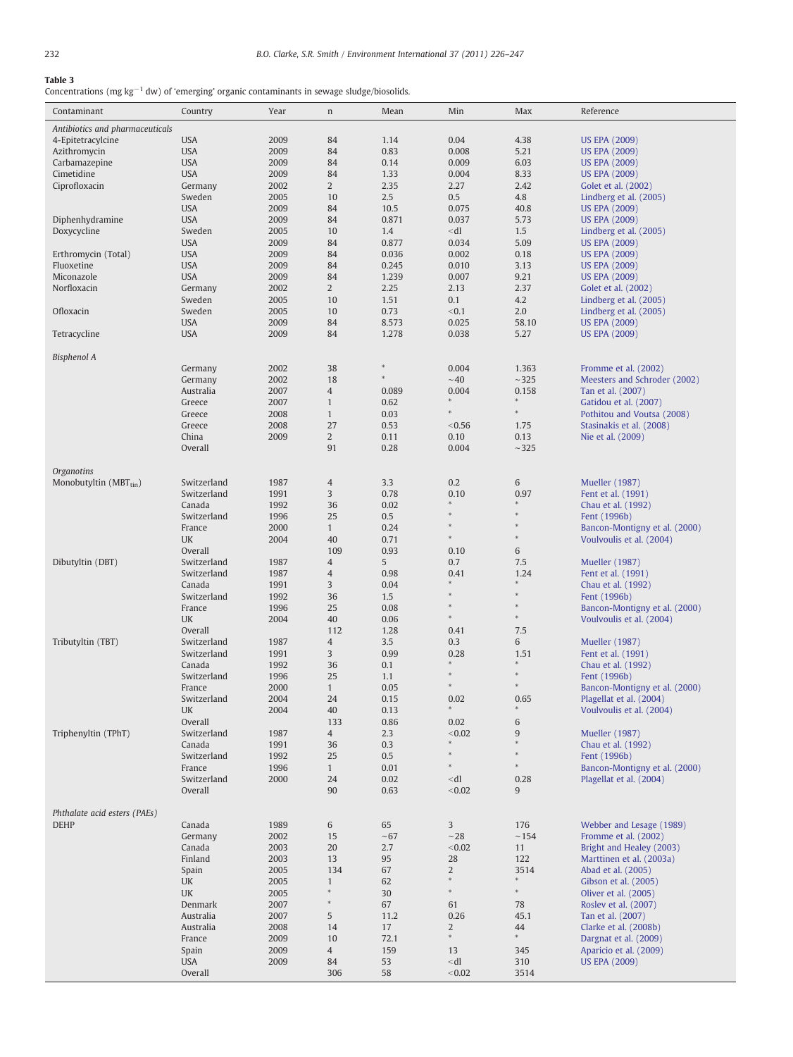### <span id="page-6-0"></span>Table 3

Concentrations (mg kg−<sup>1</sup> dw) of 'emerging' organic contaminants in sewage sludge/biosolids.

| Contaminant                        | Country                    | Year         | $\boldsymbol{\Pi}$               | Mean         | Min              | Max              | Reference                                   |
|------------------------------------|----------------------------|--------------|----------------------------------|--------------|------------------|------------------|---------------------------------------------|
| Antibiotics and pharmaceuticals    |                            |              |                                  |              |                  |                  |                                             |
| 4-Epitetracylcine                  | <b>USA</b>                 | 2009         | 84                               | 1.14         | 0.04             | 4.38             | <b>US EPA (2009)</b>                        |
| Azithromycin                       | <b>USA</b>                 | 2009         | 84                               | 0.83         | 0.008            | 5.21             | <b>US EPA (2009)</b>                        |
| Carbamazepine                      | <b>USA</b>                 | 2009         | 84                               | 0.14         | 0.009            | 6.03             | <b>US EPA (2009)</b>                        |
| Cimetidine                         | <b>USA</b>                 | 2009         | 84                               | 1.33         | 0.004            | 8.33             | <b>US EPA (2009)</b>                        |
| Ciprofloxacin                      | Germany                    | 2002         | 2                                | 2.35         | 2.27             | 2.42             | Golet et al. (2002)                         |
|                                    | Sweden                     | 2005         | 10                               | 2.5          | 0.5              | 4.8              | Lindberg et al. (2005)                      |
|                                    | <b>USA</b>                 | 2009         | 84                               | 10.5         | 0.075            | 40.8             | <b>US EPA (2009)</b>                        |
| Diphenhydramine                    | <b>USA</b>                 | 2009         | 84                               | 0.871        | 0.037            | 5.73             | <b>US EPA (2009)</b>                        |
| Doxycycline                        | Sweden                     | 2005         | 10                               | 1.4          | $<$ dl           | 1.5              | Lindberg et al. (2005)                      |
|                                    | <b>USA</b>                 | 2009         | 84                               | 0.877        | 0.034            | 5.09             | <b>US EPA (2009)</b>                        |
| Erthromycin (Total)                | <b>USA</b>                 | 2009         | 84                               | 0.036        | 0.002            | 0.18             | <b>US EPA (2009)</b>                        |
| Fluoxetine                         | <b>USA</b>                 | 2009         | 84                               | 0.245        | 0.010            | 3.13             | <b>US EPA (2009)</b>                        |
| Miconazole                         | <b>USA</b>                 | 2009         | 84                               | 1.239        | 0.007            | 9.21             | <b>US EPA (2009)</b>                        |
| Norfloxacin                        | Germany                    | 2002         | 2                                | 2.25         | 2.13             | 2.37             | Golet et al. (2002)                         |
|                                    | Sweden                     | 2005         | 10                               | 1.51         | 0.1              | 4.2              | Lindberg et al. (2005)                      |
| Ofloxacin                          | Sweden                     | 2005         | 10                               | 0.73         | < 0.1            | 2.0              | Lindberg et al. (2005)                      |
|                                    | <b>USA</b>                 | 2009         | 84                               | 8.573        | 0.025            | 58.10            | <b>US EPA (2009)</b>                        |
| Tetracycline                       | <b>USA</b>                 | 2009         | 84                               | 1.278        | 0.038            | 5.27             | <b>US EPA (2009)</b>                        |
| <b>Bisphenol A</b>                 |                            |              |                                  |              |                  |                  |                                             |
|                                    | Germany                    | 2002         | 38                               | *            | 0.004            | 1.363            | Fromme et al. (2002)                        |
|                                    | Germany                    | 2002         | 18                               | *            | $\sim$ 40        | $\sim$ 325       | Meesters and Schroder (2002)                |
|                                    | Australia                  | 2007         | $\overline{4}$                   | 0.089        | 0.004            | 0.158            | Tan et al. (2007)                           |
|                                    | Greece                     | 2007         | $\mathbf{1}$                     | 0.62         |                  | $\ast$           | Gatidou et al. (2007)                       |
|                                    | Greece                     | 2008         | $\mathbf{1}$                     | 0.03         | $\ast$           | $\ast$           | Pothitou and Voutsa (2008)                  |
|                                    | Greece                     | 2008         | 27                               | 0.53         | < 0.56           | 1.75             | Stasinakis et al. (2008)                    |
|                                    | China                      | 2009         | $\overline{2}$                   | 0.11         | 0.10             | 0.13             | Nie et al. (2009)                           |
|                                    | Overall                    |              | 91                               | 0.28         | 0.004            | ~1.325           |                                             |
|                                    |                            |              |                                  |              |                  |                  |                                             |
| Organotins                         |                            |              |                                  |              |                  |                  |                                             |
| Monobutyltin (MBT <sub>tin</sub> ) | Switzerland                | 1987         | $\overline{4}$                   | 3.3          | 0.2              | 6                | <b>Mueller</b> (1987)                       |
|                                    | Switzerland                | 1991         | 3                                | 0.78         | 0.10             | 0.97             | Fent et al. (1991)                          |
|                                    | Canada                     | 1992         | 36                               | 0.02         | *                |                  | Chau et al. (1992)                          |
|                                    | Switzerland                | 1996         | 25                               | 0.5          | *                |                  | Fent (1996b)                                |
|                                    | France                     | 2000         | $\mathbf{1}$                     | 0.24         | *<br>×           | $\ast$           | Bancon-Montigny et al. (2000)               |
|                                    | UK                         | 2004         | 40                               | 0.71         |                  |                  | Voulvoulis et al. (2004)                    |
|                                    | Overall                    |              | 109                              | 0.93         | 0.10             | 6                |                                             |
| Dibutyltin (DBT)                   | Switzerland<br>Switzerland | 1987<br>1987 | $\overline{4}$<br>$\overline{4}$ | 5<br>0.98    | 0.7<br>0.41      | 7.5<br>1.24      | <b>Mueller</b> (1987)<br>Fent et al. (1991) |
|                                    | Canada                     | 1991         | 3                                | 0.04         | $\ast$           | *                | Chau et al. (1992)                          |
|                                    | Switzerland                | 1992         | 36                               | 1.5          | *                | *                | Fent (1996b)                                |
|                                    | France                     | 1996         | 25                               | 0.08         | *                | *                | Bancon-Montigny et al. (2000)               |
|                                    | UK                         | 2004         | 40                               | 0.06         | *                | $\ast$           | Voulvoulis et al. (2004)                    |
|                                    | Overall                    |              | 112                              | 1.28         | 0.41             | 7.5              |                                             |
| Tributyltin (TBT)                  | Switzerland                | 1987         | $\overline{4}$                   | 3.5          | 0.3              | 6                | <b>Mueller</b> (1987)                       |
|                                    | Switzerland                | 1991         | 3                                | 0.99         | 0.28             | 1.51             | Fent et al. (1991)                          |
|                                    | Canada                     | 1992         | 36                               | 0.1          |                  |                  | Chau et al. (1992)                          |
|                                    | Switzerland                | 1996         | 25                               | 1.1          |                  |                  | Fent (1996b)                                |
|                                    | France                     | 2000         | $\mathbf{1}$                     | 0.05         | $\ast$           |                  | Bancon-Montigny et al. (2000)               |
|                                    | Switzerland                | 2004         | 24                               | 0.15         | 0.02             | 0.65             | Plagellat et al. (2004)                     |
|                                    | UK                         | 2004         | 40                               | 0.13         | $\ast$           | $\ast$           | Voulvoulis et al. (2004)                    |
|                                    | Overall                    |              | 133                              | 0.86         | 0.02             | 6                |                                             |
| Triphenyltin (TPhT)                | Switzerland                | 1987         | $\overline{4}$                   | 2.3          | < 0.02           | $\boldsymbol{9}$ | <b>Mueller</b> (1987)                       |
|                                    | Canada                     | 1991         | 36                               | 0.3          | *                | $\ast$           | Chau et al. (1992)                          |
|                                    | Switzerland                | 1992         | 25                               | 0.5          | $\ast$           |                  | Fent (1996b)                                |
|                                    | France                     | 1996         | $\mathbf{1}$                     | 0.01         |                  |                  | Bancon-Montigny et al. (2000)               |
|                                    | Switzerland<br>Overall     | 2000         | 24<br>90                         | 0.02<br>0.63 | $<$ dl<br>< 0.02 | 0.28<br>9        | Plagellat et al. (2004)                     |
|                                    |                            |              |                                  |              |                  |                  |                                             |
| Phthalate acid esters (PAEs)       |                            |              |                                  |              |                  |                  |                                             |
| <b>DEHP</b>                        | Canada                     | 1989         | 6                                | 65           | 3                | 176              | Webber and Lesage (1989)                    |
|                                    | Germany                    | 2002         | 15                               | ~57          | $\sim$ 28        | $\sim$ 154       | Fromme et al. (2002)                        |
|                                    | Canada                     | 2003         | 20                               | 2.7          | < 0.02           | 11               | Bright and Healey (2003)                    |
|                                    | Finland                    | 2003         | 13                               | 95           | 28               | 122              | Marttinen et al. (2003a)                    |
|                                    | Spain                      | 2005         | 134                              | 67           | 2                | 3514             | Abad et al. (2005)                          |
|                                    | UK                         | 2005         | $\mathbf{1}$                     | 62           | $\ast$           | $\ast$           | Gibson et al. (2005)                        |
|                                    | UK                         | 2005         |                                  | 30           | $\ast$           | $\ast$           | Oliver et al. (2005)                        |
|                                    | Denmark                    | 2007         | ×                                | 67           | 61               | 78               | Roslev et al. (2007)                        |
|                                    | Australia                  | 2007         | 5                                | 11.2         | 0.26             | 45.1             | Tan et al. (2007)                           |
|                                    | Australia                  | 2008         | 14                               | 17           | 2                | 44               | Clarke et al. (2008b)                       |
|                                    | France                     | 2009         | 10                               | 72.1         | $\ast$           | $\ast$           | Dargnat et al. (2009)                       |
|                                    | Spain                      | 2009         | $\overline{4}$                   | 159          | 13               | 345              | Aparicio et al. (2009)                      |
|                                    | <b>USA</b>                 | 2009         | 84<br>306                        | 53<br>58     | $<$ dl<br>< 0.02 | 310<br>3514      | <b>US EPA (2009)</b>                        |
|                                    | Overall                    |              |                                  |              |                  |                  |                                             |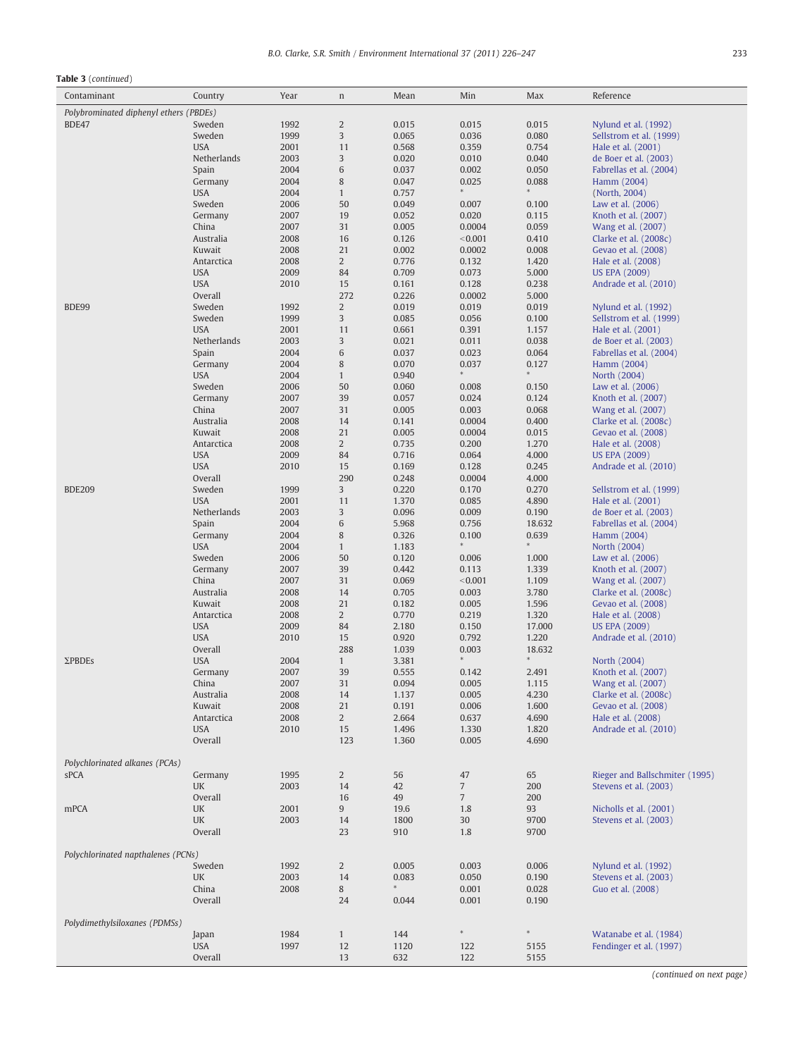| B.O. Clarke, S.R. Smith / Environment International 37 (2011) 226–247 | 233 |
|-----------------------------------------------------------------------|-----|

#### Table 3 (continued)

| Polybrominated diphenyl ethers (PBDEs)<br>BDE47<br>1992<br>$\overline{2}$<br>0.015<br>0.015<br>0.015<br>Sweden<br>Nylund et al. (1992)<br>3<br>Sweden<br>1999<br>0.065<br>0.036<br>0.080<br>Sellstrom et al. (1999)<br><b>USA</b><br>2001<br>11<br>0.568<br>0.754<br>0.359<br>Hale et al. (2001)<br>3<br>Netherlands<br>2003<br>0.020<br>0.010<br>0.040<br>de Boer et al. (2003)<br>$\,6$<br>2004<br>0.037<br>0.002<br>0.050<br>Spain<br>Fabrellas et al. (2004)<br>$\,$ 8 $\,$<br>2004<br>0.047<br>0.025<br>0.088<br>Germany<br>Hamm (2004)<br>$\ast$<br>$\ast$<br><b>USA</b><br>2004<br>$\mathbf{1}$<br>0.757<br>(North, 2004)<br>Sweden<br>2006<br>50<br>0.049<br>0.007<br>0.100<br>Law et al. (2006)<br>2007<br>19<br>0.020<br>Germany<br>0.052<br>0.115<br>Knoth et al. (2007)<br>2007<br>31<br>0.005<br>0.0004<br>0.059<br>China<br>Wang et al. (2007)<br>Australia<br>2008<br>16<br>0.126<br>< 0.001<br>0.410<br>Clarke et al. (2008c)<br>21<br>Kuwait<br>2008<br>0.002<br>0.0002<br>0.008<br>Gevao et al. (2008)<br>$\overline{2}$<br>2008<br>0.776<br>1.420<br>Antarctica<br>0.132<br>Hale et al. (2008)<br><b>USA</b><br>2009<br>84<br>0.709<br>0.073<br>5.000<br><b>US EPA (2009)</b><br><b>USA</b><br>2010<br>15<br>0.128<br>0.238<br>0.161<br>Andrade et al. (2010)<br>272<br>Overall<br>0.226<br>5.000<br>0.0002<br>$\overline{2}$<br>BDE99<br>Sweden<br>1992<br>0.019<br>0.019<br>0.019<br>Nylund et al. (1992)<br>3<br>Sweden<br>1999<br>0.085<br>0.056<br>0.100<br>Sellstrom et al. (1999)<br><b>USA</b><br>2001<br>11<br>0.661<br>1.157<br>0.391<br>Hale et al. (2001)<br>3<br>Netherlands<br>2003<br>0.021<br>0.011<br>0.038<br>de Boer et al. (2003)<br>$\,6\,$<br>2004<br>0.037<br>0.023<br>0.064<br>Fabrellas et al. (2004)<br>Spain<br>2004<br>8<br>0.070<br>0.037<br>0.127<br>Germany<br>Hamm (2004)<br>$\ast$<br>$\ast$<br><b>USA</b><br>2004<br>$\mathbf{1}$<br>0.940<br>North (2004)<br>Sweden<br>2006<br>50<br>0.060<br>0.008<br>0.150<br>Law et al. (2006)<br>Germany<br>2007<br>39<br>0.057<br>0.024<br>0.124<br>Knoth et al. (2007)<br>China<br>2007<br>31<br>0.005<br>0.003<br>0.068<br>Wang et al. (2007)<br>Australia<br>2008<br>14<br>0.141<br>0.0004<br>0.400<br>Clarke et al. (2008c)<br>Kuwait<br>2008<br>21<br>0.005<br>0.0004<br>0.015<br>Gevao et al. (2008)<br>2008<br>$\overline{c}$<br>0.735<br>0.200<br>1.270<br>Antarctica<br>Hale et al. (2008)<br><b>USA</b><br>2009<br>84<br>0.716<br>0.064<br>4.000<br><b>US EPA (2009)</b><br><b>USA</b><br>2010<br>15<br>0.169<br>0.245<br>Andrade et al. (2010)<br>0.128<br>Overall<br>290<br>0.248<br>0.0004<br>4.000<br>3<br><b>BDE209</b><br>Sweden<br>1999<br>0.220<br>0.270<br>0.170<br>Sellstrom et al. (1999)<br><b>USA</b><br>2001<br>11<br>1.370<br>0.085<br>4.890<br>Hale et al. (2001)<br>3<br>Netherlands<br>2003<br>0.096<br>0.009<br>0.190<br>de Boer et al. (2003)<br>$\,$ 6<br>2004<br>5.968<br>0.756<br>Spain<br>18.632<br>Fabrellas et al. (2004)<br>$\,$ 8 $\,$<br>2004<br>0.639<br>Germany<br>0.326<br>0.100<br>Hamm (2004)<br><b>USA</b><br>2004<br>$\mathbf{1}$<br>1.183<br>North (2004)<br>Sweden<br>2006<br>50<br>0.120<br>0.006<br>1.000<br>Law et al. (2006)<br>2007<br>39<br>0.442<br>1.339<br>Germany<br>0.113<br>Knoth et al. (2007)<br>China<br>2007<br>31<br>0.069<br>< 0.001<br>1.109<br>Wang et al. (2007)<br>Australia<br>2008<br>14<br>0.705<br>0.003<br>3.780<br>Clarke et al. (2008c)<br>Kuwait<br>2008<br>21<br>0.182<br>0.005<br>1.596<br>Gevao et al. (2008)<br>$\overline{2}$<br>2008<br>0.770<br>1.320<br>Antarctica<br>0.219<br>Hale et al. (2008)<br><b>USA</b><br>2009<br>84<br>2.180<br>17.000<br>0.150<br><b>US EPA (2009)</b><br><b>USA</b><br>2010<br>15<br>0.920<br>0.792<br>1.220<br>Andrade et al. (2010)<br>Overall<br>288<br>1.039<br>18.632<br>0.003<br>$\ast$<br><b>ΣPBDEs</b><br><b>USA</b><br>2004<br>3.381<br>$\mathbf{1}$<br>North (2004)<br>2007<br>39<br>0.555<br>0.142<br>2.491<br>Knoth et al. (2007)<br>Germany<br>China<br>2007<br>31<br>0.094<br>0.005<br>1.115<br>Wang et al. (2007)<br>Australia<br>2008<br>0.005<br>4.230<br>Clarke et al. (2008c)<br>14<br>1.137<br>Kuwait<br>2008<br>0.191<br>1.600<br>21<br>0.006<br>Gevao et al. (2008)<br>$\overline{2}$<br>Antarctica<br>2008<br>2.664<br>0.637<br>4.690<br>Hale et al. (2008)<br><b>USA</b><br>2010<br>15<br>1.496<br>1.330<br>1.820<br>Andrade et al. (2010)<br>4.690<br>Overall<br>123<br>1.360<br>0.005<br>Polychlorinated alkanes (PCAs)<br>$\overline{c}$<br>sPCA<br>1995<br>56<br>47<br>65<br>Rieger and Ballschmiter (1995)<br>Germany<br>UK<br>2003<br>14<br>42<br>$\overline{7}$<br>200<br>Stevens et al. (2003)<br>Overall<br>49<br>$\overline{7}$<br>200<br>16<br>$9\,$<br>UK<br>19.6<br>93<br>Nicholls et al. (2001)<br>mPCA<br>2001<br>1.8<br>UK<br>2003<br>14<br>1800<br>30<br>9700<br>Stevens et al. (2003)<br>Overall<br>23<br>910<br>1.8<br>9700<br>Polychlorinated napthalenes (PCNs)<br>$\overline{c}$<br>Sweden<br>1992<br>0.005<br>0.003<br>0.006<br>Nylund et al. (1992)<br>UK<br>2003<br>14<br>0.083<br>0.050<br>0.190<br>Stevens et al. (2003)<br>8<br>China<br>2008<br>0.028<br>0.001<br>Guo et al. (2008)<br>Overall<br>24<br>0.044<br>0.001<br>0.190<br>Polydimethylsiloxanes (PDMSs)<br>$\ast$<br>$\ast$<br>1984<br>$\mathbf{1}$<br>144<br>Watanabe et al. (1984)<br>Japan<br><b>USA</b><br>1997<br>12<br>1120<br>Fendinger et al. (1997)<br>122<br>5155<br>Overall<br>13<br>632<br>122<br>5155 | Contaminant | Country | Year | $\boldsymbol{\Pi}$ | Mean | Min | Max | Reference |
|-----------------------------------------------------------------------------------------------------------------------------------------------------------------------------------------------------------------------------------------------------------------------------------------------------------------------------------------------------------------------------------------------------------------------------------------------------------------------------------------------------------------------------------------------------------------------------------------------------------------------------------------------------------------------------------------------------------------------------------------------------------------------------------------------------------------------------------------------------------------------------------------------------------------------------------------------------------------------------------------------------------------------------------------------------------------------------------------------------------------------------------------------------------------------------------------------------------------------------------------------------------------------------------------------------------------------------------------------------------------------------------------------------------------------------------------------------------------------------------------------------------------------------------------------------------------------------------------------------------------------------------------------------------------------------------------------------------------------------------------------------------------------------------------------------------------------------------------------------------------------------------------------------------------------------------------------------------------------------------------------------------------------------------------------------------------------------------------------------------------------------------------------------------------------------------------------------------------------------------------------------------------------------------------------------------------------------------------------------------------------------------------------------------------------------------------------------------------------------------------------------------------------------------------------------------------------------------------------------------------------------------------------------------------------------------------------------------------------------------------------------------------------------------------------------------------------------------------------------------------------------------------------------------------------------------------------------------------------------------------------------------------------------------------------------------------------------------------------------------------------------------------------------------------------------------------------------------------------------------------------------------------------------------------------------------------------------------------------------------------------------------------------------------------------------------------------------------------------------------------------------------------------------------------------------------------------------------------------------------------------------------------------------------------------------------------------------------------------------------------------------------------------------------------------------------------------------------------------------------------------------------------------------------------------------------------------------------------------------------------------------------------------------------------------------------------------------------------------------------------------------------------------------------------------------------------------------------------------------------------------------------------------------------------------------------------------------------------------------------------------------------------------------------------------------------------------------------------------------------------------------------------------------------------------------------------------------------------------------------------------------------------------------------------------------------------------------------------------------------------------------------------------------------------------------------------------------------------------------------------------------------------------------------------------------------------------------------------------------------------------------------------------------------------------------------------------------------------------------------------------------------------------------------------------------------------------------------------------------------------------------------------------------------------------------------------------------------------------------------------------------------------------------------------------------------------------|-------------|---------|------|--------------------|------|-----|-----|-----------|
|                                                                                                                                                                                                                                                                                                                                                                                                                                                                                                                                                                                                                                                                                                                                                                                                                                                                                                                                                                                                                                                                                                                                                                                                                                                                                                                                                                                                                                                                                                                                                                                                                                                                                                                                                                                                                                                                                                                                                                                                                                                                                                                                                                                                                                                                                                                                                                                                                                                                                                                                                                                                                                                                                                                                                                                                                                                                                                                                                                                                                                                                                                                                                                                                                                                                                                                                                                                                                                                                                                                                                                                                                                                                                                                                                                                                                                                                                                                                                                                                                                                                                                                                                                                                                                                                                                                                                                                                                                                                                                                                                                                                                                                                                                                                                                                                                                                                                                                                                                                                                                                                                                                                                                                                                                                                                                                                                                                                                                               |             |         |      |                    |      |     |     |           |
|                                                                                                                                                                                                                                                                                                                                                                                                                                                                                                                                                                                                                                                                                                                                                                                                                                                                                                                                                                                                                                                                                                                                                                                                                                                                                                                                                                                                                                                                                                                                                                                                                                                                                                                                                                                                                                                                                                                                                                                                                                                                                                                                                                                                                                                                                                                                                                                                                                                                                                                                                                                                                                                                                                                                                                                                                                                                                                                                                                                                                                                                                                                                                                                                                                                                                                                                                                                                                                                                                                                                                                                                                                                                                                                                                                                                                                                                                                                                                                                                                                                                                                                                                                                                                                                                                                                                                                                                                                                                                                                                                                                                                                                                                                                                                                                                                                                                                                                                                                                                                                                                                                                                                                                                                                                                                                                                                                                                                                               |             |         |      |                    |      |     |     |           |
|                                                                                                                                                                                                                                                                                                                                                                                                                                                                                                                                                                                                                                                                                                                                                                                                                                                                                                                                                                                                                                                                                                                                                                                                                                                                                                                                                                                                                                                                                                                                                                                                                                                                                                                                                                                                                                                                                                                                                                                                                                                                                                                                                                                                                                                                                                                                                                                                                                                                                                                                                                                                                                                                                                                                                                                                                                                                                                                                                                                                                                                                                                                                                                                                                                                                                                                                                                                                                                                                                                                                                                                                                                                                                                                                                                                                                                                                                                                                                                                                                                                                                                                                                                                                                                                                                                                                                                                                                                                                                                                                                                                                                                                                                                                                                                                                                                                                                                                                                                                                                                                                                                                                                                                                                                                                                                                                                                                                                                               |             |         |      |                    |      |     |     |           |
|                                                                                                                                                                                                                                                                                                                                                                                                                                                                                                                                                                                                                                                                                                                                                                                                                                                                                                                                                                                                                                                                                                                                                                                                                                                                                                                                                                                                                                                                                                                                                                                                                                                                                                                                                                                                                                                                                                                                                                                                                                                                                                                                                                                                                                                                                                                                                                                                                                                                                                                                                                                                                                                                                                                                                                                                                                                                                                                                                                                                                                                                                                                                                                                                                                                                                                                                                                                                                                                                                                                                                                                                                                                                                                                                                                                                                                                                                                                                                                                                                                                                                                                                                                                                                                                                                                                                                                                                                                                                                                                                                                                                                                                                                                                                                                                                                                                                                                                                                                                                                                                                                                                                                                                                                                                                                                                                                                                                                                               |             |         |      |                    |      |     |     |           |
|                                                                                                                                                                                                                                                                                                                                                                                                                                                                                                                                                                                                                                                                                                                                                                                                                                                                                                                                                                                                                                                                                                                                                                                                                                                                                                                                                                                                                                                                                                                                                                                                                                                                                                                                                                                                                                                                                                                                                                                                                                                                                                                                                                                                                                                                                                                                                                                                                                                                                                                                                                                                                                                                                                                                                                                                                                                                                                                                                                                                                                                                                                                                                                                                                                                                                                                                                                                                                                                                                                                                                                                                                                                                                                                                                                                                                                                                                                                                                                                                                                                                                                                                                                                                                                                                                                                                                                                                                                                                                                                                                                                                                                                                                                                                                                                                                                                                                                                                                                                                                                                                                                                                                                                                                                                                                                                                                                                                                                               |             |         |      |                    |      |     |     |           |
|                                                                                                                                                                                                                                                                                                                                                                                                                                                                                                                                                                                                                                                                                                                                                                                                                                                                                                                                                                                                                                                                                                                                                                                                                                                                                                                                                                                                                                                                                                                                                                                                                                                                                                                                                                                                                                                                                                                                                                                                                                                                                                                                                                                                                                                                                                                                                                                                                                                                                                                                                                                                                                                                                                                                                                                                                                                                                                                                                                                                                                                                                                                                                                                                                                                                                                                                                                                                                                                                                                                                                                                                                                                                                                                                                                                                                                                                                                                                                                                                                                                                                                                                                                                                                                                                                                                                                                                                                                                                                                                                                                                                                                                                                                                                                                                                                                                                                                                                                                                                                                                                                                                                                                                                                                                                                                                                                                                                                                               |             |         |      |                    |      |     |     |           |
|                                                                                                                                                                                                                                                                                                                                                                                                                                                                                                                                                                                                                                                                                                                                                                                                                                                                                                                                                                                                                                                                                                                                                                                                                                                                                                                                                                                                                                                                                                                                                                                                                                                                                                                                                                                                                                                                                                                                                                                                                                                                                                                                                                                                                                                                                                                                                                                                                                                                                                                                                                                                                                                                                                                                                                                                                                                                                                                                                                                                                                                                                                                                                                                                                                                                                                                                                                                                                                                                                                                                                                                                                                                                                                                                                                                                                                                                                                                                                                                                                                                                                                                                                                                                                                                                                                                                                                                                                                                                                                                                                                                                                                                                                                                                                                                                                                                                                                                                                                                                                                                                                                                                                                                                                                                                                                                                                                                                                                               |             |         |      |                    |      |     |     |           |
|                                                                                                                                                                                                                                                                                                                                                                                                                                                                                                                                                                                                                                                                                                                                                                                                                                                                                                                                                                                                                                                                                                                                                                                                                                                                                                                                                                                                                                                                                                                                                                                                                                                                                                                                                                                                                                                                                                                                                                                                                                                                                                                                                                                                                                                                                                                                                                                                                                                                                                                                                                                                                                                                                                                                                                                                                                                                                                                                                                                                                                                                                                                                                                                                                                                                                                                                                                                                                                                                                                                                                                                                                                                                                                                                                                                                                                                                                                                                                                                                                                                                                                                                                                                                                                                                                                                                                                                                                                                                                                                                                                                                                                                                                                                                                                                                                                                                                                                                                                                                                                                                                                                                                                                                                                                                                                                                                                                                                                               |             |         |      |                    |      |     |     |           |
|                                                                                                                                                                                                                                                                                                                                                                                                                                                                                                                                                                                                                                                                                                                                                                                                                                                                                                                                                                                                                                                                                                                                                                                                                                                                                                                                                                                                                                                                                                                                                                                                                                                                                                                                                                                                                                                                                                                                                                                                                                                                                                                                                                                                                                                                                                                                                                                                                                                                                                                                                                                                                                                                                                                                                                                                                                                                                                                                                                                                                                                                                                                                                                                                                                                                                                                                                                                                                                                                                                                                                                                                                                                                                                                                                                                                                                                                                                                                                                                                                                                                                                                                                                                                                                                                                                                                                                                                                                                                                                                                                                                                                                                                                                                                                                                                                                                                                                                                                                                                                                                                                                                                                                                                                                                                                                                                                                                                                                               |             |         |      |                    |      |     |     |           |
|                                                                                                                                                                                                                                                                                                                                                                                                                                                                                                                                                                                                                                                                                                                                                                                                                                                                                                                                                                                                                                                                                                                                                                                                                                                                                                                                                                                                                                                                                                                                                                                                                                                                                                                                                                                                                                                                                                                                                                                                                                                                                                                                                                                                                                                                                                                                                                                                                                                                                                                                                                                                                                                                                                                                                                                                                                                                                                                                                                                                                                                                                                                                                                                                                                                                                                                                                                                                                                                                                                                                                                                                                                                                                                                                                                                                                                                                                                                                                                                                                                                                                                                                                                                                                                                                                                                                                                                                                                                                                                                                                                                                                                                                                                                                                                                                                                                                                                                                                                                                                                                                                                                                                                                                                                                                                                                                                                                                                                               |             |         |      |                    |      |     |     |           |
|                                                                                                                                                                                                                                                                                                                                                                                                                                                                                                                                                                                                                                                                                                                                                                                                                                                                                                                                                                                                                                                                                                                                                                                                                                                                                                                                                                                                                                                                                                                                                                                                                                                                                                                                                                                                                                                                                                                                                                                                                                                                                                                                                                                                                                                                                                                                                                                                                                                                                                                                                                                                                                                                                                                                                                                                                                                                                                                                                                                                                                                                                                                                                                                                                                                                                                                                                                                                                                                                                                                                                                                                                                                                                                                                                                                                                                                                                                                                                                                                                                                                                                                                                                                                                                                                                                                                                                                                                                                                                                                                                                                                                                                                                                                                                                                                                                                                                                                                                                                                                                                                                                                                                                                                                                                                                                                                                                                                                                               |             |         |      |                    |      |     |     |           |
|                                                                                                                                                                                                                                                                                                                                                                                                                                                                                                                                                                                                                                                                                                                                                                                                                                                                                                                                                                                                                                                                                                                                                                                                                                                                                                                                                                                                                                                                                                                                                                                                                                                                                                                                                                                                                                                                                                                                                                                                                                                                                                                                                                                                                                                                                                                                                                                                                                                                                                                                                                                                                                                                                                                                                                                                                                                                                                                                                                                                                                                                                                                                                                                                                                                                                                                                                                                                                                                                                                                                                                                                                                                                                                                                                                                                                                                                                                                                                                                                                                                                                                                                                                                                                                                                                                                                                                                                                                                                                                                                                                                                                                                                                                                                                                                                                                                                                                                                                                                                                                                                                                                                                                                                                                                                                                                                                                                                                                               |             |         |      |                    |      |     |     |           |
|                                                                                                                                                                                                                                                                                                                                                                                                                                                                                                                                                                                                                                                                                                                                                                                                                                                                                                                                                                                                                                                                                                                                                                                                                                                                                                                                                                                                                                                                                                                                                                                                                                                                                                                                                                                                                                                                                                                                                                                                                                                                                                                                                                                                                                                                                                                                                                                                                                                                                                                                                                                                                                                                                                                                                                                                                                                                                                                                                                                                                                                                                                                                                                                                                                                                                                                                                                                                                                                                                                                                                                                                                                                                                                                                                                                                                                                                                                                                                                                                                                                                                                                                                                                                                                                                                                                                                                                                                                                                                                                                                                                                                                                                                                                                                                                                                                                                                                                                                                                                                                                                                                                                                                                                                                                                                                                                                                                                                                               |             |         |      |                    |      |     |     |           |
|                                                                                                                                                                                                                                                                                                                                                                                                                                                                                                                                                                                                                                                                                                                                                                                                                                                                                                                                                                                                                                                                                                                                                                                                                                                                                                                                                                                                                                                                                                                                                                                                                                                                                                                                                                                                                                                                                                                                                                                                                                                                                                                                                                                                                                                                                                                                                                                                                                                                                                                                                                                                                                                                                                                                                                                                                                                                                                                                                                                                                                                                                                                                                                                                                                                                                                                                                                                                                                                                                                                                                                                                                                                                                                                                                                                                                                                                                                                                                                                                                                                                                                                                                                                                                                                                                                                                                                                                                                                                                                                                                                                                                                                                                                                                                                                                                                                                                                                                                                                                                                                                                                                                                                                                                                                                                                                                                                                                                                               |             |         |      |                    |      |     |     |           |
|                                                                                                                                                                                                                                                                                                                                                                                                                                                                                                                                                                                                                                                                                                                                                                                                                                                                                                                                                                                                                                                                                                                                                                                                                                                                                                                                                                                                                                                                                                                                                                                                                                                                                                                                                                                                                                                                                                                                                                                                                                                                                                                                                                                                                                                                                                                                                                                                                                                                                                                                                                                                                                                                                                                                                                                                                                                                                                                                                                                                                                                                                                                                                                                                                                                                                                                                                                                                                                                                                                                                                                                                                                                                                                                                                                                                                                                                                                                                                                                                                                                                                                                                                                                                                                                                                                                                                                                                                                                                                                                                                                                                                                                                                                                                                                                                                                                                                                                                                                                                                                                                                                                                                                                                                                                                                                                                                                                                                                               |             |         |      |                    |      |     |     |           |
|                                                                                                                                                                                                                                                                                                                                                                                                                                                                                                                                                                                                                                                                                                                                                                                                                                                                                                                                                                                                                                                                                                                                                                                                                                                                                                                                                                                                                                                                                                                                                                                                                                                                                                                                                                                                                                                                                                                                                                                                                                                                                                                                                                                                                                                                                                                                                                                                                                                                                                                                                                                                                                                                                                                                                                                                                                                                                                                                                                                                                                                                                                                                                                                                                                                                                                                                                                                                                                                                                                                                                                                                                                                                                                                                                                                                                                                                                                                                                                                                                                                                                                                                                                                                                                                                                                                                                                                                                                                                                                                                                                                                                                                                                                                                                                                                                                                                                                                                                                                                                                                                                                                                                                                                                                                                                                                                                                                                                                               |             |         |      |                    |      |     |     |           |
|                                                                                                                                                                                                                                                                                                                                                                                                                                                                                                                                                                                                                                                                                                                                                                                                                                                                                                                                                                                                                                                                                                                                                                                                                                                                                                                                                                                                                                                                                                                                                                                                                                                                                                                                                                                                                                                                                                                                                                                                                                                                                                                                                                                                                                                                                                                                                                                                                                                                                                                                                                                                                                                                                                                                                                                                                                                                                                                                                                                                                                                                                                                                                                                                                                                                                                                                                                                                                                                                                                                                                                                                                                                                                                                                                                                                                                                                                                                                                                                                                                                                                                                                                                                                                                                                                                                                                                                                                                                                                                                                                                                                                                                                                                                                                                                                                                                                                                                                                                                                                                                                                                                                                                                                                                                                                                                                                                                                                                               |             |         |      |                    |      |     |     |           |
|                                                                                                                                                                                                                                                                                                                                                                                                                                                                                                                                                                                                                                                                                                                                                                                                                                                                                                                                                                                                                                                                                                                                                                                                                                                                                                                                                                                                                                                                                                                                                                                                                                                                                                                                                                                                                                                                                                                                                                                                                                                                                                                                                                                                                                                                                                                                                                                                                                                                                                                                                                                                                                                                                                                                                                                                                                                                                                                                                                                                                                                                                                                                                                                                                                                                                                                                                                                                                                                                                                                                                                                                                                                                                                                                                                                                                                                                                                                                                                                                                                                                                                                                                                                                                                                                                                                                                                                                                                                                                                                                                                                                                                                                                                                                                                                                                                                                                                                                                                                                                                                                                                                                                                                                                                                                                                                                                                                                                                               |             |         |      |                    |      |     |     |           |
|                                                                                                                                                                                                                                                                                                                                                                                                                                                                                                                                                                                                                                                                                                                                                                                                                                                                                                                                                                                                                                                                                                                                                                                                                                                                                                                                                                                                                                                                                                                                                                                                                                                                                                                                                                                                                                                                                                                                                                                                                                                                                                                                                                                                                                                                                                                                                                                                                                                                                                                                                                                                                                                                                                                                                                                                                                                                                                                                                                                                                                                                                                                                                                                                                                                                                                                                                                                                                                                                                                                                                                                                                                                                                                                                                                                                                                                                                                                                                                                                                                                                                                                                                                                                                                                                                                                                                                                                                                                                                                                                                                                                                                                                                                                                                                                                                                                                                                                                                                                                                                                                                                                                                                                                                                                                                                                                                                                                                                               |             |         |      |                    |      |     |     |           |
|                                                                                                                                                                                                                                                                                                                                                                                                                                                                                                                                                                                                                                                                                                                                                                                                                                                                                                                                                                                                                                                                                                                                                                                                                                                                                                                                                                                                                                                                                                                                                                                                                                                                                                                                                                                                                                                                                                                                                                                                                                                                                                                                                                                                                                                                                                                                                                                                                                                                                                                                                                                                                                                                                                                                                                                                                                                                                                                                                                                                                                                                                                                                                                                                                                                                                                                                                                                                                                                                                                                                                                                                                                                                                                                                                                                                                                                                                                                                                                                                                                                                                                                                                                                                                                                                                                                                                                                                                                                                                                                                                                                                                                                                                                                                                                                                                                                                                                                                                                                                                                                                                                                                                                                                                                                                                                                                                                                                                                               |             |         |      |                    |      |     |     |           |
|                                                                                                                                                                                                                                                                                                                                                                                                                                                                                                                                                                                                                                                                                                                                                                                                                                                                                                                                                                                                                                                                                                                                                                                                                                                                                                                                                                                                                                                                                                                                                                                                                                                                                                                                                                                                                                                                                                                                                                                                                                                                                                                                                                                                                                                                                                                                                                                                                                                                                                                                                                                                                                                                                                                                                                                                                                                                                                                                                                                                                                                                                                                                                                                                                                                                                                                                                                                                                                                                                                                                                                                                                                                                                                                                                                                                                                                                                                                                                                                                                                                                                                                                                                                                                                                                                                                                                                                                                                                                                                                                                                                                                                                                                                                                                                                                                                                                                                                                                                                                                                                                                                                                                                                                                                                                                                                                                                                                                                               |             |         |      |                    |      |     |     |           |
|                                                                                                                                                                                                                                                                                                                                                                                                                                                                                                                                                                                                                                                                                                                                                                                                                                                                                                                                                                                                                                                                                                                                                                                                                                                                                                                                                                                                                                                                                                                                                                                                                                                                                                                                                                                                                                                                                                                                                                                                                                                                                                                                                                                                                                                                                                                                                                                                                                                                                                                                                                                                                                                                                                                                                                                                                                                                                                                                                                                                                                                                                                                                                                                                                                                                                                                                                                                                                                                                                                                                                                                                                                                                                                                                                                                                                                                                                                                                                                                                                                                                                                                                                                                                                                                                                                                                                                                                                                                                                                                                                                                                                                                                                                                                                                                                                                                                                                                                                                                                                                                                                                                                                                                                                                                                                                                                                                                                                                               |             |         |      |                    |      |     |     |           |
|                                                                                                                                                                                                                                                                                                                                                                                                                                                                                                                                                                                                                                                                                                                                                                                                                                                                                                                                                                                                                                                                                                                                                                                                                                                                                                                                                                                                                                                                                                                                                                                                                                                                                                                                                                                                                                                                                                                                                                                                                                                                                                                                                                                                                                                                                                                                                                                                                                                                                                                                                                                                                                                                                                                                                                                                                                                                                                                                                                                                                                                                                                                                                                                                                                                                                                                                                                                                                                                                                                                                                                                                                                                                                                                                                                                                                                                                                                                                                                                                                                                                                                                                                                                                                                                                                                                                                                                                                                                                                                                                                                                                                                                                                                                                                                                                                                                                                                                                                                                                                                                                                                                                                                                                                                                                                                                                                                                                                                               |             |         |      |                    |      |     |     |           |
|                                                                                                                                                                                                                                                                                                                                                                                                                                                                                                                                                                                                                                                                                                                                                                                                                                                                                                                                                                                                                                                                                                                                                                                                                                                                                                                                                                                                                                                                                                                                                                                                                                                                                                                                                                                                                                                                                                                                                                                                                                                                                                                                                                                                                                                                                                                                                                                                                                                                                                                                                                                                                                                                                                                                                                                                                                                                                                                                                                                                                                                                                                                                                                                                                                                                                                                                                                                                                                                                                                                                                                                                                                                                                                                                                                                                                                                                                                                                                                                                                                                                                                                                                                                                                                                                                                                                                                                                                                                                                                                                                                                                                                                                                                                                                                                                                                                                                                                                                                                                                                                                                                                                                                                                                                                                                                                                                                                                                                               |             |         |      |                    |      |     |     |           |
|                                                                                                                                                                                                                                                                                                                                                                                                                                                                                                                                                                                                                                                                                                                                                                                                                                                                                                                                                                                                                                                                                                                                                                                                                                                                                                                                                                                                                                                                                                                                                                                                                                                                                                                                                                                                                                                                                                                                                                                                                                                                                                                                                                                                                                                                                                                                                                                                                                                                                                                                                                                                                                                                                                                                                                                                                                                                                                                                                                                                                                                                                                                                                                                                                                                                                                                                                                                                                                                                                                                                                                                                                                                                                                                                                                                                                                                                                                                                                                                                                                                                                                                                                                                                                                                                                                                                                                                                                                                                                                                                                                                                                                                                                                                                                                                                                                                                                                                                                                                                                                                                                                                                                                                                                                                                                                                                                                                                                                               |             |         |      |                    |      |     |     |           |
|                                                                                                                                                                                                                                                                                                                                                                                                                                                                                                                                                                                                                                                                                                                                                                                                                                                                                                                                                                                                                                                                                                                                                                                                                                                                                                                                                                                                                                                                                                                                                                                                                                                                                                                                                                                                                                                                                                                                                                                                                                                                                                                                                                                                                                                                                                                                                                                                                                                                                                                                                                                                                                                                                                                                                                                                                                                                                                                                                                                                                                                                                                                                                                                                                                                                                                                                                                                                                                                                                                                                                                                                                                                                                                                                                                                                                                                                                                                                                                                                                                                                                                                                                                                                                                                                                                                                                                                                                                                                                                                                                                                                                                                                                                                                                                                                                                                                                                                                                                                                                                                                                                                                                                                                                                                                                                                                                                                                                                               |             |         |      |                    |      |     |     |           |
|                                                                                                                                                                                                                                                                                                                                                                                                                                                                                                                                                                                                                                                                                                                                                                                                                                                                                                                                                                                                                                                                                                                                                                                                                                                                                                                                                                                                                                                                                                                                                                                                                                                                                                                                                                                                                                                                                                                                                                                                                                                                                                                                                                                                                                                                                                                                                                                                                                                                                                                                                                                                                                                                                                                                                                                                                                                                                                                                                                                                                                                                                                                                                                                                                                                                                                                                                                                                                                                                                                                                                                                                                                                                                                                                                                                                                                                                                                                                                                                                                                                                                                                                                                                                                                                                                                                                                                                                                                                                                                                                                                                                                                                                                                                                                                                                                                                                                                                                                                                                                                                                                                                                                                                                                                                                                                                                                                                                                                               |             |         |      |                    |      |     |     |           |
|                                                                                                                                                                                                                                                                                                                                                                                                                                                                                                                                                                                                                                                                                                                                                                                                                                                                                                                                                                                                                                                                                                                                                                                                                                                                                                                                                                                                                                                                                                                                                                                                                                                                                                                                                                                                                                                                                                                                                                                                                                                                                                                                                                                                                                                                                                                                                                                                                                                                                                                                                                                                                                                                                                                                                                                                                                                                                                                                                                                                                                                                                                                                                                                                                                                                                                                                                                                                                                                                                                                                                                                                                                                                                                                                                                                                                                                                                                                                                                                                                                                                                                                                                                                                                                                                                                                                                                                                                                                                                                                                                                                                                                                                                                                                                                                                                                                                                                                                                                                                                                                                                                                                                                                                                                                                                                                                                                                                                                               |             |         |      |                    |      |     |     |           |
|                                                                                                                                                                                                                                                                                                                                                                                                                                                                                                                                                                                                                                                                                                                                                                                                                                                                                                                                                                                                                                                                                                                                                                                                                                                                                                                                                                                                                                                                                                                                                                                                                                                                                                                                                                                                                                                                                                                                                                                                                                                                                                                                                                                                                                                                                                                                                                                                                                                                                                                                                                                                                                                                                                                                                                                                                                                                                                                                                                                                                                                                                                                                                                                                                                                                                                                                                                                                                                                                                                                                                                                                                                                                                                                                                                                                                                                                                                                                                                                                                                                                                                                                                                                                                                                                                                                                                                                                                                                                                                                                                                                                                                                                                                                                                                                                                                                                                                                                                                                                                                                                                                                                                                                                                                                                                                                                                                                                                                               |             |         |      |                    |      |     |     |           |
|                                                                                                                                                                                                                                                                                                                                                                                                                                                                                                                                                                                                                                                                                                                                                                                                                                                                                                                                                                                                                                                                                                                                                                                                                                                                                                                                                                                                                                                                                                                                                                                                                                                                                                                                                                                                                                                                                                                                                                                                                                                                                                                                                                                                                                                                                                                                                                                                                                                                                                                                                                                                                                                                                                                                                                                                                                                                                                                                                                                                                                                                                                                                                                                                                                                                                                                                                                                                                                                                                                                                                                                                                                                                                                                                                                                                                                                                                                                                                                                                                                                                                                                                                                                                                                                                                                                                                                                                                                                                                                                                                                                                                                                                                                                                                                                                                                                                                                                                                                                                                                                                                                                                                                                                                                                                                                                                                                                                                                               |             |         |      |                    |      |     |     |           |
|                                                                                                                                                                                                                                                                                                                                                                                                                                                                                                                                                                                                                                                                                                                                                                                                                                                                                                                                                                                                                                                                                                                                                                                                                                                                                                                                                                                                                                                                                                                                                                                                                                                                                                                                                                                                                                                                                                                                                                                                                                                                                                                                                                                                                                                                                                                                                                                                                                                                                                                                                                                                                                                                                                                                                                                                                                                                                                                                                                                                                                                                                                                                                                                                                                                                                                                                                                                                                                                                                                                                                                                                                                                                                                                                                                                                                                                                                                                                                                                                                                                                                                                                                                                                                                                                                                                                                                                                                                                                                                                                                                                                                                                                                                                                                                                                                                                                                                                                                                                                                                                                                                                                                                                                                                                                                                                                                                                                                                               |             |         |      |                    |      |     |     |           |
|                                                                                                                                                                                                                                                                                                                                                                                                                                                                                                                                                                                                                                                                                                                                                                                                                                                                                                                                                                                                                                                                                                                                                                                                                                                                                                                                                                                                                                                                                                                                                                                                                                                                                                                                                                                                                                                                                                                                                                                                                                                                                                                                                                                                                                                                                                                                                                                                                                                                                                                                                                                                                                                                                                                                                                                                                                                                                                                                                                                                                                                                                                                                                                                                                                                                                                                                                                                                                                                                                                                                                                                                                                                                                                                                                                                                                                                                                                                                                                                                                                                                                                                                                                                                                                                                                                                                                                                                                                                                                                                                                                                                                                                                                                                                                                                                                                                                                                                                                                                                                                                                                                                                                                                                                                                                                                                                                                                                                                               |             |         |      |                    |      |     |     |           |
|                                                                                                                                                                                                                                                                                                                                                                                                                                                                                                                                                                                                                                                                                                                                                                                                                                                                                                                                                                                                                                                                                                                                                                                                                                                                                                                                                                                                                                                                                                                                                                                                                                                                                                                                                                                                                                                                                                                                                                                                                                                                                                                                                                                                                                                                                                                                                                                                                                                                                                                                                                                                                                                                                                                                                                                                                                                                                                                                                                                                                                                                                                                                                                                                                                                                                                                                                                                                                                                                                                                                                                                                                                                                                                                                                                                                                                                                                                                                                                                                                                                                                                                                                                                                                                                                                                                                                                                                                                                                                                                                                                                                                                                                                                                                                                                                                                                                                                                                                                                                                                                                                                                                                                                                                                                                                                                                                                                                                                               |             |         |      |                    |      |     |     |           |
|                                                                                                                                                                                                                                                                                                                                                                                                                                                                                                                                                                                                                                                                                                                                                                                                                                                                                                                                                                                                                                                                                                                                                                                                                                                                                                                                                                                                                                                                                                                                                                                                                                                                                                                                                                                                                                                                                                                                                                                                                                                                                                                                                                                                                                                                                                                                                                                                                                                                                                                                                                                                                                                                                                                                                                                                                                                                                                                                                                                                                                                                                                                                                                                                                                                                                                                                                                                                                                                                                                                                                                                                                                                                                                                                                                                                                                                                                                                                                                                                                                                                                                                                                                                                                                                                                                                                                                                                                                                                                                                                                                                                                                                                                                                                                                                                                                                                                                                                                                                                                                                                                                                                                                                                                                                                                                                                                                                                                                               |             |         |      |                    |      |     |     |           |
|                                                                                                                                                                                                                                                                                                                                                                                                                                                                                                                                                                                                                                                                                                                                                                                                                                                                                                                                                                                                                                                                                                                                                                                                                                                                                                                                                                                                                                                                                                                                                                                                                                                                                                                                                                                                                                                                                                                                                                                                                                                                                                                                                                                                                                                                                                                                                                                                                                                                                                                                                                                                                                                                                                                                                                                                                                                                                                                                                                                                                                                                                                                                                                                                                                                                                                                                                                                                                                                                                                                                                                                                                                                                                                                                                                                                                                                                                                                                                                                                                                                                                                                                                                                                                                                                                                                                                                                                                                                                                                                                                                                                                                                                                                                                                                                                                                                                                                                                                                                                                                                                                                                                                                                                                                                                                                                                                                                                                                               |             |         |      |                    |      |     |     |           |
|                                                                                                                                                                                                                                                                                                                                                                                                                                                                                                                                                                                                                                                                                                                                                                                                                                                                                                                                                                                                                                                                                                                                                                                                                                                                                                                                                                                                                                                                                                                                                                                                                                                                                                                                                                                                                                                                                                                                                                                                                                                                                                                                                                                                                                                                                                                                                                                                                                                                                                                                                                                                                                                                                                                                                                                                                                                                                                                                                                                                                                                                                                                                                                                                                                                                                                                                                                                                                                                                                                                                                                                                                                                                                                                                                                                                                                                                                                                                                                                                                                                                                                                                                                                                                                                                                                                                                                                                                                                                                                                                                                                                                                                                                                                                                                                                                                                                                                                                                                                                                                                                                                                                                                                                                                                                                                                                                                                                                                               |             |         |      |                    |      |     |     |           |
|                                                                                                                                                                                                                                                                                                                                                                                                                                                                                                                                                                                                                                                                                                                                                                                                                                                                                                                                                                                                                                                                                                                                                                                                                                                                                                                                                                                                                                                                                                                                                                                                                                                                                                                                                                                                                                                                                                                                                                                                                                                                                                                                                                                                                                                                                                                                                                                                                                                                                                                                                                                                                                                                                                                                                                                                                                                                                                                                                                                                                                                                                                                                                                                                                                                                                                                                                                                                                                                                                                                                                                                                                                                                                                                                                                                                                                                                                                                                                                                                                                                                                                                                                                                                                                                                                                                                                                                                                                                                                                                                                                                                                                                                                                                                                                                                                                                                                                                                                                                                                                                                                                                                                                                                                                                                                                                                                                                                                                               |             |         |      |                    |      |     |     |           |
|                                                                                                                                                                                                                                                                                                                                                                                                                                                                                                                                                                                                                                                                                                                                                                                                                                                                                                                                                                                                                                                                                                                                                                                                                                                                                                                                                                                                                                                                                                                                                                                                                                                                                                                                                                                                                                                                                                                                                                                                                                                                                                                                                                                                                                                                                                                                                                                                                                                                                                                                                                                                                                                                                                                                                                                                                                                                                                                                                                                                                                                                                                                                                                                                                                                                                                                                                                                                                                                                                                                                                                                                                                                                                                                                                                                                                                                                                                                                                                                                                                                                                                                                                                                                                                                                                                                                                                                                                                                                                                                                                                                                                                                                                                                                                                                                                                                                                                                                                                                                                                                                                                                                                                                                                                                                                                                                                                                                                                               |             |         |      |                    |      |     |     |           |
|                                                                                                                                                                                                                                                                                                                                                                                                                                                                                                                                                                                                                                                                                                                                                                                                                                                                                                                                                                                                                                                                                                                                                                                                                                                                                                                                                                                                                                                                                                                                                                                                                                                                                                                                                                                                                                                                                                                                                                                                                                                                                                                                                                                                                                                                                                                                                                                                                                                                                                                                                                                                                                                                                                                                                                                                                                                                                                                                                                                                                                                                                                                                                                                                                                                                                                                                                                                                                                                                                                                                                                                                                                                                                                                                                                                                                                                                                                                                                                                                                                                                                                                                                                                                                                                                                                                                                                                                                                                                                                                                                                                                                                                                                                                                                                                                                                                                                                                                                                                                                                                                                                                                                                                                                                                                                                                                                                                                                                               |             |         |      |                    |      |     |     |           |
|                                                                                                                                                                                                                                                                                                                                                                                                                                                                                                                                                                                                                                                                                                                                                                                                                                                                                                                                                                                                                                                                                                                                                                                                                                                                                                                                                                                                                                                                                                                                                                                                                                                                                                                                                                                                                                                                                                                                                                                                                                                                                                                                                                                                                                                                                                                                                                                                                                                                                                                                                                                                                                                                                                                                                                                                                                                                                                                                                                                                                                                                                                                                                                                                                                                                                                                                                                                                                                                                                                                                                                                                                                                                                                                                                                                                                                                                                                                                                                                                                                                                                                                                                                                                                                                                                                                                                                                                                                                                                                                                                                                                                                                                                                                                                                                                                                                                                                                                                                                                                                                                                                                                                                                                                                                                                                                                                                                                                                               |             |         |      |                    |      |     |     |           |
|                                                                                                                                                                                                                                                                                                                                                                                                                                                                                                                                                                                                                                                                                                                                                                                                                                                                                                                                                                                                                                                                                                                                                                                                                                                                                                                                                                                                                                                                                                                                                                                                                                                                                                                                                                                                                                                                                                                                                                                                                                                                                                                                                                                                                                                                                                                                                                                                                                                                                                                                                                                                                                                                                                                                                                                                                                                                                                                                                                                                                                                                                                                                                                                                                                                                                                                                                                                                                                                                                                                                                                                                                                                                                                                                                                                                                                                                                                                                                                                                                                                                                                                                                                                                                                                                                                                                                                                                                                                                                                                                                                                                                                                                                                                                                                                                                                                                                                                                                                                                                                                                                                                                                                                                                                                                                                                                                                                                                                               |             |         |      |                    |      |     |     |           |
|                                                                                                                                                                                                                                                                                                                                                                                                                                                                                                                                                                                                                                                                                                                                                                                                                                                                                                                                                                                                                                                                                                                                                                                                                                                                                                                                                                                                                                                                                                                                                                                                                                                                                                                                                                                                                                                                                                                                                                                                                                                                                                                                                                                                                                                                                                                                                                                                                                                                                                                                                                                                                                                                                                                                                                                                                                                                                                                                                                                                                                                                                                                                                                                                                                                                                                                                                                                                                                                                                                                                                                                                                                                                                                                                                                                                                                                                                                                                                                                                                                                                                                                                                                                                                                                                                                                                                                                                                                                                                                                                                                                                                                                                                                                                                                                                                                                                                                                                                                                                                                                                                                                                                                                                                                                                                                                                                                                                                                               |             |         |      |                    |      |     |     |           |
|                                                                                                                                                                                                                                                                                                                                                                                                                                                                                                                                                                                                                                                                                                                                                                                                                                                                                                                                                                                                                                                                                                                                                                                                                                                                                                                                                                                                                                                                                                                                                                                                                                                                                                                                                                                                                                                                                                                                                                                                                                                                                                                                                                                                                                                                                                                                                                                                                                                                                                                                                                                                                                                                                                                                                                                                                                                                                                                                                                                                                                                                                                                                                                                                                                                                                                                                                                                                                                                                                                                                                                                                                                                                                                                                                                                                                                                                                                                                                                                                                                                                                                                                                                                                                                                                                                                                                                                                                                                                                                                                                                                                                                                                                                                                                                                                                                                                                                                                                                                                                                                                                                                                                                                                                                                                                                                                                                                                                                               |             |         |      |                    |      |     |     |           |
|                                                                                                                                                                                                                                                                                                                                                                                                                                                                                                                                                                                                                                                                                                                                                                                                                                                                                                                                                                                                                                                                                                                                                                                                                                                                                                                                                                                                                                                                                                                                                                                                                                                                                                                                                                                                                                                                                                                                                                                                                                                                                                                                                                                                                                                                                                                                                                                                                                                                                                                                                                                                                                                                                                                                                                                                                                                                                                                                                                                                                                                                                                                                                                                                                                                                                                                                                                                                                                                                                                                                                                                                                                                                                                                                                                                                                                                                                                                                                                                                                                                                                                                                                                                                                                                                                                                                                                                                                                                                                                                                                                                                                                                                                                                                                                                                                                                                                                                                                                                                                                                                                                                                                                                                                                                                                                                                                                                                                                               |             |         |      |                    |      |     |     |           |
|                                                                                                                                                                                                                                                                                                                                                                                                                                                                                                                                                                                                                                                                                                                                                                                                                                                                                                                                                                                                                                                                                                                                                                                                                                                                                                                                                                                                                                                                                                                                                                                                                                                                                                                                                                                                                                                                                                                                                                                                                                                                                                                                                                                                                                                                                                                                                                                                                                                                                                                                                                                                                                                                                                                                                                                                                                                                                                                                                                                                                                                                                                                                                                                                                                                                                                                                                                                                                                                                                                                                                                                                                                                                                                                                                                                                                                                                                                                                                                                                                                                                                                                                                                                                                                                                                                                                                                                                                                                                                                                                                                                                                                                                                                                                                                                                                                                                                                                                                                                                                                                                                                                                                                                                                                                                                                                                                                                                                                               |             |         |      |                    |      |     |     |           |
|                                                                                                                                                                                                                                                                                                                                                                                                                                                                                                                                                                                                                                                                                                                                                                                                                                                                                                                                                                                                                                                                                                                                                                                                                                                                                                                                                                                                                                                                                                                                                                                                                                                                                                                                                                                                                                                                                                                                                                                                                                                                                                                                                                                                                                                                                                                                                                                                                                                                                                                                                                                                                                                                                                                                                                                                                                                                                                                                                                                                                                                                                                                                                                                                                                                                                                                                                                                                                                                                                                                                                                                                                                                                                                                                                                                                                                                                                                                                                                                                                                                                                                                                                                                                                                                                                                                                                                                                                                                                                                                                                                                                                                                                                                                                                                                                                                                                                                                                                                                                                                                                                                                                                                                                                                                                                                                                                                                                                                               |             |         |      |                    |      |     |     |           |
|                                                                                                                                                                                                                                                                                                                                                                                                                                                                                                                                                                                                                                                                                                                                                                                                                                                                                                                                                                                                                                                                                                                                                                                                                                                                                                                                                                                                                                                                                                                                                                                                                                                                                                                                                                                                                                                                                                                                                                                                                                                                                                                                                                                                                                                                                                                                                                                                                                                                                                                                                                                                                                                                                                                                                                                                                                                                                                                                                                                                                                                                                                                                                                                                                                                                                                                                                                                                                                                                                                                                                                                                                                                                                                                                                                                                                                                                                                                                                                                                                                                                                                                                                                                                                                                                                                                                                                                                                                                                                                                                                                                                                                                                                                                                                                                                                                                                                                                                                                                                                                                                                                                                                                                                                                                                                                                                                                                                                                               |             |         |      |                    |      |     |     |           |
|                                                                                                                                                                                                                                                                                                                                                                                                                                                                                                                                                                                                                                                                                                                                                                                                                                                                                                                                                                                                                                                                                                                                                                                                                                                                                                                                                                                                                                                                                                                                                                                                                                                                                                                                                                                                                                                                                                                                                                                                                                                                                                                                                                                                                                                                                                                                                                                                                                                                                                                                                                                                                                                                                                                                                                                                                                                                                                                                                                                                                                                                                                                                                                                                                                                                                                                                                                                                                                                                                                                                                                                                                                                                                                                                                                                                                                                                                                                                                                                                                                                                                                                                                                                                                                                                                                                                                                                                                                                                                                                                                                                                                                                                                                                                                                                                                                                                                                                                                                                                                                                                                                                                                                                                                                                                                                                                                                                                                                               |             |         |      |                    |      |     |     |           |
|                                                                                                                                                                                                                                                                                                                                                                                                                                                                                                                                                                                                                                                                                                                                                                                                                                                                                                                                                                                                                                                                                                                                                                                                                                                                                                                                                                                                                                                                                                                                                                                                                                                                                                                                                                                                                                                                                                                                                                                                                                                                                                                                                                                                                                                                                                                                                                                                                                                                                                                                                                                                                                                                                                                                                                                                                                                                                                                                                                                                                                                                                                                                                                                                                                                                                                                                                                                                                                                                                                                                                                                                                                                                                                                                                                                                                                                                                                                                                                                                                                                                                                                                                                                                                                                                                                                                                                                                                                                                                                                                                                                                                                                                                                                                                                                                                                                                                                                                                                                                                                                                                                                                                                                                                                                                                                                                                                                                                                               |             |         |      |                    |      |     |     |           |
|                                                                                                                                                                                                                                                                                                                                                                                                                                                                                                                                                                                                                                                                                                                                                                                                                                                                                                                                                                                                                                                                                                                                                                                                                                                                                                                                                                                                                                                                                                                                                                                                                                                                                                                                                                                                                                                                                                                                                                                                                                                                                                                                                                                                                                                                                                                                                                                                                                                                                                                                                                                                                                                                                                                                                                                                                                                                                                                                                                                                                                                                                                                                                                                                                                                                                                                                                                                                                                                                                                                                                                                                                                                                                                                                                                                                                                                                                                                                                                                                                                                                                                                                                                                                                                                                                                                                                                                                                                                                                                                                                                                                                                                                                                                                                                                                                                                                                                                                                                                                                                                                                                                                                                                                                                                                                                                                                                                                                                               |             |         |      |                    |      |     |     |           |
|                                                                                                                                                                                                                                                                                                                                                                                                                                                                                                                                                                                                                                                                                                                                                                                                                                                                                                                                                                                                                                                                                                                                                                                                                                                                                                                                                                                                                                                                                                                                                                                                                                                                                                                                                                                                                                                                                                                                                                                                                                                                                                                                                                                                                                                                                                                                                                                                                                                                                                                                                                                                                                                                                                                                                                                                                                                                                                                                                                                                                                                                                                                                                                                                                                                                                                                                                                                                                                                                                                                                                                                                                                                                                                                                                                                                                                                                                                                                                                                                                                                                                                                                                                                                                                                                                                                                                                                                                                                                                                                                                                                                                                                                                                                                                                                                                                                                                                                                                                                                                                                                                                                                                                                                                                                                                                                                                                                                                                               |             |         |      |                    |      |     |     |           |
|                                                                                                                                                                                                                                                                                                                                                                                                                                                                                                                                                                                                                                                                                                                                                                                                                                                                                                                                                                                                                                                                                                                                                                                                                                                                                                                                                                                                                                                                                                                                                                                                                                                                                                                                                                                                                                                                                                                                                                                                                                                                                                                                                                                                                                                                                                                                                                                                                                                                                                                                                                                                                                                                                                                                                                                                                                                                                                                                                                                                                                                                                                                                                                                                                                                                                                                                                                                                                                                                                                                                                                                                                                                                                                                                                                                                                                                                                                                                                                                                                                                                                                                                                                                                                                                                                                                                                                                                                                                                                                                                                                                                                                                                                                                                                                                                                                                                                                                                                                                                                                                                                                                                                                                                                                                                                                                                                                                                                                               |             |         |      |                    |      |     |     |           |
|                                                                                                                                                                                                                                                                                                                                                                                                                                                                                                                                                                                                                                                                                                                                                                                                                                                                                                                                                                                                                                                                                                                                                                                                                                                                                                                                                                                                                                                                                                                                                                                                                                                                                                                                                                                                                                                                                                                                                                                                                                                                                                                                                                                                                                                                                                                                                                                                                                                                                                                                                                                                                                                                                                                                                                                                                                                                                                                                                                                                                                                                                                                                                                                                                                                                                                                                                                                                                                                                                                                                                                                                                                                                                                                                                                                                                                                                                                                                                                                                                                                                                                                                                                                                                                                                                                                                                                                                                                                                                                                                                                                                                                                                                                                                                                                                                                                                                                                                                                                                                                                                                                                                                                                                                                                                                                                                                                                                                                               |             |         |      |                    |      |     |     |           |
|                                                                                                                                                                                                                                                                                                                                                                                                                                                                                                                                                                                                                                                                                                                                                                                                                                                                                                                                                                                                                                                                                                                                                                                                                                                                                                                                                                                                                                                                                                                                                                                                                                                                                                                                                                                                                                                                                                                                                                                                                                                                                                                                                                                                                                                                                                                                                                                                                                                                                                                                                                                                                                                                                                                                                                                                                                                                                                                                                                                                                                                                                                                                                                                                                                                                                                                                                                                                                                                                                                                                                                                                                                                                                                                                                                                                                                                                                                                                                                                                                                                                                                                                                                                                                                                                                                                                                                                                                                                                                                                                                                                                                                                                                                                                                                                                                                                                                                                                                                                                                                                                                                                                                                                                                                                                                                                                                                                                                                               |             |         |      |                    |      |     |     |           |
|                                                                                                                                                                                                                                                                                                                                                                                                                                                                                                                                                                                                                                                                                                                                                                                                                                                                                                                                                                                                                                                                                                                                                                                                                                                                                                                                                                                                                                                                                                                                                                                                                                                                                                                                                                                                                                                                                                                                                                                                                                                                                                                                                                                                                                                                                                                                                                                                                                                                                                                                                                                                                                                                                                                                                                                                                                                                                                                                                                                                                                                                                                                                                                                                                                                                                                                                                                                                                                                                                                                                                                                                                                                                                                                                                                                                                                                                                                                                                                                                                                                                                                                                                                                                                                                                                                                                                                                                                                                                                                                                                                                                                                                                                                                                                                                                                                                                                                                                                                                                                                                                                                                                                                                                                                                                                                                                                                                                                                               |             |         |      |                    |      |     |     |           |
|                                                                                                                                                                                                                                                                                                                                                                                                                                                                                                                                                                                                                                                                                                                                                                                                                                                                                                                                                                                                                                                                                                                                                                                                                                                                                                                                                                                                                                                                                                                                                                                                                                                                                                                                                                                                                                                                                                                                                                                                                                                                                                                                                                                                                                                                                                                                                                                                                                                                                                                                                                                                                                                                                                                                                                                                                                                                                                                                                                                                                                                                                                                                                                                                                                                                                                                                                                                                                                                                                                                                                                                                                                                                                                                                                                                                                                                                                                                                                                                                                                                                                                                                                                                                                                                                                                                                                                                                                                                                                                                                                                                                                                                                                                                                                                                                                                                                                                                                                                                                                                                                                                                                                                                                                                                                                                                                                                                                                                               |             |         |      |                    |      |     |     |           |
|                                                                                                                                                                                                                                                                                                                                                                                                                                                                                                                                                                                                                                                                                                                                                                                                                                                                                                                                                                                                                                                                                                                                                                                                                                                                                                                                                                                                                                                                                                                                                                                                                                                                                                                                                                                                                                                                                                                                                                                                                                                                                                                                                                                                                                                                                                                                                                                                                                                                                                                                                                                                                                                                                                                                                                                                                                                                                                                                                                                                                                                                                                                                                                                                                                                                                                                                                                                                                                                                                                                                                                                                                                                                                                                                                                                                                                                                                                                                                                                                                                                                                                                                                                                                                                                                                                                                                                                                                                                                                                                                                                                                                                                                                                                                                                                                                                                                                                                                                                                                                                                                                                                                                                                                                                                                                                                                                                                                                                               |             |         |      |                    |      |     |     |           |
|                                                                                                                                                                                                                                                                                                                                                                                                                                                                                                                                                                                                                                                                                                                                                                                                                                                                                                                                                                                                                                                                                                                                                                                                                                                                                                                                                                                                                                                                                                                                                                                                                                                                                                                                                                                                                                                                                                                                                                                                                                                                                                                                                                                                                                                                                                                                                                                                                                                                                                                                                                                                                                                                                                                                                                                                                                                                                                                                                                                                                                                                                                                                                                                                                                                                                                                                                                                                                                                                                                                                                                                                                                                                                                                                                                                                                                                                                                                                                                                                                                                                                                                                                                                                                                                                                                                                                                                                                                                                                                                                                                                                                                                                                                                                                                                                                                                                                                                                                                                                                                                                                                                                                                                                                                                                                                                                                                                                                                               |             |         |      |                    |      |     |     |           |
|                                                                                                                                                                                                                                                                                                                                                                                                                                                                                                                                                                                                                                                                                                                                                                                                                                                                                                                                                                                                                                                                                                                                                                                                                                                                                                                                                                                                                                                                                                                                                                                                                                                                                                                                                                                                                                                                                                                                                                                                                                                                                                                                                                                                                                                                                                                                                                                                                                                                                                                                                                                                                                                                                                                                                                                                                                                                                                                                                                                                                                                                                                                                                                                                                                                                                                                                                                                                                                                                                                                                                                                                                                                                                                                                                                                                                                                                                                                                                                                                                                                                                                                                                                                                                                                                                                                                                                                                                                                                                                                                                                                                                                                                                                                                                                                                                                                                                                                                                                                                                                                                                                                                                                                                                                                                                                                                                                                                                                               |             |         |      |                    |      |     |     |           |
|                                                                                                                                                                                                                                                                                                                                                                                                                                                                                                                                                                                                                                                                                                                                                                                                                                                                                                                                                                                                                                                                                                                                                                                                                                                                                                                                                                                                                                                                                                                                                                                                                                                                                                                                                                                                                                                                                                                                                                                                                                                                                                                                                                                                                                                                                                                                                                                                                                                                                                                                                                                                                                                                                                                                                                                                                                                                                                                                                                                                                                                                                                                                                                                                                                                                                                                                                                                                                                                                                                                                                                                                                                                                                                                                                                                                                                                                                                                                                                                                                                                                                                                                                                                                                                                                                                                                                                                                                                                                                                                                                                                                                                                                                                                                                                                                                                                                                                                                                                                                                                                                                                                                                                                                                                                                                                                                                                                                                                               |             |         |      |                    |      |     |     |           |
|                                                                                                                                                                                                                                                                                                                                                                                                                                                                                                                                                                                                                                                                                                                                                                                                                                                                                                                                                                                                                                                                                                                                                                                                                                                                                                                                                                                                                                                                                                                                                                                                                                                                                                                                                                                                                                                                                                                                                                                                                                                                                                                                                                                                                                                                                                                                                                                                                                                                                                                                                                                                                                                                                                                                                                                                                                                                                                                                                                                                                                                                                                                                                                                                                                                                                                                                                                                                                                                                                                                                                                                                                                                                                                                                                                                                                                                                                                                                                                                                                                                                                                                                                                                                                                                                                                                                                                                                                                                                                                                                                                                                                                                                                                                                                                                                                                                                                                                                                                                                                                                                                                                                                                                                                                                                                                                                                                                                                                               |             |         |      |                    |      |     |     |           |
|                                                                                                                                                                                                                                                                                                                                                                                                                                                                                                                                                                                                                                                                                                                                                                                                                                                                                                                                                                                                                                                                                                                                                                                                                                                                                                                                                                                                                                                                                                                                                                                                                                                                                                                                                                                                                                                                                                                                                                                                                                                                                                                                                                                                                                                                                                                                                                                                                                                                                                                                                                                                                                                                                                                                                                                                                                                                                                                                                                                                                                                                                                                                                                                                                                                                                                                                                                                                                                                                                                                                                                                                                                                                                                                                                                                                                                                                                                                                                                                                                                                                                                                                                                                                                                                                                                                                                                                                                                                                                                                                                                                                                                                                                                                                                                                                                                                                                                                                                                                                                                                                                                                                                                                                                                                                                                                                                                                                                                               |             |         |      |                    |      |     |     |           |
|                                                                                                                                                                                                                                                                                                                                                                                                                                                                                                                                                                                                                                                                                                                                                                                                                                                                                                                                                                                                                                                                                                                                                                                                                                                                                                                                                                                                                                                                                                                                                                                                                                                                                                                                                                                                                                                                                                                                                                                                                                                                                                                                                                                                                                                                                                                                                                                                                                                                                                                                                                                                                                                                                                                                                                                                                                                                                                                                                                                                                                                                                                                                                                                                                                                                                                                                                                                                                                                                                                                                                                                                                                                                                                                                                                                                                                                                                                                                                                                                                                                                                                                                                                                                                                                                                                                                                                                                                                                                                                                                                                                                                                                                                                                                                                                                                                                                                                                                                                                                                                                                                                                                                                                                                                                                                                                                                                                                                                               |             |         |      |                    |      |     |     |           |
|                                                                                                                                                                                                                                                                                                                                                                                                                                                                                                                                                                                                                                                                                                                                                                                                                                                                                                                                                                                                                                                                                                                                                                                                                                                                                                                                                                                                                                                                                                                                                                                                                                                                                                                                                                                                                                                                                                                                                                                                                                                                                                                                                                                                                                                                                                                                                                                                                                                                                                                                                                                                                                                                                                                                                                                                                                                                                                                                                                                                                                                                                                                                                                                                                                                                                                                                                                                                                                                                                                                                                                                                                                                                                                                                                                                                                                                                                                                                                                                                                                                                                                                                                                                                                                                                                                                                                                                                                                                                                                                                                                                                                                                                                                                                                                                                                                                                                                                                                                                                                                                                                                                                                                                                                                                                                                                                                                                                                                               |             |         |      |                    |      |     |     |           |
|                                                                                                                                                                                                                                                                                                                                                                                                                                                                                                                                                                                                                                                                                                                                                                                                                                                                                                                                                                                                                                                                                                                                                                                                                                                                                                                                                                                                                                                                                                                                                                                                                                                                                                                                                                                                                                                                                                                                                                                                                                                                                                                                                                                                                                                                                                                                                                                                                                                                                                                                                                                                                                                                                                                                                                                                                                                                                                                                                                                                                                                                                                                                                                                                                                                                                                                                                                                                                                                                                                                                                                                                                                                                                                                                                                                                                                                                                                                                                                                                                                                                                                                                                                                                                                                                                                                                                                                                                                                                                                                                                                                                                                                                                                                                                                                                                                                                                                                                                                                                                                                                                                                                                                                                                                                                                                                                                                                                                                               |             |         |      |                    |      |     |     |           |
|                                                                                                                                                                                                                                                                                                                                                                                                                                                                                                                                                                                                                                                                                                                                                                                                                                                                                                                                                                                                                                                                                                                                                                                                                                                                                                                                                                                                                                                                                                                                                                                                                                                                                                                                                                                                                                                                                                                                                                                                                                                                                                                                                                                                                                                                                                                                                                                                                                                                                                                                                                                                                                                                                                                                                                                                                                                                                                                                                                                                                                                                                                                                                                                                                                                                                                                                                                                                                                                                                                                                                                                                                                                                                                                                                                                                                                                                                                                                                                                                                                                                                                                                                                                                                                                                                                                                                                                                                                                                                                                                                                                                                                                                                                                                                                                                                                                                                                                                                                                                                                                                                                                                                                                                                                                                                                                                                                                                                                               |             |         |      |                    |      |     |     |           |
|                                                                                                                                                                                                                                                                                                                                                                                                                                                                                                                                                                                                                                                                                                                                                                                                                                                                                                                                                                                                                                                                                                                                                                                                                                                                                                                                                                                                                                                                                                                                                                                                                                                                                                                                                                                                                                                                                                                                                                                                                                                                                                                                                                                                                                                                                                                                                                                                                                                                                                                                                                                                                                                                                                                                                                                                                                                                                                                                                                                                                                                                                                                                                                                                                                                                                                                                                                                                                                                                                                                                                                                                                                                                                                                                                                                                                                                                                                                                                                                                                                                                                                                                                                                                                                                                                                                                                                                                                                                                                                                                                                                                                                                                                                                                                                                                                                                                                                                                                                                                                                                                                                                                                                                                                                                                                                                                                                                                                                               |             |         |      |                    |      |     |     |           |
|                                                                                                                                                                                                                                                                                                                                                                                                                                                                                                                                                                                                                                                                                                                                                                                                                                                                                                                                                                                                                                                                                                                                                                                                                                                                                                                                                                                                                                                                                                                                                                                                                                                                                                                                                                                                                                                                                                                                                                                                                                                                                                                                                                                                                                                                                                                                                                                                                                                                                                                                                                                                                                                                                                                                                                                                                                                                                                                                                                                                                                                                                                                                                                                                                                                                                                                                                                                                                                                                                                                                                                                                                                                                                                                                                                                                                                                                                                                                                                                                                                                                                                                                                                                                                                                                                                                                                                                                                                                                                                                                                                                                                                                                                                                                                                                                                                                                                                                                                                                                                                                                                                                                                                                                                                                                                                                                                                                                                                               |             |         |      |                    |      |     |     |           |

(continued on next page)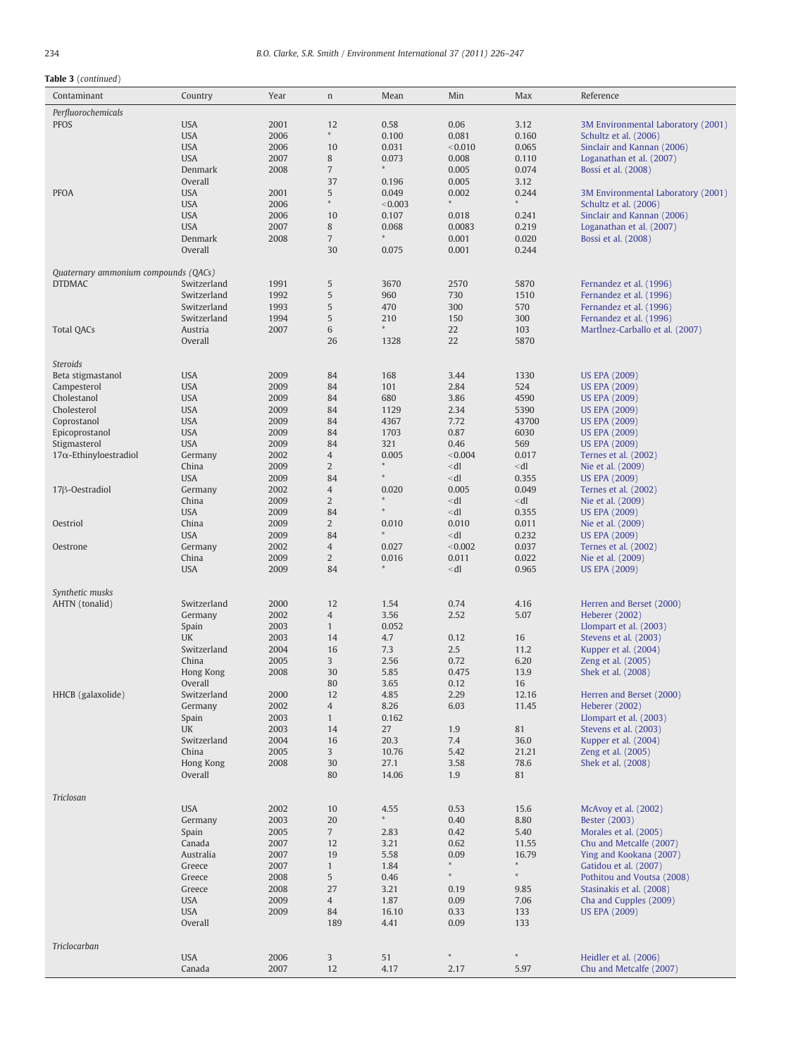#### Table 3 (continued)

| Contaminant                          | Country     | Year | n              | Mean    | Min                                                          | Max     | Reference                          |
|--------------------------------------|-------------|------|----------------|---------|--------------------------------------------------------------|---------|------------------------------------|
| Perfluorochemicals                   |             |      |                |         |                                                              |         |                                    |
| <b>PFOS</b>                          | <b>USA</b>  | 2001 | 12             | 0.58    | 0.06                                                         | 3.12    | 3M Environmental Laboratory (2001) |
|                                      |             |      | *              |         |                                                              |         |                                    |
|                                      | <b>USA</b>  | 2006 |                | 0.100   | 0.081                                                        | 0.160   | Schultz et al. (2006)              |
|                                      | <b>USA</b>  | 2006 | 10             | 0.031   | < 0.010                                                      | 0.065   | Sinclair and Kannan (2006)         |
|                                      | <b>USA</b>  | 2007 | 8              | 0.073   | 0.008                                                        | 0.110   | Loganathan et al. (2007)           |
|                                      | Denmark     | 2008 | $\overline{7}$ |         | 0.005                                                        | 0.074   | Bossi et al. (2008)                |
|                                      | Overall     |      | 37             | 0.196   | 0.005                                                        | 3.12    |                                    |
| <b>PFOA</b>                          | <b>USA</b>  | 2001 | 5              | 0.049   | 0.002                                                        | 0.244   | 3M Environmental Laboratory (2001) |
|                                      | <b>USA</b>  | 2006 | $\ast$         | < 0.003 | *                                                            | $\ast$  | Schultz et al. (2006)              |
|                                      | <b>USA</b>  | 2006 | 10             | 0.107   | 0.018                                                        | 0.241   | Sinclair and Kannan (2006)         |
|                                      | <b>USA</b>  | 2007 | 8              |         | 0.0083                                                       |         |                                    |
|                                      |             |      |                | 0.068   |                                                              | 0.219   | Loganathan et al. (2007)           |
|                                      | Denmark     | 2008 | $\overline{7}$ |         | 0.001                                                        | 0.020   | Bossi et al. (2008)                |
|                                      | Overall     |      | 30             | 0.075   | 0.001                                                        | 0.244   |                                    |
|                                      |             |      |                |         |                                                              |         |                                    |
| Quaternary ammonium compounds (QACs) |             |      |                |         |                                                              |         |                                    |
| <b>DTDMAC</b>                        | Switzerland | 1991 | 5              | 3670    | 2570                                                         | 5870    | Fernandez et al. (1996)            |
|                                      | Switzerland | 1992 | 5              | 960     | 730                                                          | 1510    | Fernandez et al. (1996)            |
|                                      | Switzerland | 1993 | 5              | 470     | 300                                                          | 570     | Fernandez et al. (1996)            |
|                                      | Switzerland | 1994 | 5              | 210     | 150                                                          | 300     | Fernandez et al. (1996)            |
| Total QACs                           | Austria     | 2007 | 6              |         | 22                                                           | 103     | Martinez-Carballo et al. (2007)    |
|                                      |             |      |                |         |                                                              |         |                                    |
|                                      | Overall     |      | 26             | 1328    | 22                                                           | 5870    |                                    |
|                                      |             |      |                |         |                                                              |         |                                    |
| <b>Steroids</b>                      |             |      |                |         |                                                              |         |                                    |
| Beta stigmastanol                    | <b>USA</b>  | 2009 | 84             | 168     | 3.44                                                         | 1330    | <b>US EPA (2009)</b>               |
| Campesterol                          | <b>USA</b>  | 2009 | 84             | 101     | 2.84                                                         | 524     | <b>US EPA (2009)</b>               |
| Cholestanol                          | <b>USA</b>  | 2009 | 84             | 680     | 3.86                                                         | 4590    | <b>US EPA (2009)</b>               |
| Cholesterol                          | <b>USA</b>  | 2009 | 84             | 1129    | 2.34                                                         | 5390    | <b>US EPA (2009)</b>               |
| Coprostanol                          | <b>USA</b>  | 2009 | 84             | 4367    | 7.72                                                         | 43700   | <b>US EPA (2009)</b>               |
|                                      | <b>USA</b>  | 2009 | 84             | 1703    | 0.87                                                         | 6030    | <b>US EPA (2009)</b>               |
| Epicoprostanol                       |             |      |                |         |                                                              |         |                                    |
| Stigmasterol                         | <b>USA</b>  | 2009 | 84             | 321     | 0.46                                                         | 569     | <b>US EPA (2009)</b>               |
| $17\alpha$ -Ethinyloestradiol        | Germany     | 2002 | $\overline{4}$ | 0.005   | < 0.004                                                      | 0.017   | Ternes et al. (2002)               |
|                                      | China       | 2009 | 2              |         | $<$ dl                                                       | $<$ dl  | Nie et al. (2009)                  |
|                                      | <b>USA</b>  | 2009 | 84             |         | $<$ dl                                                       | 0.355   | <b>US EPA (2009)</b>               |
| 17β-Oestradiol                       | Germany     | 2002 | $\overline{4}$ | 0.020   | 0.005                                                        | 0.049   | Ternes et al. (2002)               |
|                                      | China       | 2009 | $\overline{c}$ |         | $<$ dl                                                       | $<$ dl  | Nie et al. (2009)                  |
|                                      | <b>USA</b>  | 2009 | 84             |         | $<$ dl                                                       | 0.355   | <b>US EPA (2009)</b>               |
| Oestriol                             | China       | 2009 | 2              | 0.010   | 0.010                                                        | 0.011   |                                    |
|                                      |             |      |                |         |                                                              |         | Nie et al. (2009)                  |
|                                      | <b>USA</b>  | 2009 | 84             |         | <dl< td=""><td>0.232</td><td><b>US EPA (2009)</b></td></dl<> | 0.232   | <b>US EPA (2009)</b>               |
| Oestrone                             | Germany     | 2002 | $\overline{4}$ | 0.027   | < 0.002                                                      | 0.037   | Ternes et al. (2002)               |
|                                      | China       | 2009 | 2              | 0.016   | 0.011                                                        | 0.022   | Nie et al. (2009)                  |
|                                      | <b>USA</b>  | 2009 | 84             |         | <dl< td=""><td>0.965</td><td><b>US EPA (2009)</b></td></dl<> | 0.965   | <b>US EPA (2009)</b>               |
|                                      |             |      |                |         |                                                              |         |                                    |
| Synthetic musks                      |             |      |                |         |                                                              |         |                                    |
| AHTN (tonalid)                       | Switzerland | 2000 | 12             | 1.54    | 0.74                                                         | 4.16    | Herren and Berset (2000)           |
|                                      | Germany     | 2002 | $\overline{4}$ | 3.56    | 2.52                                                         | 5.07    | Heberer (2002)                     |
|                                      | Spain       | 2003 | $\mathbf{1}$   | 0.052   |                                                              |         | Llompart et al. (2003)             |
|                                      | UK          | 2003 | 14             | 4.7     | 0.12                                                         | 16      |                                    |
|                                      |             |      |                |         |                                                              |         | Stevens et al. (2003)              |
|                                      | Switzerland | 2004 | 16             | 7.3     | 2.5                                                          | 11.2    | Kupper et al. (2004)               |
|                                      | China       | 2005 | 3              | 2.56    | 0.72                                                         | 6.20    | Zeng et al. (2005)                 |
|                                      | Hong Kong   | 2008 | 30             | 5.85    | 0.475                                                        | 13.9    | Shek et al. (2008)                 |
|                                      | Overall     |      | 80             | 3.65    | 0.12                                                         | 16      |                                    |
| HHCB (galaxolide)                    | Switzerland | 2000 | 12             | 4.85    | 2.29                                                         | 12.16   | Herren and Berset (2000)           |
|                                      | Germany     | 2002 | 4              | 8.26    | 6.03                                                         | 11.45   | Heberer (2002)                     |
|                                      | Spain       | 2003 | $\mathbf{1}$   | 0.162   |                                                              |         | Llompart et al. (2003)             |
|                                      | UK          | 2003 | 14             | 27      | 1.9                                                          | 81      | Stevens et al. (2003)              |
|                                      |             |      |                |         |                                                              |         |                                    |
|                                      | Switzerland | 2004 | 16             | 20.3    | 7.4                                                          | 36.0    | Kupper et al. (2004)               |
|                                      | China       | 2005 | 3              | 10.76   | 5.42                                                         | 21.21   | Zeng et al. (2005)                 |
|                                      | Hong Kong   | 2008 | 30             | 27.1    | 3.58                                                         | 78.6    | Shek et al. (2008)                 |
|                                      | Overall     |      | 80             | 14.06   | 1.9                                                          | 81      |                                    |
|                                      |             |      |                |         |                                                              |         |                                    |
| Triclosan                            |             |      |                |         |                                                              |         |                                    |
|                                      | <b>USA</b>  | 2002 | 10             | 4.55    | 0.53                                                         | 15.6    | McAvoy et al. (2002)               |
|                                      | Germany     | 2003 | 20             |         | 0.40                                                         | 8.80    | Bester (2003)                      |
|                                      | Spain       | 2005 | $\overline{7}$ | 2.83    | 0.42                                                         | 5.40    | Morales et al. (2005)              |
|                                      | Canada      | 2007 | 12             | 3.21    | 0.62                                                         | 11.55   | Chu and Metcalfe (2007)            |
|                                      |             |      |                |         |                                                              |         |                                    |
|                                      | Australia   | 2007 | 19             | 5.58    | 0.09                                                         | 16.79   | Ying and Kookana (2007)            |
|                                      | Greece      | 2007 | $\mathbf{1}$   | 1.84    | *                                                            | $^\ast$ | Gatidou et al. (2007)              |
|                                      | Greece      | 2008 | 5              | 0.46    | $\ast$                                                       | $\ast$  | Pothitou and Voutsa (2008)         |
|                                      | Greece      | 2008 | 27             | 3.21    | 0.19                                                         | 9.85    | Stasinakis et al. (2008)           |
|                                      | <b>USA</b>  | 2009 | $\overline{4}$ | 1.87    | 0.09                                                         | 7.06    | Cha and Cupples (2009)             |
|                                      | <b>USA</b>  | 2009 | 84             | 16.10   | 0.33                                                         | 133     | <b>US EPA (2009)</b>               |
|                                      | Overall     |      | 189            | 4.41    | 0.09                                                         | 133     |                                    |
|                                      |             |      |                |         |                                                              |         |                                    |
| Triclocarban                         |             |      |                |         |                                                              |         |                                    |
|                                      |             |      |                |         | *                                                            | $\ast$  |                                    |
|                                      | <b>USA</b>  | 2006 | 3              | 51      |                                                              |         | Heidler et al. (2006)              |
|                                      | Canada      | 2007 | 12             | 4.17    | 2.17                                                         | 5.97    | Chu and Metcalfe (2007)            |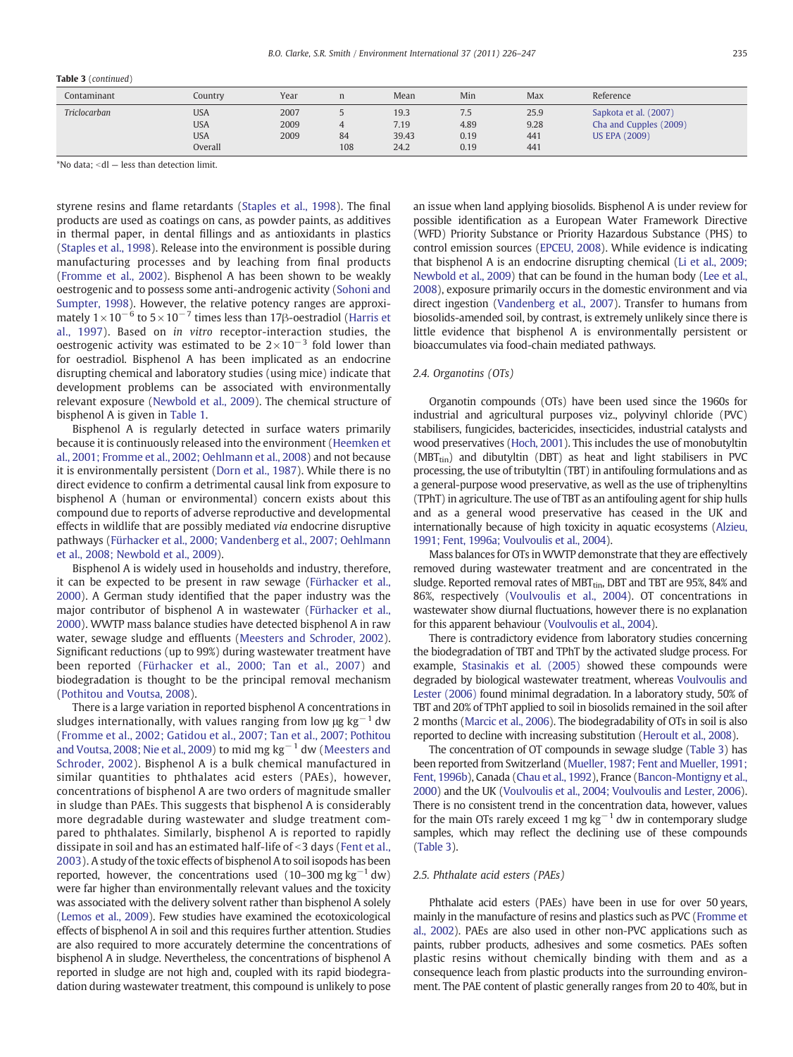#### Table 3 (continued)

| Contaminant  | Countrv                                           | Year                 | n         | Mean                          | Min                         | Max                        | Reference                                                               |
|--------------|---------------------------------------------------|----------------------|-----------|-------------------------------|-----------------------------|----------------------------|-------------------------------------------------------------------------|
| Triclocarban | <b>USA</b><br><b>USA</b><br><b>USA</b><br>Overall | 2007<br>2009<br>2009 | 84<br>108 | 19.3<br>7.19<br>39.43<br>24.2 | 7.5<br>4.89<br>0.19<br>0.19 | 25.9<br>9.28<br>441<br>441 | Sapkota et al. (2007)<br>Cha and Cupples (2009)<br><b>US EPA (2009)</b> |

 $*$ No data; <dl  $-$  less than detection limit.

styrene resins and flame retardants ([Staples et al., 1998\)](#page-20-0). The final products are used as coatings on cans, as powder paints, as additives in thermal paper, in dental fillings and as antioxidants in plastics [\(Staples et al., 1998](#page-20-0)). Release into the environment is possible during manufacturing processes and by leaching from final products [\(Fromme et al., 2002](#page-18-0)). Bisphenol A has been shown to be weakly oestrogenic and to possess some anti-androgenic activity [\(Sohoni and](#page-20-0) [Sumpter, 1998\)](#page-20-0). However, the relative potency ranges are approximately  $1 \times 10^{-6}$  to  $5 \times 10^{-7}$  times less than 17 $\beta$ -oestradiol [\(Harris et](#page-18-0) [al., 1997](#page-18-0)). Based on in vitro receptor-interaction studies, the oestrogenic activity was estimated to be  $2 \times 10^{-3}$  fold lower than for oestradiol. Bisphenol A has been implicated as an endocrine disrupting chemical and laboratory studies (using mice) indicate that development problems can be associated with environmentally relevant exposure ([Newbold et al., 2009](#page-19-0)). The chemical structure of bisphenol A is given in [Table 1](#page-3-0).

Bisphenol A is regularly detected in surface waters primarily because it is continuously released into the environment [\(Heemken et](#page-18-0) [al., 2001; Fromme et al., 2002; Oehlmann et al., 2008](#page-18-0)) and not because it is environmentally persistent ([Dorn et al., 1987\)](#page-18-0). While there is no direct evidence to confirm a detrimental causal link from exposure to bisphenol A (human or environmental) concern exists about this compound due to reports of adverse reproductive and developmental effects in wildlife that are possibly mediated via endocrine disruptive pathways [\(Fürhacker et al., 2000; Vandenberg et al., 2007; Oehlmann](#page-18-0) [et al., 2008; Newbold et al., 2009\)](#page-18-0).

Bisphenol A is widely used in households and industry, therefore, it can be expected to be present in raw sewage ([Fürhacker et al.,](#page-18-0) [2000\)](#page-18-0). A German study identified that the paper industry was the major contributor of bisphenol A in wastewater ([Fürhacker et al.,](#page-18-0) [2000\)](#page-18-0). WWTP mass balance studies have detected bisphenol A in raw water, sewage sludge and effluents [\(Meesters and Schroder, 2002](#page-19-0)). Significant reductions (up to 99%) during wastewater treatment have been reported [\(Fürhacker et al., 2000; Tan et al., 2007\)](#page-18-0) and biodegradation is thought to be the principal removal mechanism [\(Pothitou and Voutsa, 2008\)](#page-20-0).

There is a large variation in reported bisphenol A concentrations in sludges internationally, with values ranging from low  $\mu$ g kg<sup>-1</sup> dw [\(Fromme et al., 2002; Gatidou et al., 2007; Tan et al., 2007; Pothitou](#page-18-0) [and Voutsa, 2008; Nie et al., 2009](#page-18-0)) to mid mg kg<sup>−</sup> <sup>1</sup> dw ([Meesters and](#page-19-0) [Schroder, 2002](#page-19-0)). Bisphenol A is a bulk chemical manufactured in similar quantities to phthalates acid esters (PAEs), however, concentrations of bisphenol A are two orders of magnitude smaller in sludge than PAEs. This suggests that bisphenol A is considerably more degradable during wastewater and sludge treatment compared to phthalates. Similarly, bisphenol A is reported to rapidly dissipate in soil and has an estimated half-life of <3 days ([Fent et al.,](#page-18-0) [2003](#page-18-0)). A study of the toxic effects of bisphenol A to soil isopods has been reported, however, the concentrations used (10–300 mg kg<sup>-1</sup> dw) were far higher than environmentally relevant values and the toxicity was associated with the delivery solvent rather than bisphenol A solely [\(Lemos et al., 2009\)](#page-19-0). Few studies have examined the ecotoxicological effects of bisphenol A in soil and this requires further attention. Studies are also required to more accurately determine the concentrations of bisphenol A in sludge. Nevertheless, the concentrations of bisphenol A reported in sludge are not high and, coupled with its rapid biodegradation during wastewater treatment, this compound is unlikely to pose

an issue when land applying biosolids. Bisphenol A is under review for possible identification as a European Water Framework Directive (WFD) Priority Substance or Priority Hazardous Substance (PHS) to control emission sources ([EPCEU, 2008](#page-18-0)). While evidence is indicating that bisphenol A is an endocrine disrupting chemical ([Li et al., 2009;](#page-19-0) [Newbold et al., 2009\)](#page-19-0) that can be found in the human body [\(Lee et al.,](#page-19-0) [2008](#page-19-0)), exposure primarily occurs in the domestic environment and via direct ingestion ([Vandenberg et al., 2007](#page-21-0)). Transfer to humans from biosolids-amended soil, by contrast, is extremely unlikely since there is little evidence that bisphenol A is environmentally persistent or bioaccumulates via food-chain mediated pathways.

#### 2.4. Organotins (OTs)

Organotin compounds (OTs) have been used since the 1960s for industrial and agricultural purposes viz., polyvinyl chloride (PVC) stabilisers, fungicides, bactericides, insecticides, industrial catalysts and wood preservatives [\(Hoch, 2001](#page-19-0)). This includes the use of monobutyltin  $(MBT_{tin})$  and dibutyltin (DBT) as heat and light stabilisers in PVC processing, the use of tributyltin (TBT) in antifouling formulations and as a general-purpose wood preservative, as well as the use of triphenyltins (TPhT) in agriculture. The use of TBT as an antifouling agent for ship hulls and as a general wood preservative has ceased in the UK and internationally because of high toxicity in aquatic ecosystems [\(Alzieu,](#page-17-0) [1991; Fent, 1996a; Voulvoulis et al., 2004](#page-17-0)).

Mass balances for OTs in WWTP demonstrate that they are effectively removed during wastewater treatment and are concentrated in the sludge. Reported removal rates of MBT $_{\text{tin}}$ , DBT and TBT are 95%, 84% and 86%, respectively [\(Voulvoulis et al., 2004\)](#page-21-0). OT concentrations in wastewater show diurnal fluctuations, however there is no explanation for this apparent behaviour [\(Voulvoulis et al., 2004\)](#page-21-0).

There is contradictory evidence from laboratory studies concerning the biodegradation of TBT and TPhT by the activated sludge process. For example, [Stasinakis et al. \(2005\)](#page-20-0) showed these compounds were degraded by biological wastewater treatment, whereas [Voulvoulis and](#page-21-0) [Lester \(2006\)](#page-21-0) found minimal degradation. In a laboratory study, 50% of TBT and 20% of TPhT applied to soil in biosolids remained in the soil after 2 months [\(Marcic et al., 2006\)](#page-19-0). The biodegradability of OTs in soil is also reported to decline with increasing substitution [\(Heroult et al., 2008\)](#page-18-0).

The concentration of OT compounds in sewage sludge ([Table 3\)](#page-6-0) has been reported from Switzerland ([Mueller, 1987; Fent and Mueller, 1991;](#page-19-0) [Fent, 1996b](#page-19-0)), Canada [\(Chau et al., 1992\)](#page-17-0), France [\(Bancon-Montigny et al.,](#page-17-0) [2000](#page-17-0)) and the UK [\(Voulvoulis et al., 2004; Voulvoulis and Lester, 2006](#page-21-0)). There is no consistent trend in the concentration data, however, values for the main OTs rarely exceed 1 mg  $kg^{-1}$  dw in contemporary sludge samples, which may reflect the declining use of these compounds [\(Table 3](#page-6-0)).

#### 2.5. Phthalate acid esters (PAEs)

Phthalate acid esters (PAEs) have been in use for over 50 years, mainly in the manufacture of resins and plastics such as PVC [\(Fromme et](#page-18-0) [al., 2002](#page-18-0)). PAEs are also used in other non-PVC applications such as paints, rubber products, adhesives and some cosmetics. PAEs soften plastic resins without chemically binding with them and as a consequence leach from plastic products into the surrounding environment. The PAE content of plastic generally ranges from 20 to 40%, but in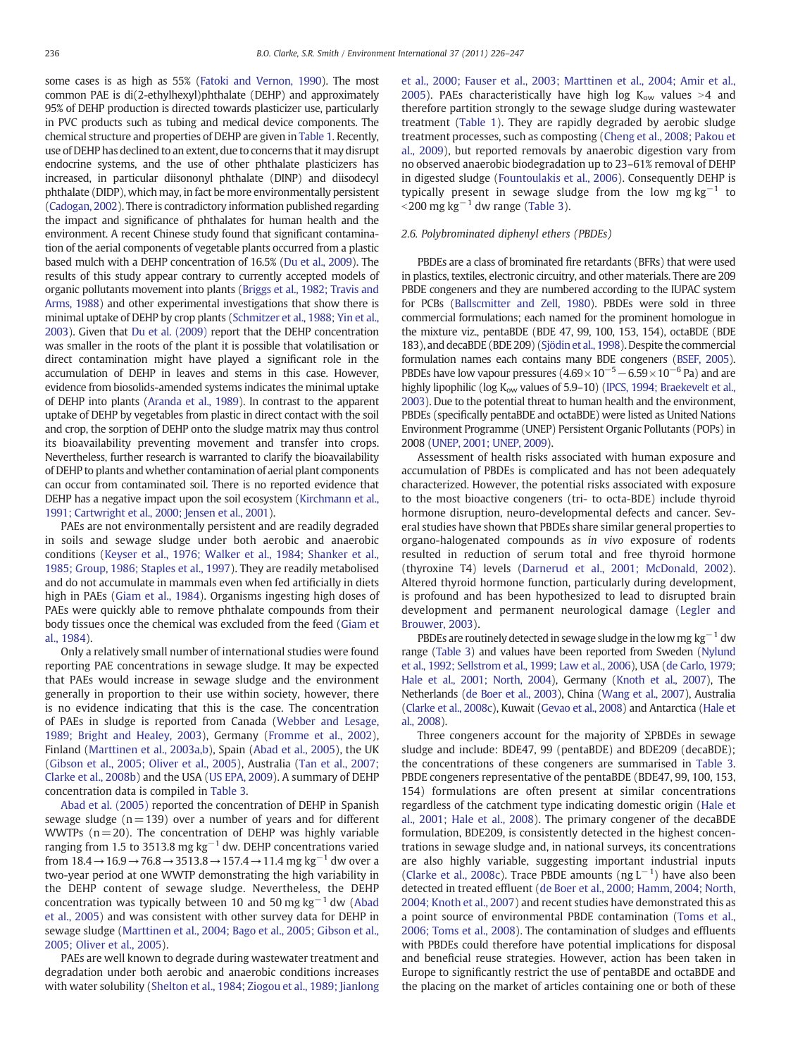some cases is as high as 55% [\(Fatoki and Vernon, 1990](#page-18-0)). The most common PAE is di(2-ethylhexyl)phthalate (DEHP) and approximately 95% of DEHP production is directed towards plasticizer use, particularly in PVC products such as tubing and medical device components. The chemical structure and properties of DEHP are given in [Table 1.](#page-3-0) Recently, use of DEHP has declined to an extent, due to concerns that it may disrupt endocrine systems, and the use of other phthalate plasticizers has increased, in particular diisononyl phthalate (DINP) and diisodecyl phthalate (DIDP), which may, in fact be more environmentally persistent [\(Cadogan, 2002](#page-17-0)). There is contradictory information published regarding the impact and significance of phthalates for human health and the environment. A recent Chinese study found that significant contamination of the aerial components of vegetable plants occurred from a plastic based mulch with a DEHP concentration of 16.5% [\(Du et al., 2009](#page-18-0)). The results of this study appear contrary to currently accepted models of organic pollutants movement into plants [\(Briggs et al., 1982; Travis and](#page-17-0) [Arms, 1988](#page-17-0)) and other experimental investigations that show there is minimal uptake of DEHP by crop plants [\(Schmitzer et al., 1988; Yin et al.,](#page-20-0) [2003](#page-20-0)). Given that [Du et al. \(2009\)](#page-18-0) report that the DEHP concentration was smaller in the roots of the plant it is possible that volatilisation or direct contamination might have played a significant role in the accumulation of DEHP in leaves and stems in this case. However, evidence from biosolids-amended systems indicates the minimal uptake of DEHP into plants [\(Aranda et al., 1989](#page-17-0)). In contrast to the apparent uptake of DEHP by vegetables from plastic in direct contact with the soil and crop, the sorption of DEHP onto the sludge matrix may thus control its bioavailability preventing movement and transfer into crops. Nevertheless, further research is warranted to clarify the bioavailability of DEHP to plants and whether contamination of aerial plant components can occur from contaminated soil. There is no reported evidence that DEHP has a negative impact upon the soil ecosystem [\(Kirchmann et al.,](#page-19-0) [1991; Cartwright et al., 2000; Jensen et al., 2001\)](#page-19-0).

PAEs are not environmentally persistent and are readily degraded in soils and sewage sludge under both aerobic and anaerobic conditions ([Keyser et al., 1976; Walker et al., 1984; Shanker et al.,](#page-19-0) [1985; Group, 1986; Staples et al., 1997](#page-19-0)). They are readily metabolised and do not accumulate in mammals even when fed artificially in diets high in PAEs ([Giam et al., 1984\)](#page-18-0). Organisms ingesting high doses of PAEs were quickly able to remove phthalate compounds from their body tissues once the chemical was excluded from the feed [\(Giam et](#page-18-0) [al., 1984](#page-18-0)).

Only a relatively small number of international studies were found reporting PAE concentrations in sewage sludge. It may be expected that PAEs would increase in sewage sludge and the environment generally in proportion to their use within society, however, there is no evidence indicating that this is the case. The concentration of PAEs in sludge is reported from Canada [\(Webber and Lesage,](#page-21-0) [1989; Bright and Healey, 2003](#page-21-0)), Germany ([Fromme et al., 2002](#page-18-0)), Finland ([Marttinen et al., 2003a,b\)](#page-19-0), Spain [\(Abad et al., 2005\)](#page-17-0), the UK [\(Gibson et al., 2005; Oliver et al., 2005\)](#page-18-0), Australia ([Tan et al., 2007;](#page-20-0) [Clarke et al., 2008b](#page-20-0)) and the USA [\(US EPA, 2009\)](#page-21-0). A summary of DEHP concentration data is compiled in [Table 3.](#page-6-0)

[Abad et al. \(2005\)](#page-17-0) reported the concentration of DEHP in Spanish sewage sludge  $(n= 139)$  over a number of years and for different WWTPs  $(n=20)$ . The concentration of DEHP was highly variable ranging from 1.5 to 3513.8 mg kg−<sup>1</sup> dw. DEHP concentrations varied from  $18.4 \rightarrow 16.9 \rightarrow 76.8 \rightarrow 3513.8 \rightarrow 157.4 \rightarrow 11.4$  mg kg<sup>-1</sup> dw over a two-year period at one WWTP demonstrating the high variability in the DEHP content of sewage sludge. Nevertheless, the DEHP concentration was typically between 10 and 50 mg kg<sup> $-1$ </sup> dw [\(Abad](#page-17-0) [et al., 2005\)](#page-17-0) and was consistent with other survey data for DEHP in sewage sludge ([Marttinen et al., 2004; Bago et al., 2005; Gibson et al.,](#page-19-0) [2005; Oliver et al., 2005](#page-19-0)).

PAEs are well known to degrade during wastewater treatment and degradation under both aerobic and anaerobic conditions increases with water solubility ([Shelton et al., 1984; Ziogou et al., 1989; Jianlong](#page-20-0) [et al., 2000; Fauser et al., 2003; Marttinen et al., 2004; Amir et al.,](#page-20-0) [2005\)](#page-20-0). PAEs characteristically have high log  $K_{ow}$  values >4 and therefore partition strongly to the sewage sludge during wastewater treatment [\(Table 1](#page-3-0)). They are rapidly degraded by aerobic sludge treatment processes, such as composting ([Cheng et al., 2008; Pakou et](#page-17-0) [al., 2009](#page-17-0)), but reported removals by anaerobic digestion vary from no observed anaerobic biodegradation up to 23–61% removal of DEHP in digested sludge ([Fountoulakis et al., 2006](#page-18-0)). Consequently DEHP is typically present in sewage sludge from the low mg kg<sup>-1</sup> to  $\leq$ 200 mg kg<sup>−1</sup> dw range [\(Table 3\)](#page-6-0).

#### 2.6. Polybrominated diphenyl ethers (PBDEs)

PBDEs are a class of brominated fire retardants (BFRs) that were used in plastics, textiles, electronic circuitry, and other materials. There are 209 PBDE congeners and they are numbered according to the IUPAC system for PCBs ([Ballscmitter and Zell, 1980](#page-17-0)). PBDEs were sold in three commercial formulations; each named for the prominent homologue in the mixture viz., pentaBDE (BDE 47, 99, 100, 153, 154), octaBDE (BDE 183), and decaBDE (BDE 209) [\(Sjödin et al., 1998\)](#page-20-0). Despite the commercial formulation names each contains many BDE congeners [\(BSEF, 2005\)](#page-17-0). PBDEs have low vapour pressures  $(4.69 \times 10^{-5} - 6.59 \times 10^{-6}$  Pa) and are highly lipophilic (log K<sub>ow</sub> values of 5.9–10) [\(IPCS, 1994; Braekevelt et al.,](#page-19-0) [2003](#page-19-0)). Due to the potential threat to human health and the environment, PBDEs (specifically pentaBDE and octaBDE) were listed as United Nations Environment Programme (UNEP) Persistent Organic Pollutants (POPs) in 2008 ([UNEP, 2001; UNEP, 2009\)](#page-20-0).

Assessment of health risks associated with human exposure and accumulation of PBDEs is complicated and has not been adequately characterized. However, the potential risks associated with exposure to the most bioactive congeners (tri- to octa-BDE) include thyroid hormone disruption, neuro-developmental defects and cancer. Several studies have shown that PBDEs share similar general properties to organo-halogenated compounds as in vivo exposure of rodents resulted in reduction of serum total and free thyroid hormone (thyroxine T4) levels [\(Darnerud et al., 2001; McDonald, 2002](#page-17-0)). Altered thyroid hormone function, particularly during development, is profound and has been hypothesized to lead to disrupted brain development and permanent neurological damage ([Legler and](#page-19-0) [Brouwer, 2003](#page-19-0)).

PBDEs are routinely detected in sewage sludge in the low mg  $kg^{-1}$  dw range ([Table 3\)](#page-6-0) and values have been reported from Sweden [\(Nylund](#page-19-0) [et al., 1992; Sellstrom et al., 1999; Law et al., 2006\)](#page-19-0), USA ([de Carlo, 1979;](#page-17-0) [Hale et al., 2001; North, 2004](#page-17-0)), Germany [\(Knoth et al., 2007\)](#page-19-0), The Netherlands [\(de Boer et al., 2003\)](#page-17-0), China [\(Wang et al., 2007](#page-21-0)), Australia [\(Clarke et al., 2008c\)](#page-17-0), Kuwait ([Gevao et al., 2008\)](#page-18-0) and Antarctica [\(Hale et](#page-18-0) [al., 2008](#page-18-0)).

Three congeners account for the majority of ΣPBDEs in sewage sludge and include: BDE47, 99 (pentaBDE) and BDE209 (decaBDE); the concentrations of these congeners are summarised in [Table 3.](#page-6-0) PBDE congeners representative of the pentaBDE (BDE47, 99, 100, 153, 154) formulations are often present at similar concentrations regardless of the catchment type indicating domestic origin ([Hale et](#page-18-0) [al., 2001; Hale et al., 2008](#page-18-0)). The primary congener of the decaBDE formulation, BDE209, is consistently detected in the highest concentrations in sewage sludge and, in national surveys, its concentrations are also highly variable, suggesting important industrial inputs [\(Clarke et al., 2008c\)](#page-17-0). Trace PBDE amounts (ng L−<sup>1</sup> ) have also been detected in treated effluent ([de Boer et al., 2000; Hamm, 2004; North,](#page-17-0) [2004; Knoth et al., 2007\)](#page-17-0) and recent studies have demonstrated this as a point source of environmental PBDE contamination [\(Toms et al.,](#page-20-0) [2006; Toms et al., 2008](#page-20-0)). The contamination of sludges and effluents with PBDEs could therefore have potential implications for disposal and beneficial reuse strategies. However, action has been taken in Europe to significantly restrict the use of pentaBDE and octaBDE and the placing on the market of articles containing one or both of these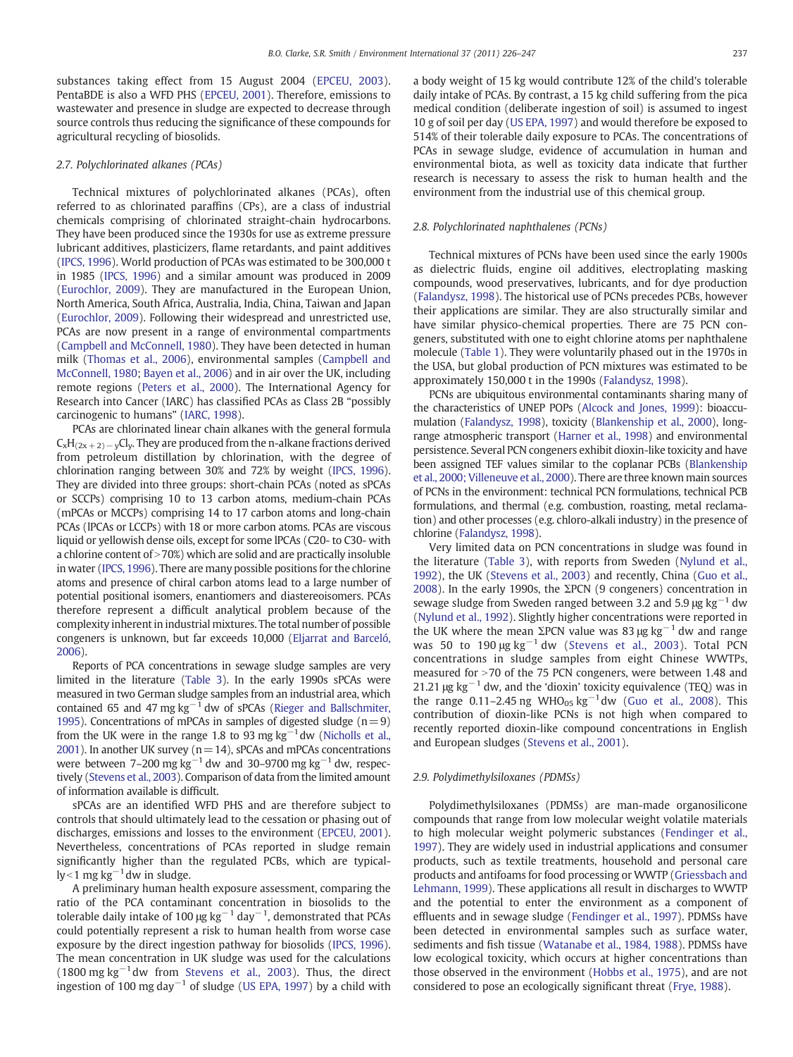substances taking effect from 15 August 2004 [\(EPCEU, 2003](#page-18-0)). PentaBDE is also a WFD PHS ([EPCEU, 2001](#page-18-0)). Therefore, emissions to wastewater and presence in sludge are expected to decrease through source controls thus reducing the significance of these compounds for agricultural recycling of biosolids.

#### 2.7. Polychlorinated alkanes (PCAs)

Technical mixtures of polychlorinated alkanes (PCAs), often referred to as chlorinated paraffins (CPs), are a class of industrial chemicals comprising of chlorinated straight-chain hydrocarbons. They have been produced since the 1930s for use as extreme pressure lubricant additives, plasticizers, flame retardants, and paint additives [\(IPCS, 1996\)](#page-19-0). World production of PCAs was estimated to be 300,000 t in 1985 [\(IPCS, 1996\)](#page-19-0) and a similar amount was produced in 2009 [\(Eurochlor, 2009](#page-18-0)). They are manufactured in the European Union, North America, South Africa, Australia, India, China, Taiwan and Japan [\(Eurochlor, 2009](#page-18-0)). Following their widespread and unrestricted use, PCAs are now present in a range of environmental compartments [\(Campbell and McConnell, 1980\)](#page-17-0). They have been detected in human milk ([Thomas et al., 2006](#page-20-0)), environmental samples [\(Campbell and](#page-17-0) [McConnell, 1980](#page-17-0); [Bayen et al., 2006](#page-17-0)) and in air over the UK, including remote regions ([Peters et al., 2000\)](#page-20-0). The International Agency for Research into Cancer (IARC) has classified PCAs as Class 2B "possibly carcinogenic to humans" ([IARC, 1998](#page-19-0)).

PCAs are chlorinated linear chain alkanes with the general formula  $C_xH_{(2x+2)-y}C_x$ . They are produced from the n-alkane fractions derived from petroleum distillation by chlorination, with the degree of chlorination ranging between 30% and 72% by weight ([IPCS, 1996](#page-19-0)). They are divided into three groups: short-chain PCAs (noted as sPCAs or SCCPs) comprising 10 to 13 carbon atoms, medium-chain PCAs (mPCAs or MCCPs) comprising 14 to 17 carbon atoms and long-chain PCAs (lPCAs or LCCPs) with 18 or more carbon atoms. PCAs are viscous liquid or yellowish dense oils, except for some lPCAs (C20- to C30- with a chlorine content of  $>70\%$ ) which are solid and are practically insoluble in water ([IPCS, 1996](#page-19-0)). There are many possible positions for the chlorine atoms and presence of chiral carbon atoms lead to a large number of potential positional isomers, enantiomers and diastereoisomers. PCAs therefore represent a difficult analytical problem because of the complexity inherent in industrial mixtures. The total number of possible congeners is unknown, but far exceeds 10,000 [\(Eljarrat and Barceló,](#page-18-0) [2006](#page-18-0)).

Reports of PCA concentrations in sewage sludge samples are very limited in the literature [\(Table 3\)](#page-6-0). In the early 1990s sPCAs were measured in two German sludge samples from an industrial area, which contained 65 and 47 mg kg<sup>-1</sup> dw of sPCAs [\(Rieger and Ballschmiter,](#page-20-0) [1995](#page-20-0)). Concentrations of mPCAs in samples of digested sludge  $(n=9)$ from the UK were in the range 1.8 to 93 mg kg<sup>-1</sup>dw [\(Nicholls et al.,](#page-19-0) [2001](#page-19-0)). In another UK survey ( $n=14$ ), sPCAs and mPCAs concentrations were between 7–200 mg kg<sup>-1</sup> dw and 30–9700 mg kg<sup>-1</sup> dw, respectively [\(Stevens et al., 2003](#page-20-0)). Comparison of data from the limited amount of information available is difficult.

sPCAs are an identified WFD PHS and are therefore subject to controls that should ultimately lead to the cessation or phasing out of discharges, emissions and losses to the environment ([EPCEU, 2001](#page-18-0)). Nevertheless, concentrations of PCAs reported in sludge remain significantly higher than the regulated PCBs, which are typically<1 mg kg<sup>-1</sup>dw in sludge.

A preliminary human health exposure assessment, comparing the ratio of the PCA contaminant concentration in biosolids to the tolerable daily intake of 100  $\mu$ g kg<sup>−1</sup> day<sup>−1</sup>, demonstrated that PCAs could potentially represent a risk to human health from worse case exposure by the direct ingestion pathway for biosolids ([IPCS, 1996](#page-19-0)). The mean concentration in UK sludge was used for the calculations (1800 mg kg<sup> $-1$ </sup>dw from [Stevens et al., 2003\)](#page-20-0). Thus, the direct ingestion of 100 mg day−<sup>1</sup> of sludge [\(US EPA, 1997\)](#page-20-0) by a child with a body weight of 15 kg would contribute 12% of the child's tolerable daily intake of PCAs. By contrast, a 15 kg child suffering from the pica medical condition (deliberate ingestion of soil) is assumed to ingest 10 g of soil per day [\(US EPA, 1997\)](#page-20-0) and would therefore be exposed to 514% of their tolerable daily exposure to PCAs. The concentrations of PCAs in sewage sludge, evidence of accumulation in human and environmental biota, as well as toxicity data indicate that further research is necessary to assess the risk to human health and the environment from the industrial use of this chemical group.

#### 2.8. Polychlorinated naphthalenes (PCNs)

Technical mixtures of PCNs have been used since the early 1900s as dielectric fluids, engine oil additives, electroplating masking compounds, wood preservatives, lubricants, and for dye production [\(Falandysz, 1998\)](#page-18-0). The historical use of PCNs precedes PCBs, however their applications are similar. They are also structurally similar and have similar physico-chemical properties. There are 75 PCN congeners, substituted with one to eight chlorine atoms per naphthalene molecule [\(Table 1](#page-3-0)). They were voluntarily phased out in the 1970s in the USA, but global production of PCN mixtures was estimated to be approximately 150,000 t in the 1990s ([Falandysz, 1998\)](#page-18-0).

PCNs are ubiquitous environmental contaminants sharing many of the characteristics of UNEP POPs [\(Alcock and Jones, 1999](#page-17-0)): bioaccumulation [\(Falandysz, 1998](#page-18-0)), toxicity ([Blankenship et al., 2000\)](#page-17-0), longrange atmospheric transport [\(Harner et al., 1998\)](#page-18-0) and environmental persistence. Several PCN congeners exhibit dioxin-like toxicity and have been assigned TEF values similar to the coplanar PCBs [\(Blankenship](#page-17-0) [et al., 2000; Villeneuve et al., 2000](#page-17-0)). There are three known main sources of PCNs in the environment: technical PCN formulations, technical PCB formulations, and thermal (e.g. combustion, roasting, metal reclamation) and other processes (e.g. chloro-alkali industry) in the presence of chlorine [\(Falandysz, 1998](#page-18-0)).

Very limited data on PCN concentrations in sludge was found in the literature [\(Table 3\)](#page-6-0), with reports from Sweden ([Nylund et al.,](#page-19-0) [1992\)](#page-19-0), the UK ([Stevens et al., 2003](#page-20-0)) and recently, China [\(Guo et al.,](#page-18-0) [2008\)](#page-18-0). In the early 1990s, the ΣPCN (9 congeners) concentration in sewage sludge from Sweden ranged between 3.2 and 5.9  $\mu$ g kg<sup>-1</sup> dw [\(Nylund et al., 1992](#page-19-0)). Slightly higher concentrations were reported in the UK where the mean ∑PCN value was 83  $\mu$ g kg<sup>-1</sup> dw and range was 50 to 190  $\mu$ g kg<sup>-1</sup> dw ([Stevens et al., 2003\)](#page-20-0). Total PCN concentrations in sludge samples from eight Chinese WWTPs, measured for  $>$  70 of the 75 PCN congeners, were between 1.48 and 21.21 μg  $kg^{-1}$  dw, and the 'dioxin' toxicity equivalence (TEQ) was in the range 0.11–2.45 ng WHO<sub>05</sub> kg<sup>-1</sup>dw ([Guo et al., 2008](#page-18-0)). This contribution of dioxin-like PCNs is not high when compared to recently reported dioxin-like compound concentrations in English and European sludges ([Stevens et al., 2001\)](#page-20-0).

#### 2.9. Polydimethylsiloxanes (PDMSs)

Polydimethylsiloxanes (PDMSs) are man-made organosilicone compounds that range from low molecular weight volatile materials to high molecular weight polymeric substances ([Fendinger et al.,](#page-18-0) [1997\)](#page-18-0). They are widely used in industrial applications and consumer products, such as textile treatments, household and personal care products and antifoams for food processing or WWTP ([Griessbach and](#page-18-0) [Lehmann, 1999](#page-18-0)). These applications all result in discharges to WWTP and the potential to enter the environment as a component of effluents and in sewage sludge ([Fendinger et al., 1997\)](#page-18-0). PDMSs have been detected in environmental samples such as surface water, sediments and fish tissue [\(Watanabe et al., 1984, 1988](#page-21-0)). PDMSs have low ecological toxicity, which occurs at higher concentrations than those observed in the environment ([Hobbs et al., 1975](#page-19-0)), and are not considered to pose an ecologically significant threat ([Frye, 1988\)](#page-18-0).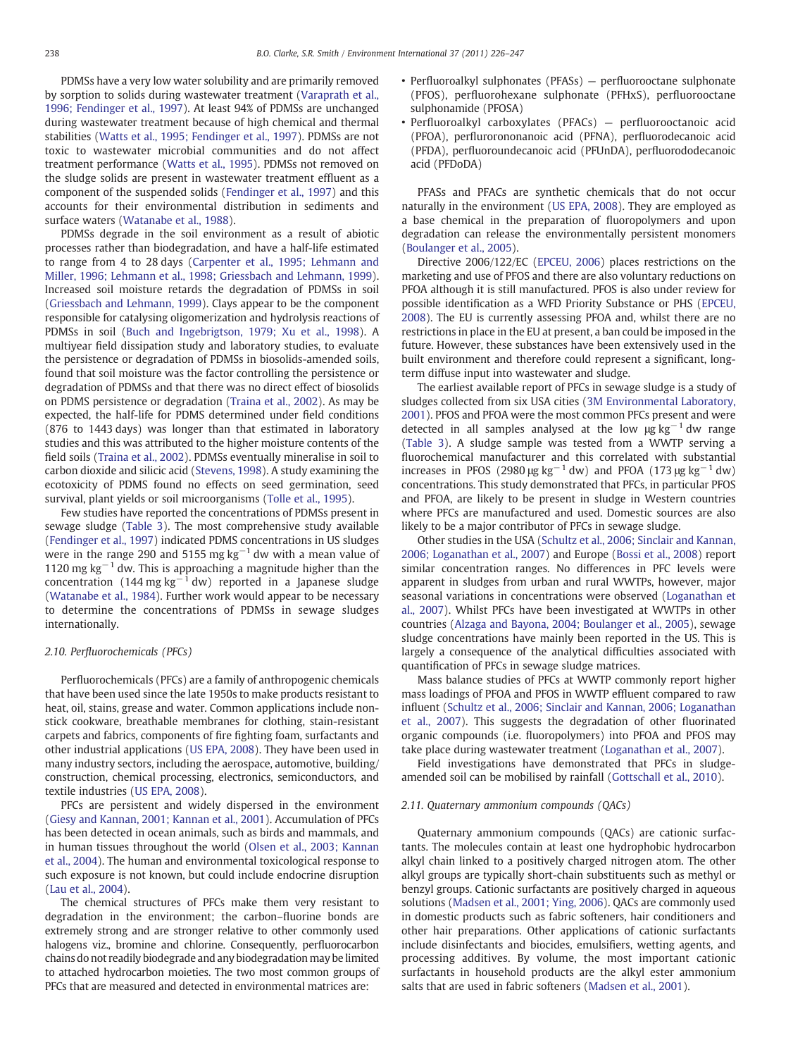PDMSs have a very low water solubility and are primarily removed by sorption to solids during wastewater treatment [\(Varaprath et al.,](#page-21-0) [1996; Fendinger et al., 1997](#page-21-0)). At least 94% of PDMSs are unchanged during wastewater treatment because of high chemical and thermal stabilities ([Watts et al., 1995; Fendinger et al., 1997](#page-21-0)). PDMSs are not toxic to wastewater microbial communities and do not affect treatment performance [\(Watts et al., 1995](#page-21-0)). PDMSs not removed on the sludge solids are present in wastewater treatment effluent as a component of the suspended solids ([Fendinger et al., 1997](#page-18-0)) and this accounts for their environmental distribution in sediments and surface waters ([Watanabe et al., 1988\)](#page-21-0).

PDMSs degrade in the soil environment as a result of abiotic processes rather than biodegradation, and have a half-life estimated to range from 4 to 28 days ([Carpenter et al., 1995; Lehmann and](#page-17-0) [Miller, 1996; Lehmann et al., 1998; Griessbach and Lehmann, 1999](#page-17-0)). Increased soil moisture retards the degradation of PDMSs in soil [\(Griessbach and Lehmann, 1999](#page-18-0)). Clays appear to be the component responsible for catalysing oligomerization and hydrolysis reactions of PDMSs in soil ([Buch and Ingebrigtson, 1979; Xu et al., 1998\)](#page-17-0). A multiyear field dissipation study and laboratory studies, to evaluate the persistence or degradation of PDMSs in biosolids-amended soils, found that soil moisture was the factor controlling the persistence or degradation of PDMSs and that there was no direct effect of biosolids on PDMS persistence or degradation [\(Traina et al., 2002\)](#page-20-0). As may be expected, the half-life for PDMS determined under field conditions (876 to 1443 days) was longer than that estimated in laboratory studies and this was attributed to the higher moisture contents of the field soils ([Traina et al., 2002](#page-20-0)). PDMSs eventually mineralise in soil to carbon dioxide and silicic acid ([Stevens, 1998\)](#page-20-0). A study examining the ecotoxicity of PDMS found no effects on seed germination, seed survival, plant yields or soil microorganisms ([Tolle et al., 1995](#page-20-0)).

Few studies have reported the concentrations of PDMSs present in sewage sludge ([Table 3\)](#page-6-0). The most comprehensive study available [\(Fendinger et al., 1997](#page-18-0)) indicated PDMS concentrations in US sludges were in the range 290 and 5155 mg  $kg^{-1}$  dw with a mean value of 1120 mg kg<sup>-1</sup> dw. This is approaching a magnitude higher than the concentration (144 mg kg<sup>-1</sup> dw) reported in a Japanese sludge [\(Watanabe et al., 1984\)](#page-21-0). Further work would appear to be necessary to determine the concentrations of PDMSs in sewage sludges internationally.

#### 2.10. Perfluorochemicals (PFCs)

Perfluorochemicals (PFCs) are a family of anthropogenic chemicals that have been used since the late 1950s to make products resistant to heat, oil, stains, grease and water. Common applications include nonstick cookware, breathable membranes for clothing, stain-resistant carpets and fabrics, components of fire fighting foam, surfactants and other industrial applications ([US EPA, 2008](#page-21-0)). They have been used in many industry sectors, including the aerospace, automotive, building/ construction, chemical processing, electronics, semiconductors, and textile industries [\(US EPA, 2008](#page-21-0)).

PFCs are persistent and widely dispersed in the environment [\(Giesy and Kannan, 2001; Kannan et al., 2001](#page-18-0)). Accumulation of PFCs has been detected in ocean animals, such as birds and mammals, and in human tissues throughout the world ([Olsen et al., 2003; Kannan](#page-20-0) [et al., 2004](#page-20-0)). The human and environmental toxicological response to such exposure is not known, but could include endocrine disruption [\(Lau et al., 2004](#page-19-0)).

The chemical structures of PFCs make them very resistant to degradation in the environment; the carbon–fluorine bonds are extremely strong and are stronger relative to other commonly used halogens viz., bromine and chlorine. Consequently, perfluorocarbon chains do not readily biodegrade and any biodegradation may be limited to attached hydrocarbon moieties. The two most common groups of PFCs that are measured and detected in environmental matrices are:

- Perfluoroalkyl sulphonates (PFASs) perfluorooctane sulphonate (PFOS), perfluorohexane sulphonate (PFHxS), perfluorooctane sulphonamide (PFOSA)
- Perfluoroalkyl carboxylates (PFACs) perfluorooctanoic acid (PFOA), perflurorononanoic acid (PFNA), perfluorodecanoic acid (PFDA), perfluoroundecanoic acid (PFUnDA), perfluorododecanoic acid (PFDoDA)

PFASs and PFACs are synthetic chemicals that do not occur naturally in the environment ([US EPA, 2008](#page-21-0)). They are employed as a base chemical in the preparation of fluoropolymers and upon degradation can release the environmentally persistent monomers [\(Boulanger et al., 2005](#page-17-0)).

Directive 2006/122/EC ([EPCEU, 2006\)](#page-18-0) places restrictions on the marketing and use of PFOS and there are also voluntary reductions on PFOA although it is still manufactured. PFOS is also under review for possible identification as a WFD Priority Substance or PHS [\(EPCEU,](#page-18-0) [2008\)](#page-18-0). The EU is currently assessing PFOA and, whilst there are no restrictions in place in the EU at present, a ban could be imposed in the future. However, these substances have been extensively used in the built environment and therefore could represent a significant, longterm diffuse input into wastewater and sludge.

The earliest available report of PFCs in sewage sludge is a study of sludges collected from six USA cities [\(3M Environmental Laboratory,](#page-17-0) [2001\)](#page-17-0). PFOS and PFOA were the most common PFCs present and were detected in all samples analysed at the low  $\mu$ g kg<sup>-1</sup> dw range [\(Table 3\)](#page-6-0). A sludge sample was tested from a WWTP serving a fluorochemical manufacturer and this correlated with substantial increases in PFOS (2980  $\mu$ g kg<sup>-1</sup> dw) and PFOA (173  $\mu$ g kg<sup>-1</sup> dw) concentrations. This study demonstrated that PFCs, in particular PFOS and PFOA, are likely to be present in sludge in Western countries where PFCs are manufactured and used. Domestic sources are also likely to be a major contributor of PFCs in sewage sludge.

Other studies in the USA [\(Schultz et al., 2006; Sinclair and Kannan,](#page-20-0) [2006; Loganathan et al., 2007\)](#page-20-0) and Europe [\(Bossi et al., 2008](#page-17-0)) report similar concentration ranges. No differences in PFC levels were apparent in sludges from urban and rural WWTPs, however, major seasonal variations in concentrations were observed ([Loganathan et](#page-19-0) [al., 2007](#page-19-0)). Whilst PFCs have been investigated at WWTPs in other countries ([Alzaga and Bayona, 2004; Boulanger et al., 2005\)](#page-17-0), sewage sludge concentrations have mainly been reported in the US. This is largely a consequence of the analytical difficulties associated with quantification of PFCs in sewage sludge matrices.

Mass balance studies of PFCs at WWTP commonly report higher mass loadings of PFOA and PFOS in WWTP effluent compared to raw influent [\(Schultz et al., 2006; Sinclair and Kannan, 2006; Loganathan](#page-20-0) [et al., 2007](#page-20-0)). This suggests the degradation of other fluorinated organic compounds (i.e. fluoropolymers) into PFOA and PFOS may take place during wastewater treatment ([Loganathan et al., 2007](#page-19-0)).

Field investigations have demonstrated that PFCs in sludgeamended soil can be mobilised by rainfall ([Gottschall et al., 2010\)](#page-18-0).

#### 2.11. Quaternary ammonium compounds (QACs)

Quaternary ammonium compounds (QACs) are cationic surfactants. The molecules contain at least one hydrophobic hydrocarbon alkyl chain linked to a positively charged nitrogen atom. The other alkyl groups are typically short-chain substituents such as methyl or benzyl groups. Cationic surfactants are positively charged in aqueous solutions [\(Madsen et al., 2001; Ying, 2006](#page-19-0)). QACs are commonly used in domestic products such as fabric softeners, hair conditioners and other hair preparations. Other applications of cationic surfactants include disinfectants and biocides, emulsifiers, wetting agents, and processing additives. By volume, the most important cationic surfactants in household products are the alkyl ester ammonium salts that are used in fabric softeners [\(Madsen et al., 2001](#page-19-0)).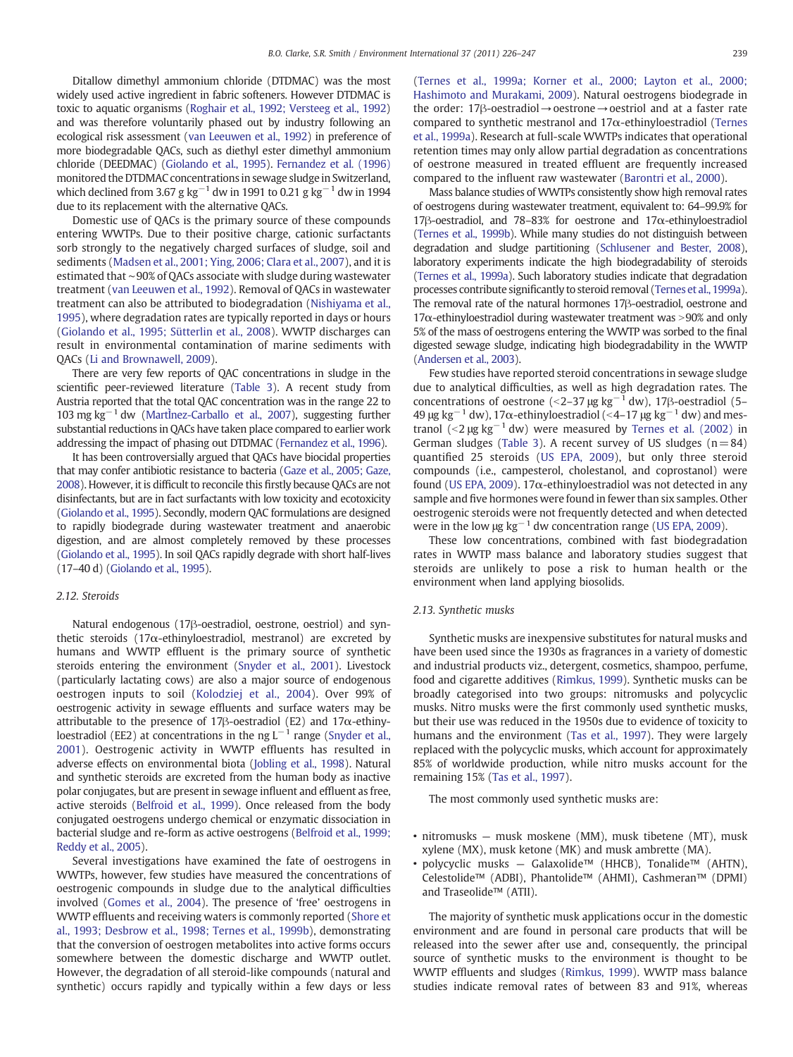Ditallow dimethyl ammonium chloride (DTDMAC) was the most widely used active ingredient in fabric softeners. However DTDMAC is toxic to aquatic organisms ([Roghair et al., 1992; Versteeg et al., 1992](#page-20-0)) and was therefore voluntarily phased out by industry following an ecological risk assessment ([van Leeuwen et al., 1992\)](#page-21-0) in preference of more biodegradable QACs, such as diethyl ester dimethyl ammonium chloride (DEEDMAC) ([Giolando et al., 1995\)](#page-18-0). [Fernandez et al. \(1996\)](#page-18-0) monitored the DTDMAC concentrations in sewage sludge in Switzerland, which declined from 3.67 g kg<sup>-1</sup> dw in 1991 to 0.21 g kg<sup>-1</sup> dw in 1994 due to its replacement with the alternative QACs.

Domestic use of QACs is the primary source of these compounds entering WWTPs. Due to their positive charge, cationic surfactants sorb strongly to the negatively charged surfaces of sludge, soil and sediments ([Madsen et al., 2001; Ying, 2006; Clara et al., 2007\)](#page-19-0), and it is estimated that ∼90% of QACs associate with sludge during wastewater treatment [\(van Leeuwen et al., 1992](#page-21-0)). Removal of QACs in wastewater treatment can also be attributed to biodegradation [\(Nishiyama et al.,](#page-19-0) [1995\)](#page-19-0), where degradation rates are typically reported in days or hours [\(Giolando et al., 1995; Sütterlin et al., 2008](#page-18-0)). WWTP discharges can result in environmental contamination of marine sediments with QACs ([Li and Brownawell, 2009](#page-19-0)).

There are very few reports of QAC concentrations in sludge in the scientific peer-reviewed literature ([Table 3\)](#page-6-0). A recent study from Austria reported that the total QAC concentration was in the range 22 to 103 mg kg−<sup>1</sup> dw ([MartÌnez-Carballo et al., 2007\)](#page-19-0), suggesting further substantial reductions in QACs have taken place compared to earlier work addressing the impact of phasing out DTDMAC [\(Fernandez et al., 1996\)](#page-18-0).

It has been controversially argued that QACs have biocidal properties that may confer antibiotic resistance to bacteria [\(Gaze et al., 2005; Gaze,](#page-18-0) [2008\)](#page-18-0). However, it is difficult to reconcile this firstly because QACs are not disinfectants, but are in fact surfactants with low toxicity and ecotoxicity [\(Giolando et al., 1995\)](#page-18-0). Secondly, modern QAC formulations are designed to rapidly biodegrade during wastewater treatment and anaerobic digestion, and are almost completely removed by these processes [\(Giolando et al., 1995\)](#page-18-0). In soil QACs rapidly degrade with short half-lives (17–40 d) [\(Giolando et al., 1995\)](#page-18-0).

#### 2.12. Steroids

Natural endogenous (17β-oestradiol, oestrone, oestriol) and synthetic steroids (17α-ethinyloestradiol, mestranol) are excreted by humans and WWTP effluent is the primary source of synthetic steroids entering the environment [\(Snyder et al., 2001](#page-20-0)). Livestock (particularly lactating cows) are also a major source of endogenous oestrogen inputs to soil [\(Kolodziej et al., 2004\)](#page-19-0). Over 99% of oestrogenic activity in sewage effluents and surface waters may be attributable to the presence of 17 $\beta$ -oestradiol (E2) and 17 $\alpha$ -ethinyloestradiol (EE2) at concentrations in the ng  $L^{-1}$  range ([Snyder et al.,](#page-20-0) [2001](#page-20-0)). Oestrogenic activity in WWTP effluents has resulted in adverse effects on environmental biota ([Jobling et al., 1998\)](#page-19-0). Natural and synthetic steroids are excreted from the human body as inactive polar conjugates, but are present in sewage influent and effluent as free, active steroids [\(Belfroid et al., 1999\)](#page-17-0). Once released from the body conjugated oestrogens undergo chemical or enzymatic dissociation in bacterial sludge and re-form as active oestrogens [\(Belfroid et al., 1999;](#page-17-0) [Reddy et al., 2005\)](#page-17-0).

Several investigations have examined the fate of oestrogens in WWTPs, however, few studies have measured the concentrations of oestrogenic compounds in sludge due to the analytical difficulties involved ([Gomes et al., 2004](#page-18-0)). The presence of 'free' oestrogens in WWTP effluents and receiving waters is commonly reported [\(Shore et](#page-20-0) [al., 1993; Desbrow et al., 1998; Ternes et al., 1999b](#page-20-0)), demonstrating that the conversion of oestrogen metabolites into active forms occurs somewhere between the domestic discharge and WWTP outlet. However, the degradation of all steroid-like compounds (natural and synthetic) occurs rapidly and typically within a few days or less [\(Ternes et al., 1999a; Korner et al., 2000; Layton et al., 2000;](#page-20-0) [Hashimoto and Murakami, 2009](#page-20-0)). Natural oestrogens biodegrade in the order: 17β-oestradiol→oestrone→oestriol and at a faster rate compared to synthetic mestranol and 17α-ethinyloestradiol [\(Ternes](#page-20-0) [et al., 1999a\)](#page-20-0). Research at full-scale WWTPs indicates that operational retention times may only allow partial degradation as concentrations of oestrone measured in treated effluent are frequently increased compared to the influent raw wastewater [\(Barontri et al., 2000](#page-17-0)).

Mass balance studies of WWTPs consistently show high removal rates of oestrogens during wastewater treatment, equivalent to: 64–99.9% for 17β-oestradiol, and 78–83% for oestrone and 17α-ethinyloestradiol [\(Ternes et al., 1999b](#page-20-0)). While many studies do not distinguish between degradation and sludge partitioning [\(Schlusener and Bester, 2008](#page-20-0)), laboratory experiments indicate the high biodegradability of steroids [\(Ternes et al., 1999a\)](#page-20-0). Such laboratory studies indicate that degradation processes contribute significantly to steroid removal [\(Ternes et al., 1999a](#page-20-0)). The removal rate of the natural hormones 17β-oestradiol, oestrone and  $17\alpha$ -ethinyloestradiol during wastewater treatment was >90% and only 5% of the mass of oestrogens entering the WWTP was sorbed to the final digested sewage sludge, indicating high biodegradability in the WWTP [\(Andersen et al., 2003\)](#page-17-0).

Few studies have reported steroid concentrations in sewage sludge due to analytical difficulties, as well as high degradation rates. The concentrations of oestrone (<2–37  $\mu$ g kg<sup>-1</sup> dw), 17β-oestradiol (5– 49 μg kg<sup>-1</sup> dw), 17α-ethinyloestradiol (<4–17 μg kg<sup>-1</sup> dw) and mestranol (<2  $\mu$ g kg<sup>-1</sup> dw) were measured by [Ternes et al. \(2002\)](#page-20-0) in German sludges [\(Table 3\)](#page-6-0). A recent survey of US sludges  $(n=84)$ quantified 25 steroids [\(US EPA, 2009](#page-21-0)), but only three steroid compounds (i.e., campesterol, cholestanol, and coprostanol) were found [\(US EPA, 2009\)](#page-21-0). 17 $\alpha$ -ethinyloestradiol was not detected in any sample and five hormones were found in fewer than six samples. Other oestrogenic steroids were not frequently detected and when detected were in the low  $\mu$ g kg<sup>-1</sup> dw concentration range [\(US EPA, 2009](#page-21-0)).

These low concentrations, combined with fast biodegradation rates in WWTP mass balance and laboratory studies suggest that steroids are unlikely to pose a risk to human health or the environment when land applying biosolids.

#### 2.13. Synthetic musks

Synthetic musks are inexpensive substitutes for natural musks and have been used since the 1930s as fragrances in a variety of domestic and industrial products viz., detergent, cosmetics, shampoo, perfume, food and cigarette additives [\(Rimkus, 1999\)](#page-20-0). Synthetic musks can be broadly categorised into two groups: nitromusks and polycyclic musks. Nitro musks were the first commonly used synthetic musks, but their use was reduced in the 1950s due to evidence of toxicity to humans and the environment ([Tas et al., 1997\)](#page-20-0). They were largely replaced with the polycyclic musks, which account for approximately 85% of worldwide production, while nitro musks account for the remaining 15% [\(Tas et al., 1997](#page-20-0)).

The most commonly used synthetic musks are:

- nitromusks musk moskene (MM), musk tibetene (MT), musk xylene (MX), musk ketone (MK) and musk ambrette (MA).
- polycyclic musks Galaxolide™ (HHCB), Tonalide™ (AHTN), Celestolide™ (ADBI), Phantolide™ (AHMI), Cashmeran™ (DPMI) and Traseolide™ (ATII).

The majority of synthetic musk applications occur in the domestic environment and are found in personal care products that will be released into the sewer after use and, consequently, the principal source of synthetic musks to the environment is thought to be WWTP effluents and sludges ([Rimkus, 1999](#page-20-0)). WWTP mass balance studies indicate removal rates of between 83 and 91%, whereas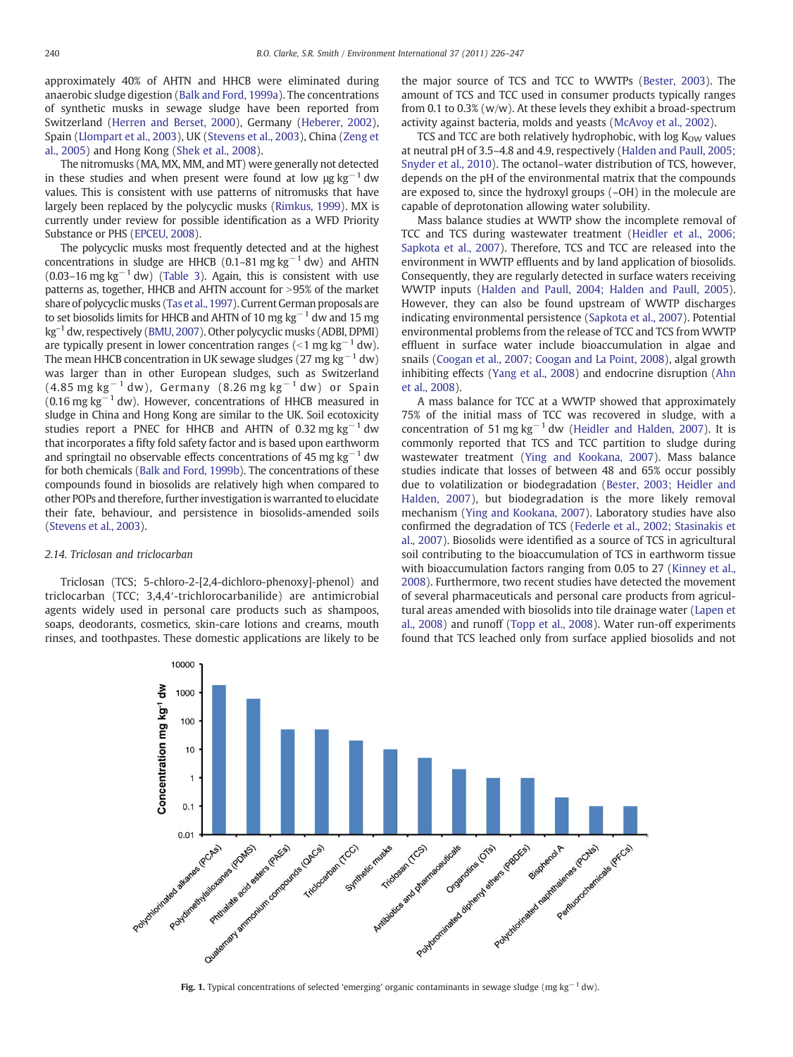<span id="page-14-0"></span>approximately 40% of AHTN and HHCB were eliminated during anaerobic sludge digestion ([Balk and Ford, 1999a](#page-17-0)). The concentrations of synthetic musks in sewage sludge have been reported from Switzerland [\(Herren and Berset, 2000\)](#page-18-0), Germany [\(Heberer, 2002](#page-18-0)), Spain [\(Llompart et al., 2003\)](#page-19-0), UK [\(Stevens et al., 2003\)](#page-20-0), China [\(Zeng et](#page-21-0) [al., 2005](#page-21-0)) and Hong Kong ([Shek et al., 2008\)](#page-20-0).

The nitromusks (MA, MX, MM, and MT) were generally not detected in these studies and when present were found at low  $\mu$ g kg<sup>-1</sup> dw values. This is consistent with use patterns of nitromusks that have largely been replaced by the polycyclic musks ([Rimkus, 1999\)](#page-20-0). MX is currently under review for possible identification as a WFD Priority Substance or PHS [\(EPCEU, 2008](#page-18-0)).

The polycyclic musks most frequently detected and at the highest concentrations in sludge are HHCB (0.1–81 mg kg<sup>-1</sup> dw) and AHTN (0.03–16 mg kg<sup>-1</sup> dw) ([Table 3](#page-6-0)). Again, this is consistent with use patterns as, together, HHCB and AHTN account for >95% of the market share of polycyclic musks [\(Tas et al., 1997\)](#page-20-0). Current German proposals are to set biosolids limits for HHCB and AHTN of 10 mg  $kg^{-1}$  dw and 15 mg kg–<sup>1</sup> dw, respectively ([BMU, 2007\)](http://www.bmu.de/files/pdfs/allgemein/application/pdf/novellierung_klaerschlammverordnung.pdf). Other polycyclic musks (ADBI, DPMI) are typically present in lower concentration ranges  $\left($  < 1 mg kg<sup> $-1$ </sup> dw). The mean HHCB concentration in UK sewage sludges (27 mg kg<sup>-1</sup> dw) was larger than in other European sludges, such as Switzerland  $(4.85 \text{ mg kg}^{-1} \text{dw})$ , Germany  $(8.26 \text{ mg kg}^{-1} \text{dw})$  or Spain  $(0.16 \text{ mg kg}^{-1} \text{dw})$ . However, concentrations of HHCB measured in sludge in China and Hong Kong are similar to the UK. Soil ecotoxicity studies report a PNEC for HHCB and AHTN of 0.32 mg kg<sup>-1</sup> dw that incorporates a fifty fold safety factor and is based upon earthworm and springtail no observable effects concentrations of 45 mg  $kg<sup>-1</sup>$  dw for both chemicals ([Balk and Ford, 1999b\)](#page-17-0). The concentrations of these compounds found in biosolids are relatively high when compared to other POPs and therefore, further investigation is warranted to elucidate their fate, behaviour, and persistence in biosolids-amended soils [\(Stevens et al., 2003](#page-20-0)).

#### 2.14. Triclosan and triclocarban

Triclosan (TCS; 5-chloro-2-[2,4-dichloro-phenoxy]-phenol) and triclocarban (TCC; 3,4,4′-trichlorocarbanilide) are antimicrobial agents widely used in personal care products such as shampoos, soaps, deodorants, cosmetics, skin-care lotions and creams, mouth rinses, and toothpastes. These domestic applications are likely to be the major source of TCS and TCC to WWTPs [\(Bester, 2003](#page-17-0)). The amount of TCS and TCC used in consumer products typically ranges from 0.1 to 0.3% (w/w). At these levels they exhibit a broad-spectrum activity against bacteria, molds and yeasts [\(McAvoy et al., 2002](#page-19-0)).

TCS and TCC are both relatively hydrophobic, with  $log K<sub>OW</sub>$  values at neutral pH of 3.5–4.8 and 4.9, respectively [\(Halden and Paull, 2005;](#page-18-0) [Snyder et al., 2010](#page-18-0)). The octanol–water distribution of TCS, however, depends on the pH of the environmental matrix that the compounds are exposed to, since the hydroxyl groups (–OH) in the molecule are capable of deprotonation allowing water solubility.

Mass balance studies at WWTP show the incomplete removal of TCC and TCS during wastewater treatment ([Heidler et al., 2006;](#page-18-0) [Sapkota et al., 2007\)](#page-18-0). Therefore, TCS and TCC are released into the environment in WWTP effluents and by land application of biosolids. Consequently, they are regularly detected in surface waters receiving WWTP inputs ([Halden and Paull, 2004; Halden and Paull, 2005](#page-18-0)). However, they can also be found upstream of WWTP discharges indicating environmental persistence ([Sapkota et al., 2007\)](#page-20-0). Potential environmental problems from the release of TCC and TCS from WWTP effluent in surface water include bioaccumulation in algae and snails [\(Coogan et al., 2007; Coogan and La Point, 2008](#page-17-0)), algal growth inhibiting effects ([Yang et al., 2008\)](#page-21-0) and endocrine disruption ([Ahn](#page-17-0) [et al., 2008\)](#page-17-0).

A mass balance for TCC at a WWTP showed that approximately 75% of the initial mass of TCC was recovered in sludge, with a concentration of 51 mg kg<sup>-1</sup> dw ([Heidler and Halden, 2007\)](#page-18-0). It is commonly reported that TCS and TCC partition to sludge during wastewater treatment [\(Ying and Kookana, 2007](#page-21-0)). Mass balance studies indicate that losses of between 48 and 65% occur possibly due to volatilization or biodegradation ([Bester, 2003; Heidler and](#page-17-0) [Halden, 2007\)](#page-17-0), but biodegradation is the more likely removal mechanism ([Ying and Kookana, 2007\)](#page-21-0). Laboratory studies have also confirmed the degradation of TCS ([Federle et al., 2002; Stasinakis et](#page-18-0) [al., 2007](#page-18-0)). Biosolids were identified as a source of TCS in agricultural soil contributing to the bioaccumulation of TCS in earthworm tissue with bioaccumulation factors ranging from 0.05 to 27 [\(Kinney et al.,](#page-19-0) [2008\)](#page-19-0). Furthermore, two recent studies have detected the movement of several pharmaceuticals and personal care products from agricultural areas amended with biosolids into tile drainage water [\(Lapen et](#page-19-0) [al., 2008\)](#page-19-0) and runoff ([Topp et al., 2008\)](#page-20-0). Water run-off experiments found that TCS leached only from surface applied biosolids and not



**Fig. 1.** Typical concentrations of selected 'emerging' organic contaminants in sewage sludge (mg kg<sup>-1</sup> dw).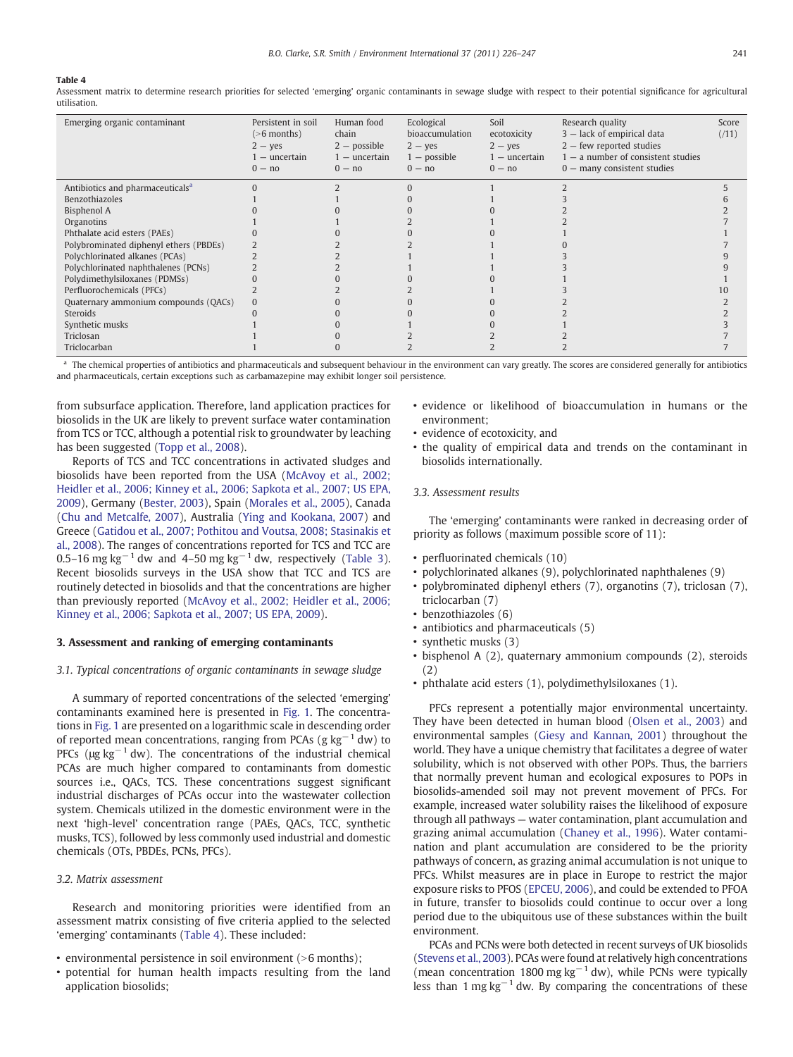#### Table 4

Assessment matrix to determine research priorities for selected 'emerging' organic contaminants in sewage sludge with respect to their potential significance for agricultural utilisation.

| Emerging organic contaminant                 | Persistent in soil<br>$(>6$ months)<br>$2 - yes$<br>1 — uncertain<br>$0 - no$ | Human food<br>chain<br>$2 - possible$<br>$1 -$ uncertain<br>$0 - no$ | Ecological<br>bioaccumulation<br>$2 - \text{ves}$<br>$1 -$ possible<br>$0 - no$ | Soil<br>ecotoxicity<br>$2 - yes$<br>$1$ – uncertain<br>$0 - no$ | Research quality<br>3 - lack of empirical data<br>$2$ – few reported studies<br>$1 - a$ number of consistent studies<br>$0$ – many consistent studies | Score<br>(11) |
|----------------------------------------------|-------------------------------------------------------------------------------|----------------------------------------------------------------------|---------------------------------------------------------------------------------|-----------------------------------------------------------------|-------------------------------------------------------------------------------------------------------------------------------------------------------|---------------|
| Antibiotics and pharmaceuticals <sup>a</sup> |                                                                               |                                                                      |                                                                                 |                                                                 |                                                                                                                                                       |               |
| Benzothiazoles                               |                                                                               |                                                                      |                                                                                 |                                                                 |                                                                                                                                                       |               |
| Bisphenol A                                  |                                                                               |                                                                      |                                                                                 |                                                                 |                                                                                                                                                       |               |
| Organotins                                   |                                                                               |                                                                      |                                                                                 |                                                                 |                                                                                                                                                       |               |
| Phthalate acid esters (PAEs)                 |                                                                               |                                                                      |                                                                                 |                                                                 |                                                                                                                                                       |               |
| Polybrominated diphenyl ethers (PBDEs)       |                                                                               |                                                                      |                                                                                 |                                                                 |                                                                                                                                                       |               |
| Polychlorinated alkanes (PCAs)               |                                                                               |                                                                      |                                                                                 |                                                                 |                                                                                                                                                       |               |
| Polychlorinated naphthalenes (PCNs)          |                                                                               |                                                                      |                                                                                 |                                                                 |                                                                                                                                                       |               |
| Polydimethylsiloxanes (PDMSs)                |                                                                               |                                                                      |                                                                                 |                                                                 |                                                                                                                                                       |               |
| Perfluorochemicals (PFCs)                    |                                                                               |                                                                      |                                                                                 |                                                                 |                                                                                                                                                       |               |
| Quaternary ammonium compounds (QACs)         |                                                                               |                                                                      |                                                                                 |                                                                 |                                                                                                                                                       |               |
| Steroids                                     |                                                                               |                                                                      |                                                                                 |                                                                 |                                                                                                                                                       |               |
| Synthetic musks                              |                                                                               |                                                                      |                                                                                 |                                                                 |                                                                                                                                                       |               |
| Triclosan                                    |                                                                               |                                                                      |                                                                                 |                                                                 |                                                                                                                                                       |               |
| Triclocarban                                 |                                                                               |                                                                      |                                                                                 |                                                                 |                                                                                                                                                       |               |

The chemical properties of antibiotics and pharmaceuticals and subsequent behaviour in the environment can vary greatly. The scores are considered generally for antibiotics and pharmaceuticals, certain exceptions such as carbamazepine may exhibit longer soil persistence.

from subsurface application. Therefore, land application practices for biosolids in the UK are likely to prevent surface water contamination from TCS or TCC, although a potential risk to groundwater by leaching has been suggested [\(Topp et al., 2008](#page-20-0)).

Reports of TCS and TCC concentrations in activated sludges and biosolids have been reported from the USA [\(McAvoy et al., 2002;](#page-19-0) [Heidler et al., 2006; Kinney et al., 2006; Sapkota et al., 2007; US EPA,](#page-19-0) [2009\)](#page-19-0), Germany [\(Bester, 2003](#page-17-0)), Spain [\(Morales et al., 2005](#page-19-0)), Canada [\(Chu and Metcalfe, 2007\)](#page-17-0), Australia [\(Ying and Kookana, 2007](#page-21-0)) and Greece [\(Gatidou et al., 2007; Pothitou and Voutsa, 2008; Stasinakis et](#page-18-0) [al., 2008](#page-18-0)). The ranges of concentrations reported for TCS and TCC are 0.5–16 mg kg<sup>-1</sup> dw and 4–50 mg kg<sup>-1</sup> dw, respectively [\(Table 3](#page-6-0)). Recent biosolids surveys in the USA show that TCC and TCS are routinely detected in biosolids and that the concentrations are higher than previously reported ([McAvoy et al., 2002; Heidler et al., 2006;](#page-19-0) [Kinney et al., 2006; Sapkota et al., 2007; US EPA, 2009\)](#page-19-0).

#### 3. Assessment and ranking of emerging contaminants

#### 3.1. Typical concentrations of organic contaminants in sewage sludge

A summary of reported concentrations of the selected 'emerging' contaminants examined here is presented in [Fig. 1.](#page-14-0) The concentrations in [Fig. 1](#page-14-0) are presented on a logarithmic scale in descending order of reported mean concentrations, ranging from PCAs (g kg<sup>-1</sup> dw) to PFCs ( $\mu$ g kg<sup>-1</sup> dw). The concentrations of the industrial chemical PCAs are much higher compared to contaminants from domestic sources i.e., QACs, TCS. These concentrations suggest significant industrial discharges of PCAs occur into the wastewater collection system. Chemicals utilized in the domestic environment were in the next 'high-level' concentration range (PAEs, QACs, TCC, synthetic musks, TCS), followed by less commonly used industrial and domestic chemicals (OTs, PBDEs, PCNs, PFCs).

#### 3.2. Matrix assessment

Research and monitoring priorities were identified from an assessment matrix consisting of five criteria applied to the selected 'emerging' contaminants (Table 4). These included:

- environmental persistence in soil environment  $(>6$  months);
- potential for human health impacts resulting from the land application biosolids;
- evidence or likelihood of bioaccumulation in humans or the environment;
- evidence of ecotoxicity, and
- the quality of empirical data and trends on the contaminant in biosolids internationally.

#### 3.3. Assessment results

The 'emerging' contaminants were ranked in decreasing order of priority as follows (maximum possible score of 11):

- perfluorinated chemicals (10)
- polychlorinated alkanes (9), polychlorinated naphthalenes (9)
- polybrominated diphenyl ethers (7), organotins (7), triclosan (7), triclocarban (7)
- benzothiazoles (6)
- antibiotics and pharmaceuticals (5)
- synthetic musks (3)
- bisphenol A (2), quaternary ammonium compounds (2), steroids (2)
- phthalate acid esters (1), polydimethylsiloxanes (1).

PFCs represent a potentially major environmental uncertainty. They have been detected in human blood [\(Olsen et al., 2003](#page-20-0)) and environmental samples ([Giesy and Kannan, 2001](#page-18-0)) throughout the world. They have a unique chemistry that facilitates a degree of water solubility, which is not observed with other POPs. Thus, the barriers that normally prevent human and ecological exposures to POPs in biosolids-amended soil may not prevent movement of PFCs. For example, increased water solubility raises the likelihood of exposure through all pathways — water contamination, plant accumulation and grazing animal accumulation ([Chaney et al., 1996\)](#page-17-0). Water contamination and plant accumulation are considered to be the priority pathways of concern, as grazing animal accumulation is not unique to PFCs. Whilst measures are in place in Europe to restrict the major exposure risks to PFOS [\(EPCEU, 2006\)](#page-18-0), and could be extended to PFOA in future, transfer to biosolids could continue to occur over a long period due to the ubiquitous use of these substances within the built environment.

PCAs and PCNs were both detected in recent surveys of UK biosolids [\(Stevens et al., 2003](#page-20-0)). PCAs were found at relatively high concentrations (mean concentration 1800 mg  $kg^{-1}$  dw), while PCNs were typically less than 1 mg kg<sup> $-1$ </sup> dw. By comparing the concentrations of these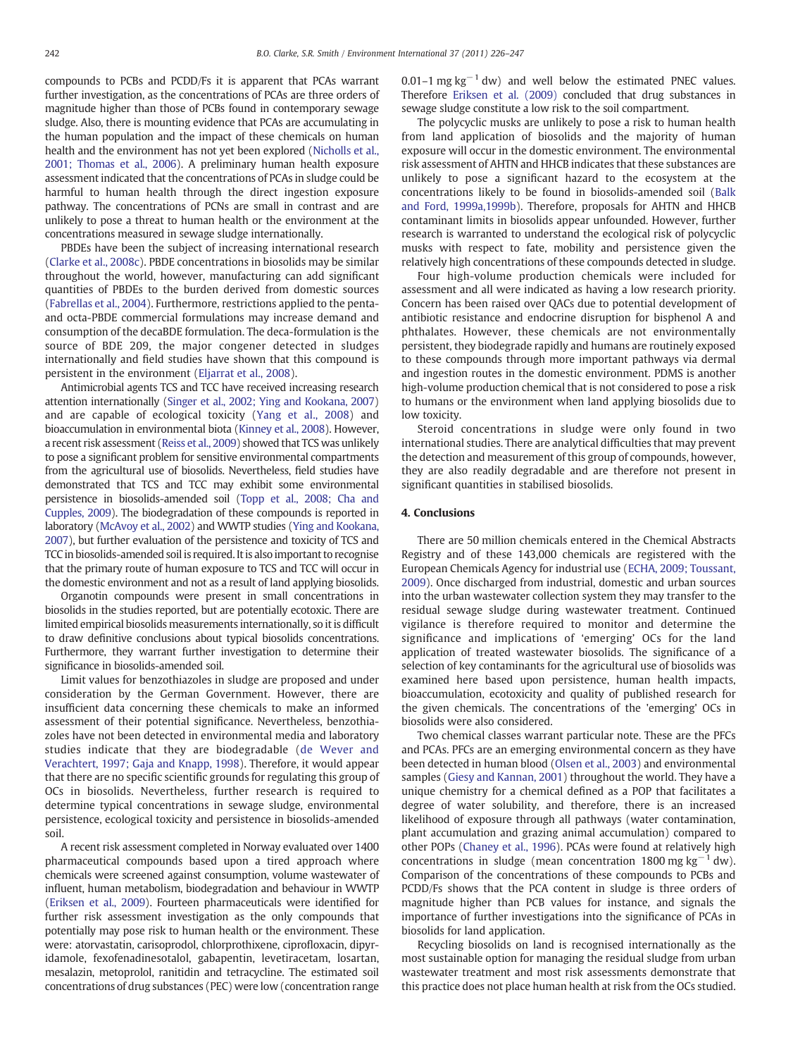compounds to PCBs and PCDD/Fs it is apparent that PCAs warrant further investigation, as the concentrations of PCAs are three orders of magnitude higher than those of PCBs found in contemporary sewage sludge. Also, there is mounting evidence that PCAs are accumulating in the human population and the impact of these chemicals on human health and the environment has not yet been explored [\(Nicholls et al.,](#page-19-0) [2001; Thomas et al., 2006](#page-19-0)). A preliminary human health exposure assessment indicated that the concentrations of PCAs in sludge could be harmful to human health through the direct ingestion exposure pathway. The concentrations of PCNs are small in contrast and are unlikely to pose a threat to human health or the environment at the concentrations measured in sewage sludge internationally.

PBDEs have been the subject of increasing international research [\(Clarke et al., 2008c\)](#page-17-0). PBDE concentrations in biosolids may be similar throughout the world, however, manufacturing can add significant quantities of PBDEs to the burden derived from domestic sources [\(Fabrellas et al., 2004\)](#page-18-0). Furthermore, restrictions applied to the pentaand octa-PBDE commercial formulations may increase demand and consumption of the decaBDE formulation. The deca-formulation is the source of BDE 209, the major congener detected in sludges internationally and field studies have shown that this compound is persistent in the environment [\(Eljarrat et al., 2008](#page-18-0)).

Antimicrobial agents TCS and TCC have received increasing research attention internationally ([Singer et al., 2002; Ying and Kookana, 2007](#page-20-0)) and are capable of ecological toxicity ([Yang et al., 2008](#page-21-0)) and bioaccumulation in environmental biota [\(Kinney et al., 2008](#page-19-0)). However, a recent risk assessment ([Reiss et al., 2009](#page-20-0)) showed that TCS was unlikely to pose a significant problem for sensitive environmental compartments from the agricultural use of biosolids. Nevertheless, field studies have demonstrated that TCS and TCC may exhibit some environmental persistence in biosolids-amended soil ([Topp et al., 2008; Cha and](#page-20-0) [Cupples, 2009](#page-20-0)). The biodegradation of these compounds is reported in laboratory [\(McAvoy et al., 2002](#page-19-0)) and WWTP studies [\(Ying and Kookana,](#page-21-0) [2007](#page-21-0)), but further evaluation of the persistence and toxicity of TCS and TCC in biosolids-amended soil is required. It is also important to recognise that the primary route of human exposure to TCS and TCC will occur in the domestic environment and not as a result of land applying biosolids.

Organotin compounds were present in small concentrations in biosolids in the studies reported, but are potentially ecotoxic. There are limited empirical biosolids measurements internationally, so it is difficult to draw definitive conclusions about typical biosolids concentrations. Furthermore, they warrant further investigation to determine their significance in biosolids-amended soil.

Limit values for benzothiazoles in sludge are proposed and under consideration by the German Government. However, there are insufficient data concerning these chemicals to make an informed assessment of their potential significance. Nevertheless, benzothiazoles have not been detected in environmental media and laboratory studies indicate that they are biodegradable ([de Wever and](#page-17-0) [Verachtert, 1997; Gaja and Knapp, 1998\)](#page-17-0). Therefore, it would appear that there are no specific scientific grounds for regulating this group of OCs in biosolids. Nevertheless, further research is required to determine typical concentrations in sewage sludge, environmental persistence, ecological toxicity and persistence in biosolids-amended soil.

A recent risk assessment completed in Norway evaluated over 1400 pharmaceutical compounds based upon a tired approach where chemicals were screened against consumption, volume wastewater of influent, human metabolism, biodegradation and behaviour in WWTP [\(Eriksen et al., 2009\)](#page-18-0). Fourteen pharmaceuticals were identified for further risk assessment investigation as the only compounds that potentially may pose risk to human health or the environment. These were: atorvastatin, carisoprodol, chlorprothixene, ciprofloxacin, dipyridamole, fexofenadinesotalol, gabapentin, levetiracetam, losartan, mesalazin, metoprolol, ranitidin and tetracycline. The estimated soil concentrations of drug substances (PEC) were low (concentration range

0.01–1 mg kg<sup>-1</sup> dw) and well below the estimated PNEC values. Therefore [Eriksen et al. \(2009\)](#page-18-0) concluded that drug substances in sewage sludge constitute a low risk to the soil compartment.

The polycyclic musks are unlikely to pose a risk to human health from land application of biosolids and the majority of human exposure will occur in the domestic environment. The environmental risk assessment of AHTN and HHCB indicates that these substances are unlikely to pose a significant hazard to the ecosystem at the concentrations likely to be found in biosolids-amended soil [\(Balk](#page-17-0) [and Ford, 1999a,1999b\)](#page-17-0). Therefore, proposals for AHTN and HHCB contaminant limits in biosolids appear unfounded. However, further research is warranted to understand the ecological risk of polycyclic musks with respect to fate, mobility and persistence given the relatively high concentrations of these compounds detected in sludge.

Four high-volume production chemicals were included for assessment and all were indicated as having a low research priority. Concern has been raised over QACs due to potential development of antibiotic resistance and endocrine disruption for bisphenol A and phthalates. However, these chemicals are not environmentally persistent, they biodegrade rapidly and humans are routinely exposed to these compounds through more important pathways via dermal and ingestion routes in the domestic environment. PDMS is another high-volume production chemical that is not considered to pose a risk to humans or the environment when land applying biosolids due to low toxicity.

Steroid concentrations in sludge were only found in two international studies. There are analytical difficulties that may prevent the detection and measurement of this group of compounds, however, they are also readily degradable and are therefore not present in significant quantities in stabilised biosolids.

#### 4. Conclusions

There are 50 million chemicals entered in the Chemical Abstracts Registry and of these 143,000 chemicals are registered with the European Chemicals Agency for industrial use ([ECHA, 2009; Toussant,](#page-18-0) [2009\)](#page-18-0). Once discharged from industrial, domestic and urban sources into the urban wastewater collection system they may transfer to the residual sewage sludge during wastewater treatment. Continued vigilance is therefore required to monitor and determine the significance and implications of 'emerging' OCs for the land application of treated wastewater biosolids. The significance of a selection of key contaminants for the agricultural use of biosolids was examined here based upon persistence, human health impacts, bioaccumulation, ecotoxicity and quality of published research for the given chemicals. The concentrations of the 'emerging' OCs in biosolids were also considered.

Two chemical classes warrant particular note. These are the PFCs and PCAs. PFCs are an emerging environmental concern as they have been detected in human blood [\(Olsen et al., 2003](#page-20-0)) and environmental samples ([Giesy and Kannan, 2001\)](#page-18-0) throughout the world. They have a unique chemistry for a chemical defined as a POP that facilitates a degree of water solubility, and therefore, there is an increased likelihood of exposure through all pathways (water contamination, plant accumulation and grazing animal accumulation) compared to other POPs ([Chaney et al., 1996\)](#page-17-0). PCAs were found at relatively high concentrations in sludge (mean concentration 1800 mg kg<sup>-1</sup> dw). Comparison of the concentrations of these compounds to PCBs and PCDD/Fs shows that the PCA content in sludge is three orders of magnitude higher than PCB values for instance, and signals the importance of further investigations into the significance of PCAs in biosolids for land application.

Recycling biosolids on land is recognised internationally as the most sustainable option for managing the residual sludge from urban wastewater treatment and most risk assessments demonstrate that this practice does not place human health at risk from the OCs studied.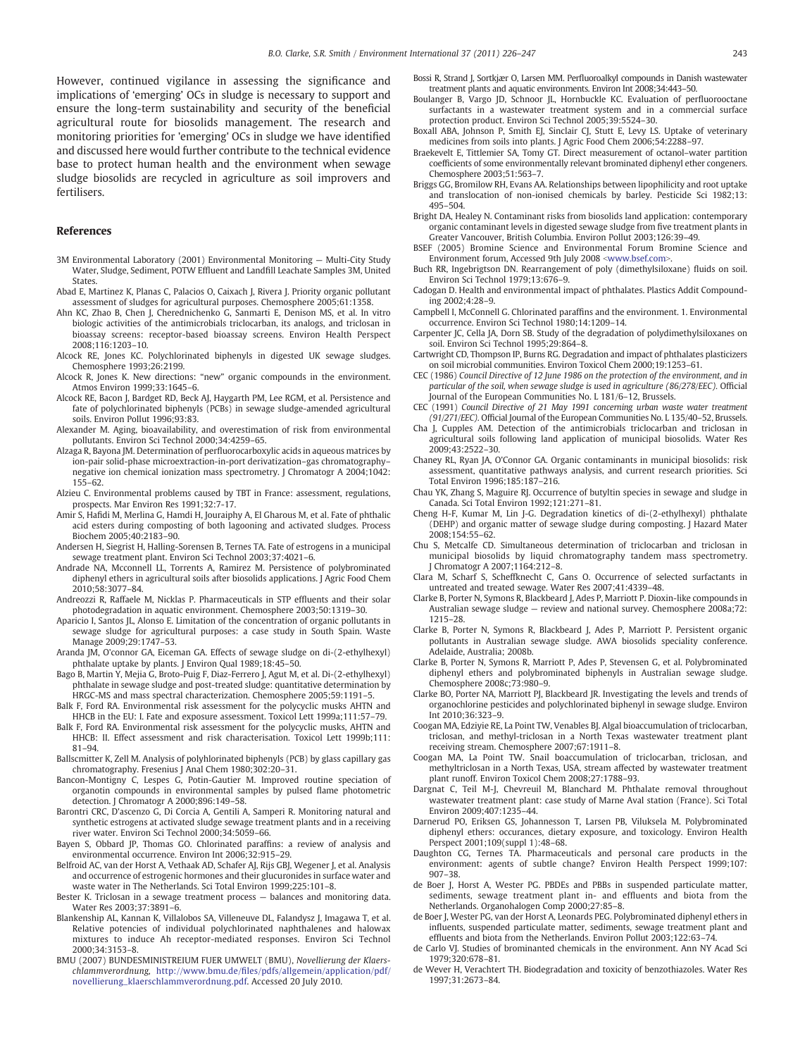<span id="page-17-0"></span>However, continued vigilance in assessing the significance and implications of 'emerging' OCs in sludge is necessary to support and ensure the long-term sustainability and security of the beneficial agricultural route for biosolids management. The research and monitoring priorities for 'emerging' OCs in sludge we have identified and discussed here would further contribute to the technical evidence base to protect human health and the environment when sewage sludge biosolids are recycled in agriculture as soil improvers and fertilisers.

#### References

- 3M Environmental Laboratory (2001) Environmental Monitoring Multi-City Study Water, Sludge, Sediment, POTW Effluent and Landfill Leachate Samples 3M, United States.
- Abad E, Martinez K, Planas C, Palacios O, Caixach J, Rivera J. Priority organic pollutant assessment of sludges for agricultural purposes. Chemosphere 2005;61:1358.
- Ahn KC, Zhao B, Chen J, Cherednichenko G, Sanmarti E, Denison MS, et al. In vitro biologic activities of the antimicrobials triclocarban, its analogs, and triclosan in bioassay screens: receptor-based bioassay screens. Environ Health Perspect 2008;116:1203–10.
- Alcock RE, Jones KC. Polychlorinated biphenyls in digested UK sewage sludges. Chemosphere 1993;26:2199.
- Alcock R, Jones K. New directions: "new" organic compounds in the environment. Atmos Environ 1999;33:1645–6.
- Alcock RE, Bacon J, Bardget RD, Beck AJ, Haygarth PM, Lee RGM, et al. Persistence and fate of polychlorinated biphenyls (PCBs) in sewage sludge-amended agricultural soils. Environ Pollut 1996;93:83.
- Alexander M. Aging, bioavailability, and overestimation of risk from environmental pollutants. Environ Sci Technol 2000;34:4259–65.
- Alzaga R, Bayona JM. Determination of perfluorocarboxylic acids in aqueous matrices by ion-pair solid-phase microextraction-in-port derivatization–gas chromatography– negative ion chemical ionization mass spectrometry. J Chromatogr A 2004;1042: 155–62.
- Alzieu C. Environmental problems caused by TBT in France: assessment, regulations, prospects. Mar Environ Res 1991;32:7-17.
- Amir S, Hafidi M, Merlina G, Hamdi H, Jouraiphy A, El Gharous M, et al. Fate of phthalic acid esters during composting of both lagooning and activated sludges. Process Biochem 2005;40:2183–90.
- Andersen H, Siegrist H, Halling-Sorensen B, Ternes TA. Fate of estrogens in a municipal sewage treatment plant. Environ Sci Technol 2003;37:4021–6.
- Andrade NA, Mcconnell LL, Torrents A, Ramirez M. Persistence of polybrominated diphenyl ethers in agricultural soils after biosolids applications. J Agric Food Chem 2010;58:3077–84.
- Andreozzi R, Raffaele M, Nicklas P. Pharmaceuticals in STP effluents and their solar photodegradation in aquatic environment. Chemosphere 2003;50:1319–30.
- Aparicio I, Santos JL, Alonso E. Limitation of the concentration of organic pollutants in sewage sludge for agricultural purposes: a case study in South Spain. Waste Manage 2009:29:1747-53.
- Aranda JM, O'connor GA, Eiceman GA. Effects of sewage sludge on di-(2-ethylhexyl) phthalate uptake by plants. J Environ Qual 1989;18:45–50.
- Bago B, Martin Y, Mejia G, Broto-Puig F, Diaz-Ferrero J, Agut M, et al. Di-(2-ethylhexyl) phthalate in sewage sludge and post-treated sludge: quantitative determination by HRGC-MS and mass spectral characterization. Chemosphere 2005;59:1191–5.
- Balk F, Ford RA. Environmental risk assessment for the polycyclic musks AHTN and HHCB in the EU: I. Fate and exposure assessment. Toxicol Lett 1999a;111:57–79.
- Balk F, Ford RA. Environmental risk assessment for the polycyclic musks, AHTN and HHCB: II. Effect assessment and risk characterisation. Toxicol Lett 1999b;111: 81–94.
- Ballscmitter K, Zell M. Analysis of polyhlorinated biphenyls (PCB) by glass capillary gas chromatography. Fresenius J Anal Chem 1980;302:20–31.
- Bancon-Montigny C, Lespes G, Potin-Gautier M. Improved routine speciation of organotin compounds in environmental samples by pulsed flame photometric detection. J Chromatogr A 2000;896:149–58.
- Barontri CRC, D'ascenzo G, Di Corcia A, Gentili A, Samperi R. Monitoring natural and synthetic estrogens at activated sludge sewage treatment plants and in a receiving river water. Environ Sci Technol 2000;34:5059–66.
- Bayen S, Obbard JP, Thomas GO. Chlorinated paraffins: a review of analysis and environmental occurrence. Environ Int 2006;32:915–29.
- Belfroid AC, van der Horst A, Vethaak AD, Schafer AJ, Rijs GBJ, Wegener J, et al. Analysis and occurrence of estrogenic hormones and their glucuronides in surface water and waste water in The Netherlands. Sci Total Environ 1999;225:101–8.
- Bester K. Triclosan in a sewage treatment process balances and monitoring data. Water Res 2003;37:3891–6.
- Blankenship AL, Kannan K, Villalobos SA, Villeneuve DL, Falandysz J, Imagawa T, et al. Relative potencies of individual polychlorinated naphthalenes and halowax mixtures to induce Ah receptor-mediated responses. Environ Sci Technol 2000;34:3153–8.
- BMU (2007) BUNDESMINISTREIUM FUER UMWELT (BMU), Novellierung der Klaerschlammverordnung, http://www.bmu.de/files/pdfs/allgemein/application/pdf/ novellierung\_klaerschlammverordnung.pdf. Accessed 20 July 2010.
- Bossi R, Strand J, Sortkjær O, Larsen MM. Perfluoroalkyl compounds in Danish wastewater treatment plants and aquatic environments. Environ Int 2008;34:443–50.
- Boulanger B, Vargo JD, Schnoor JL, Hornbuckle KC. Evaluation of perfluorooctane surfactants in a wastewater treatment system and in a commercial surface protection product. Environ Sci Technol 2005;39:5524–30.
- Boxall ABA, Johnson P, Smith EJ, Sinclair CJ, Stutt E, Levy LS. Uptake of veterinary medicines from soils into plants. J Agric Food Chem 2006;54:2288–97.
- Braekevelt E, Tittlemier SA, Tomy GT. Direct measurement of octanol–water partition coefficients of some environmentally relevant brominated diphenyl ether congeners. Chemosphere 2003;51:563–7.
- Briggs GG, Bromilow RH, Evans AA. Relationships between lipophilicity and root uptake and translocation of non-ionised chemicals by barley. Pesticide Sci 1982;13: 495–504.
- Bright DA, Healey N. Contaminant risks from biosolids land application: contemporary organic contaminant levels in digested sewage sludge from five treatment plants in Greater Vancouver, British Columbia. Environ Pollut 2003;126:39–49.
- BSEF (2005) Bromine Science and Environmental Forum Bromine Science and Environment forum, Accessed 9th July 2008 <[www.bsef.com](http://www.bsef.com)>
- Buch RR, Ingebrigtson DN. Rearrangement of poly (dimethylsiloxane) fluids on soil. Environ Sci Technol 1979;13:676–9.
- Cadogan D. Health and environmental impact of phthalates. Plastics Addit Compounding 2002;4:28–9.
- Campbell I, McConnell G. Chlorinated paraffins and the environment. 1. Environmental occurrence. Environ Sci Technol 1980;14:1209–14.
- Carpenter JC, Cella JA, Dorn SB. Study of the degradation of polydimethylsiloxanes on soil. Environ Sci Technol 1995;29:864–8.
- Cartwright CD, Thompson IP, Burns RG. Degradation and impact of phthalates plasticizers on soil microbial communities. Environ Toxicol Chem 2000;19:1253–61.
- CEC (1986) Council Directive of 12 June 1986 on the protection of the environment, and in particular of the soil, when sewage sludge is used in agriculture (86/278/EEC). Official Journal of the European Communities No. L 181/6–12, Brussels.
- CEC (1991) Council Directive of 21 May 1991 concerning urban waste water treatment (91/271/EEC). Official Journal of the European Communities No. L 135/40–52, Brussels.
- Cha J, Cupples AM. Detection of the antimicrobials triclocarban and triclosan in agricultural soils following land application of municipal biosolids. Water Res 2009;43:2522–30.
- Chaney RL, Ryan JA, O'Connor GA. Organic contaminants in municipal biosolids: risk assessment, quantitative pathways analysis, and current research priorities. Sci Total Environ 1996;185:187–216.
- Chau YK, Zhang S, Maguire RJ. Occurrence of butyltin species in sewage and sludge in Canada. Sci Total Environ 1992;121:271–81.
- Cheng H-F, Kumar M, Lin J-G. Degradation kinetics of di-(2-ethylhexyl) phthalate (DEHP) and organic matter of sewage sludge during composting. J Hazard Mater 2008;154:55–62.
- Chu S, Metcalfe CD. Simultaneous determination of triclocarban and triclosan in municipal biosolids by liquid chromatography tandem mass spectrometry. J Chromatogr A 2007;1164:212–8.
- Clara M, Scharf S, Scheffknecht C, Gans O. Occurrence of selected surfactants in untreated and treated sewage. Water Res 2007;41:4339–48.
- Clarke B, Porter N, Symons R, Blackbeard J, Ades P, Marriott P. Dioxin-like compounds in Australian sewage sludge — review and national survey. Chemosphere 2008a;72: 1215–28.
- Clarke B, Porter N, Symons R, Blackbeard J, Ades P, Marriott P. Persistent organic pollutants in Australian sewage sludge. AWA biosolids speciality conference. Adelaide, Australia; 2008b.
- Clarke B, Porter N, Symons R, Marriott P, Ades P, Stevensen G, et al. Polybrominated diphenyl ethers and polybrominated biphenyls in Australian sewage sludge. Chemosphere 2008c;73:980–9.
- Clarke BO, Porter NA, Marriott PJ, Blackbeard JR. Investigating the levels and trends of organochlorine pesticides and polychlorinated biphenyl in sewage sludge. Environ Int 2010;36:323–9.
- Coogan MA, Edziyie RE, La Point TW, Venables BJ. Algal bioaccumulation of triclocarban, triclosan, and methyl-triclosan in a North Texas wastewater treatment plant receiving stream. Chemosphere 2007;67:1911–8.
- Coogan MA, La Point TW. Snail boaccumulation of triclocarban, triclosan, and methyltriclosan in a North Texas, USA, stream affected by wastewater treatment plant runoff. Environ Toxicol Chem 2008;27:1788–93.
- Dargnat C, Teil M-J, Chevreuil M, Blanchard M. Phthalate removal throughout wastewater treatment plant: case study of Marne Aval station (France). Sci Total Environ 2009;407:1235–44.
- Darnerud PO, Eriksen GS, Johannesson T, Larsen PB, Viluksela M. Polybrominated diphenyl ethers: occurances, dietary exposure, and toxicology. Environ Health Perspect 2001;109(suppl 1):48–68.
- Daughton CG, Ternes TA. Pharmaceuticals and personal care products in the environment: agents of subtle change? Environ Health Perspect 1999;107: 907–38.
- de Boer J, Horst A, Wester PG. PBDEs and PBBs in suspended particulate matter, sediments, sewage treatment plant in- and effluents and biota from the Netherlands. Organohalogen Comp 2000;27:85–8.
- de Boer J, Wester PG, van der Horst A, Leonards PEG. Polybrominated diphenyl ethers in influents, suspended particulate matter, sediments, sewage treatment plant and effluents and biota from the Netherlands. Environ Pollut 2003;122:63–74.
- de Carlo VJ. Studies of brominanted chemicals in the environment. Ann NY Acad Sci 1979;320:678–81.
- de Wever H, Verachtert TH. Biodegradation and toxicity of benzothiazoles. Water Res 1997;31:2673–84.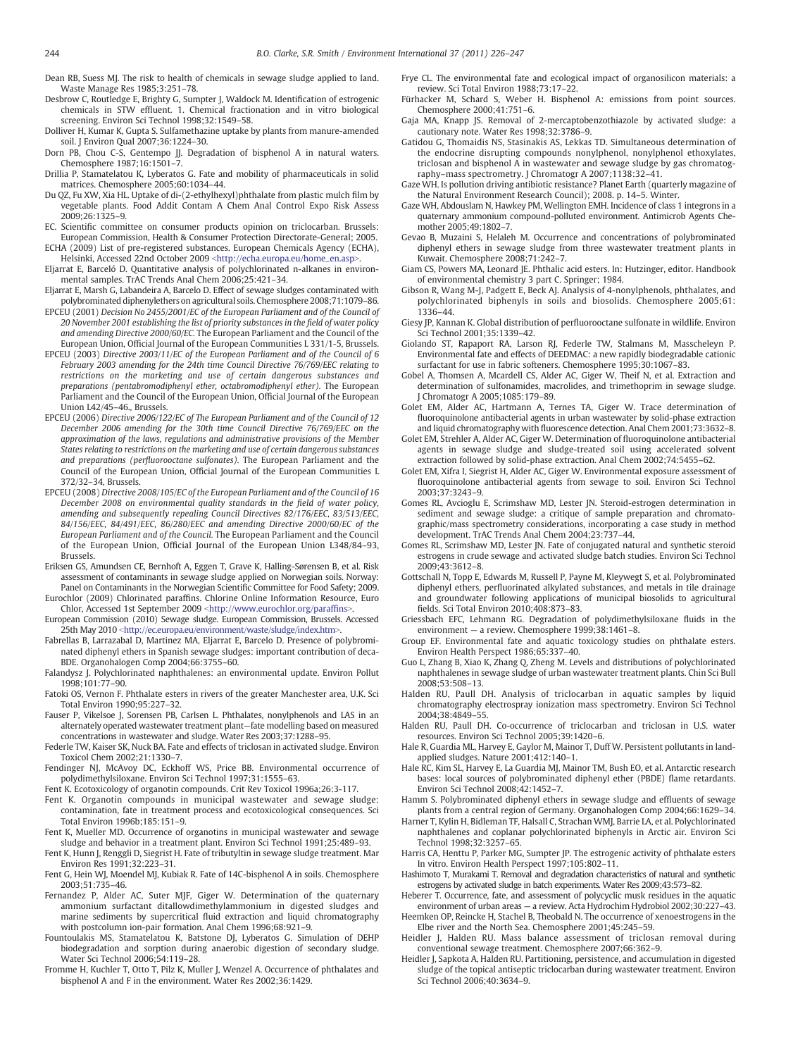<span id="page-18-0"></span>Dean RB, Suess MJ. The risk to health of chemicals in sewage sludge applied to land. Waste Manage Res 1985;3:251–78.

- Desbrow C, Routledge E, Brighty G, Sumpter J, Waldock M. Identification of estrogenic chemicals in STW effluent. 1. Chemical fractionation and in vitro biological screening. Environ Sci Technol 1998;32:1549–58.
- Dolliver H, Kumar K, Gupta S. Sulfamethazine uptake by plants from manure-amended soil. J Environ Qual 2007;36:1224–30.
- Dorn PB, Chou C-S, Gentempo JJ. Degradation of bisphenol A in natural waters. Chemosphere 1987;16:1501–7.
- Drillia P, Stamatelatou K, Lyberatos G. Fate and mobility of pharmaceuticals in solid matrices. Chemosphere 2005;60:1034–44.
- Du QZ, Fu XW, Xia HL. Uptake of di-(2-ethylhexyl)phthalate from plastic mulch film by vegetable plants. Food Addit Contam A Chem Anal Control Expo Risk Assess 2009;26:1325–9.
- EC. Scientific committee on consumer products opinion on triclocarban. Brussels: European Commission, Health & Consumer Protection Directorate-General; 2005.
- ECHA (2009) List of pre-registered substances. European Chemicals Agency (ECHA), Helsinki, Accessed 22nd October 2009 <[http://echa.europa.eu/home\\_en.asp](http://echa.europa.eu/home_en.asp)>.
- Eljarrat E, Barceló D. Quantitative analysis of polychlorinated n-alkanes in environmental samples. TrAC Trends Anal Chem 2006;25:421–34.
- Eljarrat E, Marsh G, Labandeira A, Barcelo D. Effect of sewage sludges contaminated with polybrominated diphenylethers on agricultural soils. Chemosphere 2008;71:1079–86.
- EPCEU (2001) Decision No 2455/2001/EC of the European Parliament and of the Council of 20 November 2001 establishing the list of priority substances in the field of water policy and amending Directive 2000/60/EC. The European Parliament and the Council of the European Union, Official Journal of the European Communities L 331/1-5, Brussels.
- EPCEU (2003) Directive 2003/11/EC of the European Parliament and of the Council of 6 February 2003 amending for the 24th time Council Directive 76/769/EEC relating to restrictions on the marketing and use of certain dangerous substances and preparations (pentabromodiphenyl ether, octabromodiphenyl ether). The European Parliament and the Council of the European Union, Official Journal of the European Union L42/45–46., Brussels.
- EPCEU (2006) Directive 2006/122/EC of The European Parliament and of the Council of 12 December 2006 amending for the 30th time Council Directive 76/769/EEC on the approximation of the laws, regulations and administrative provisions of the Member States relating to restrictions on the marketing and use of certain dangerous substances and preparations (perfluorooctane sulfonates). The European Parliament and the Council of the European Union, Official Journal of the European Communities L 372/32–34, Brussels.
- EPCEU (2008) Directive 2008/105/EC of the European Parliament and of the Council of 16 December 2008 on environmental quality standards in the field of water policy, amending and subsequently repealing Council Directives 82/176/EEC, 83/513/EEC, 84/156/EEC, 84/491/EEC, 86/280/EEC and amending Directive 2000/60/EC of the European Parliament and of the Council. The European Parliament and the Council of the European Union, Official Journal of the European Union L348/84–93, Brussels.
- Eriksen GS, Amundsen CE, Bernhoft A, Eggen T, Grave K, Halling-Sørensen B, et al. Risk assessment of contaminants in sewage sludge applied on Norwegian soils. Norway: Panel on Contaminants in the Norwegian Scientific Committee for Food Safety; 2009.
- Eurochlor (2009) Chlorinated paraffins. Chlorine Online Information Resource, Euro Chlor, Accessed 1st September 2009 <[http://www.eurochlor.org/paraf](http://www.eurochlor.org/paraffins)fins>.
- European Commission (2010) Sewage sludge. European Commission, Brussels. Accessed 25th May 2010 <<http://ec.europa.eu/environment/waste/sludge/index.htm>>.
- Fabrellas B, Larrazabal D, Martinez MA, Eljarrat E, Barcelo D. Presence of polybrominated diphenyl ethers in Spanish sewage sludges: important contribution of deca-BDE. Organohalogen Comp 2004;66:3755–60.
- Falandysz J. Polychlorinated naphthalenes: an environmental update. Environ Pollut 1998;101:77–90.
- Fatoki OS, Vernon F. Phthalate esters in rivers of the greater Manchester area, U.K. Sci Total Environ 1990;95:227–32.
- Fauser P, Vikelsoe J, Sorensen PB, Carlsen L. Phthalates, nonylphenols and LAS in an alternately operated wastewater treatment plant—fate modelling based on measured concentrations in wastewater and sludge. Water Res 2003;37:1288–95.
- Federle TW, Kaiser SK, Nuck BA. Fate and effects of triclosan in activated sludge. Environ Toxicol Chem 2002;21:1330–7.
- Fendinger NJ, McAvoy DC, Eckhoff WS, Price BB. Environmental occurrence of polydimethylsiloxane. Environ Sci Technol 1997;31:1555–63.
- Fent K. Ecotoxicology of organotin compounds. Crit Rev Toxicol 1996a;26:3-117.
- Fent K. Organotin compounds in municipal wastewater and sewage sludge: contamination, fate in treatment process and ecotoxicological consequences. Sci Total Environ 1996b;185:151–9.
- Fent K, Mueller MD. Occurrence of organotins in municipal wastewater and sewage sludge and behavior in a treatment plant. Environ Sci Technol 1991;25:489–93.
- Fent K, Hunn J, Renggli D, Siegrist H. Fate of tributyltin in sewage sludge treatment. Mar Environ Res 1991;32:223–31.
- Fent G, Hein WJ, Moendel MJ, Kubiak R. Fate of 14C-bisphenol A in soils. Chemosphere 2003;51:735–46.
- Fernandez P, Alder AC, Suter MJF, Giger W. Determination of the quaternary ammonium surfactant ditallowdimethylammonium in digested sludges and marine sediments by supercritical fluid extraction and liquid chromatography with postcolumn ion-pair formation. Anal Chem 1996;68:921–9.
- Fountoulakis MS, Stamatelatou K, Batstone DJ, Lyberatos G. Simulation of DEHP biodegradation and sorption during anaerobic digestion of secondary sludge. Water Sci Technol 2006;54:119–28.
- Fromme H, Kuchler T, Otto T, Pilz K, Muller J, Wenzel A. Occurrence of phthalates and bisphenol A and F in the environment. Water Res 2002;36:1429.
- Frye CL. The environmental fate and ecological impact of organosilicon materials: a review. Sci Total Environ 1988;73:17–22.
- Fürhacker M, Schard S, Weber H. Bisphenol A: emissions from point sources. Chemosphere 2000;41:751–6.
- Gaja MA, Knapp JS. Removal of 2-mercaptobenzothiazole by activated sludge: a cautionary note. Water Res 1998;32:3786–9.
- Gatidou G, Thomaidis NS, Stasinakis AS, Lekkas TD. Simultaneous determination of the endocrine disrupting compounds nonylphenol, nonylphenol ethoxylates, triclosan and bisphenol A in wastewater and sewage sludge by gas chromatography–mass spectrometry. J Chromatogr A 2007;1138:32–41.
- Gaze WH. Is pollution driving antibiotic resistance? Planet Earth (quarterly magazine of the Natural Environment Research Council); 2008. p. 14–5. Winter.
- Gaze WH, Abdouslam N, Hawkey PM, Wellington EMH. Incidence of class 1 integrons in a quaternary ammonium compound-polluted environment. Antimicrob Agents Chemother 2005;49:1802–7.
- Gevao B, Muzaini S, Helaleh M. Occurrence and concentrations of polybrominated diphenyl ethers in sewage sludge from three wastewater treatment plants in Kuwait. Chemosphere 2008;71:242–7.
- Giam CS, Powers MA, Leonard JE. Phthalic acid esters. In: Hutzinger, editor. Handbook of environmental chemistry 3 part C. Springer; 1984.
- Gibson R, Wang M-J, Padgett E, Beck AJ. Analysis of 4-nonylphenols, phthalates, and polychlorinated biphenyls in soils and biosolids. Chemosphere 2005;61: 1336–44.
- Giesy JP, Kannan K. Global distribution of perfluorooctane sulfonate in wildlife. Environ Sci Technol 2001;35:1339–42.
- Giolando ST, Rapaport RA, Larson RJ, Federle TW, Stalmans M, Masscheleyn P. Environmental fate and effects of DEEDMAC: a new rapidly biodegradable cationic surfactant for use in fabric softeners. Chemosphere 1995;30:1067–83.
- Gobel A, Thomsen A, Mcardell CS, Alder AC, Giger W, Theif N, et al. Extraction and determination of sulfonamides, macrolides, and trimethoprim in sewage sludge. J Chromatogr A 2005;1085:179–89.
- Golet EM, Alder AC, Hartmann A, Ternes TA, Giger W. Trace determination of fluoroquinolone antibacterial agents in urban wastewater by solid-phase extraction and liquid chromatography with fluorescence detection. Anal Chem 2001;73:3632–8.
- Golet EM, Strehler A, Alder AC, Giger W. Determination of fluoroquinolone antibacterial agents in sewage sludge and sludge-treated soil using accelerated solvent extraction followed by solid-phase extraction. Anal Chem 2002;74:5455–62.
- Golet EM, Xifra I, Siegrist H, Alder AC, Giger W. Environmental exposure assessment of fluoroquinolone antibacterial agents from sewage to soil. Environ Sci Technol 2003;37:3243–9.
- Gomes RL, Avcioglu E, Scrimshaw MD, Lester JN. Steroid-estrogen determination in sediment and sewage sludge: a critique of sample preparation and chromatographic/mass spectrometry considerations, incorporating a case study in method development. TrAC Trends Anal Chem 2004;23:737–44.
- Gomes RL, Scrimshaw MD, Lester JN. Fate of conjugated natural and synthetic steroid estrogens in crude sewage and activated sludge batch studies. Environ Sci Technol 2009;43:3612–8.
- Gottschall N, Topp E, Edwards M, Russell P, Payne M, Kleywegt S, et al. Polybrominated diphenyl ethers, perfluorinated alkylated substances, and metals in tile drainage and groundwater following applications of municipal biosolids to agricultural fields. Sci Total Environ 2010;408:873–83.
- Griessbach EFC, Lehmann RG. Degradation of polydimethylsiloxane fluids in the environment — a review. Chemosphere 1999;38:1461–8.
- Group EF. Environmental fate and aquatic toxicology studies on phthalate esters. Environ Health Perspect 1986;65:337–40.
- Guo L, Zhang B, Xiao K, Zhang Q, Zheng M. Levels and distributions of polychlorinated naphthalenes in sewage sludge of urban wastewater treatment plants. Chin Sci Bull 2008;53:508–13.
- Halden RU, Paull DH. Analysis of triclocarban in aquatic samples by liquid chromatography electrospray ionization mass spectrometry. Environ Sci Technol 2004;38:4849–55.
- Halden RU, Paull DH. Co-occurrence of triclocarban and triclosan in U.S. water resources. Environ Sci Technol 2005;39:1420–6.
- Hale R, Guardia ML, Harvey E, Gaylor M, Mainor T, Duff W. Persistent pollutants in landapplied sludges. Nature 2001;412:140–1.
- Hale RC, Kim SL, Harvey E, La Guardia MJ, Mainor TM, Bush EO, et al. Antarctic research bases: local sources of polybrominated diphenyl ether (PBDE) flame retardants. Environ Sci Technol 2008;42:1452–7.
- Hamm S. Polybrominated diphenyl ethers in sewage sludge and effluents of sewage plants from a central region of Germany. Organohalogen Comp 2004;66:1629–34.
- Harner T, Kylin H, Bidleman TF, Halsall C, Strachan WMJ, Barrie LA, et al. Polychlorinated naphthalenes and coplanar polychlorinated biphenyls in Arctic air. Environ Sci Technol 1998;32:3257–65.
- Harris CA, Henttu P, Parker MG, Sumpter JP. The estrogenic activity of phthalate esters In vitro. Environ Health Perspect 1997;105:802–11.
- Hashimoto T, Murakami T. Removal and degradation characteristics of natural and synthetic estrogens by activated sludge in batch experiments. Water Res 2009;43:573–82.
- Heberer T. Occurrence, fate, and assessment of polycyclic musk residues in the aquatic environment of urban areas — a review. Acta Hydrochim Hydrobiol 2002;30:227–43.
- Heemken OP, Reincke H, Stachel B, Theobald N. The occurrence of xenoestrogens in the Elbe river and the North Sea. Chemosphere 2001;45:245–59. Heidler J, Halden RU. Mass balance assessment of triclosan removal during
- conventional sewage treatment. Chemosphere 2007;66:362–9.
- Heidler J, Sapkota A, Halden RU. Partitioning, persistence, and accumulation in digested sludge of the topical antiseptic triclocarban during wastewater treatment. Environ Sci Technol 2006;40:3634–9.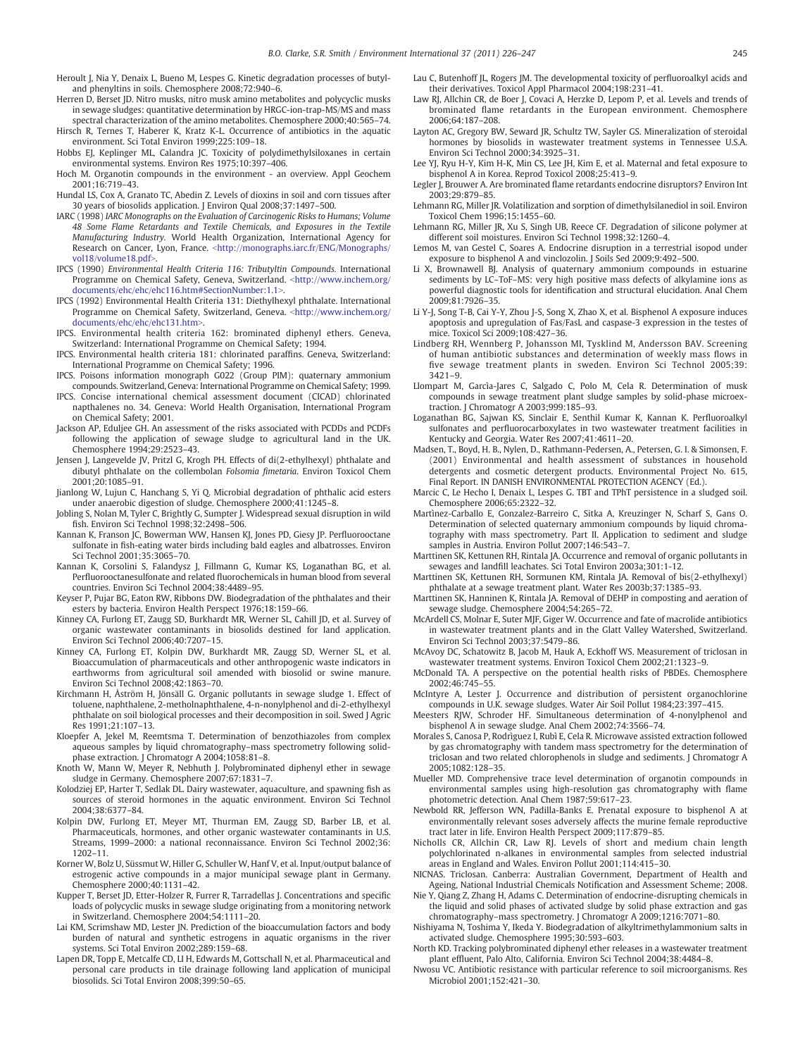- <span id="page-19-0"></span>Heroult J, Nia Y, Denaix L, Bueno M, Lespes G. Kinetic degradation processes of butyland phenyltins in soils. Chemosphere 2008;72:940–6.
- Herren D, Berset JD. Nitro musks, nitro musk amino metabolites and polycyclic musks in sewage sludges: quantitative determination by HRGC-ion-trap-MS/MS and mass spectral characterization of the amino metabolites. Chemosphere 2000;40:565–74.
- Hirsch R, Ternes T, Haberer K, Kratz K-L. Occurrence of antibiotics in the aquatic environment. Sci Total Environ 1999;225:109–18.
- Hobbs EJ, Keplinger ML, Calandra JC. Toxicity of polydimethylsiloxanes in certain environmental systems. Environ Res 1975;10:397–406.
- Hoch M. Organotin compounds in the environment an overview. Appl Geochem  $2001:16:719-43$
- Hundal LS, Cox A, Granato TC, Abedin Z. Levels of dioxins in soil and corn tissues after 30 years of biosolids application. J Environ Qual 2008;37:1497–500.
- IARC (1998) IARC Monographs on the Evaluation of Carcinogenic Risks to Humans; Volume 48 Some Flame Retardants and Textile Chemicals, and Exposures in the Textile Manufacturing Industry. World Health Organization, International Agency for Research on Cancer, Lyon, France. <[http://monographs.iarc.fr/ENG/Monographs/](http://monographs.iarc.fr/ENG/Monographs/vol18/volume18.pdf) [vol18/volume18.pdf](http://monographs.iarc.fr/ENG/Monographs/vol18/volume18.pdf)>
- IPCS (1990) Environmental Health Criteria 116: Tributyltin Compounds. International Programme on Chemical Safety, Geneva, Switzerland. <[http://www.inchem.org/](http://www.inchem.org/documents/ehc/ehc/ehc116.htm#SectionNumber:1.1) [documents/ehc/ehc/ehc116.htm#SectionNumber:1.1](http://www.inchem.org/documents/ehc/ehc/ehc116.htm#SectionNumber:1.1)>.
- IPCS (1992) Environmental Health Criteria 131: Diethylhexyl phthalate. International Programme on Chemical Safety, Switzerland, Geneva. <[http://www.inchem.org/](http://www.inchem.org/documents/ehc/ehc/ehc131.htm) [documents/ehc/ehc/ehc131.htm](http://www.inchem.org/documents/ehc/ehc/ehc131.htm)>
- IPCS. Environmental health criteria 162: brominated diphenyl ethers. Geneva, Switzerland: International Programme on Chemical Safety; 1994.
- IPCS. Environmental health criteria 181: chlorinated paraffins. Geneva, Switzerland: International Programme on Chemical Safety; 1996.
- IPCS. Poisons information monograph G022 (Group PIM): quaternary ammonium compounds. Switzerland, Geneva: International Programme on Chemical Safety; 1999.
- IPCS. Concise international chemical assessment document (CICAD) chlorinated napthalenes no. 34. Geneva: World Health Organisation, International Program on Chemical Safety; 2001.
- Jackson AP, Eduljee GH. An assessment of the risks associated with PCDDs and PCDFs following the application of sewage sludge to agricultural land in the UK. Chemosphere 1994;29:2523–43.
- Jensen J, Langevelde JV, Pritzl G, Krogh PH. Effects of di(2-ethylhexyl) phthalate and dibutyl phthalate on the collembolan Folsomia fimetaria. Environ Toxicol Chem 2001;20:1085–91.
- Jianlong W, Lujun C, Hanchang S, Yi Q. Microbial degradation of phthalic acid esters under anaerobic digestion of sludge. Chemosphere 2000;41:1245–8.
- Jobling S, Nolan M, Tyler C, Brightly G, Sumpter J. Widespread sexual disruption in wild fish. Environ Sci Technol 1998;32:2498–506.
- Kannan K, Franson JC, Bowerman WW, Hansen KJ, Jones PD, Giesy JP. Perfluorooctane sulfonate in fish-eating water birds including bald eagles and albatrosses. Environ Sci Technol 2001;35:3065–70.
- Kannan K, Corsolini S, Falandysz J, Fillmann G, Kumar KS, Loganathan BG, et al. Perfluorooctanesulfonate and related fluorochemicals in human blood from several countries. Environ Sci Technol 2004;38:4489–95.
- Keyser P, Pujar BG, Eaton RW, Ribbons DW. Biodegradation of the phthalates and their esters by bacteria. Environ Health Perspect 1976;18:159–66.
- Kinney CA, Furlong ET, Zaugg SD, Burkhardt MR, Werner SL, Cahill JD, et al. Survey of organic wastewater contaminants in biosolids destined for land application. Environ Sci Technol 2006;40:7207–15.
- Kinney CA, Furlong ET, Kolpin DW, Burkhardt MR, Zaugg SD, Werner SL, et al. Bioaccumulation of pharmaceuticals and other anthropogenic waste indicators in earthworms from agricultural soil amended with biosolid or swine manure. Environ Sci Technol 2008;42:1863–70.
- Kirchmann H, Åström H, Jönsäll G. Organic pollutants in sewage sludge 1. Effect of toluene, naphthalene, 2-metholnaphthalene, 4-n-nonylphenol and di-2-ethylhexyl phthalate on soil biological processes and their decomposition in soil. Swed J Agric Res 1991;21:107–13.
- Kloepfer A, Jekel M, Reemtsma T. Determination of benzothiazoles from complex aqueous samples by liquid chromatography–mass spectrometry following solidphase extraction. J Chromatogr A 2004;1058:81–8.
- Knoth W, Mann W, Meyer R, Nebhuth J. Polybrominated diphenyl ether in sewage sludge in Germany. Chemosphere 2007;67:1831–7.
- Kolodziej EP, Harter T, Sedlak DL. Dairy wastewater, aquaculture, and spawning fish as sources of steroid hormones in the aquatic environment. Environ Sci Technol 2004;38:6377–84.
- Kolpin DW, Furlong ET, Meyer MT, Thurman EM, Zaugg SD, Barber LB, et al. Pharmaceuticals, hormones, and other organic wastewater contaminants in U.S. Streams, 1999–2000: a national reconnaissance. Environ Sci Technol 2002;36: 1202–11.
- Korner W, Bolz U, Süssmut W, Hiller G, Schuller W, Hanf V, et al. Input/output balance of estrogenic active compounds in a major municipal sewage plant in Germany. Chemosphere 2000;40:1131–42.
- Kupper T, Berset JD, Etter-Holzer R, Furrer R, Tarradellas J. Concentrations and specific loads of polycyclic musks in sewage sludge originating from a monitoring network in Switzerland. Chemosphere 2004;54:1111–20.
- Lai KM, Scrimshaw MD, Lester JN. Prediction of the bioaccumulation factors and body burden of natural and synthetic estrogens in aquatic organisms in the river systems. Sci Total Environ 2002;289:159–68.
- Lapen DR, Topp E, Metcalfe CD, LI H, Edwards M, Gottschall N, et al. Pharmaceutical and personal care products in tile drainage following land application of municipal biosolids. Sci Total Environ 2008;399:50–65.
- Lau C, Butenhoff JL, Rogers JM. The developmental toxicity of perfluoroalkyl acids and their derivatives. Toxicol Appl Pharmacol 2004;198:231–41.
- Law RJ, Allchin CR, de Boer J, Covaci A, Herzke D, Lepom P, et al. Levels and trends of brominated flame retardants in the European environment. Chemosphere 2006;64:187–208.
- Layton AC, Gregory BW, Seward JR, Schultz TW, Sayler GS. Mineralization of steroidal hormones by biosolids in wastewater treatment systems in Tennessee U.S.A. Environ Sci Technol 2000;34:3925–31.
- Lee YJ, Ryu H-Y, Kim H-K, Min CS, Lee JH, Kim E, et al. Maternal and fetal exposure to bisphenol A in Korea. Reprod Toxicol 2008;25:413–9.
- Legler J, Brouwer A. Are brominated flame retardants endocrine disruptors? Environ Int 2003;29:879–85.
- Lehmann RG, Miller JR. Volatilization and sorption of dimethylsilanediol in soil. Environ Toxicol Chem 1996;15:1455–60.
- Lehmann RG, Miller JR, Xu S, Singh UB, Reece CF. Degradation of silicone polymer at different soil moistures. Environ Sci Technol 1998;32:1260–4.
- Lemos M, van Gestel C, Soares A. Endocrine disruption in a terrestrial isopod under exposure to bisphenol A and vinclozolin. J Soils Sed 2009;9:492–500.
- Li X, Brownawell BJ. Analysis of quaternary ammonium compounds in estuarine sediments by LC–ToF–MS: very high positive mass defects of alkylamine ions as powerful diagnostic tools for identification and structural elucidation. Anal Chem 2009;81:7926–35.
- Li Y-J, Song T-B, Cai Y-Y, Zhou J-S, Song X, Zhao X, et al. Bisphenol A exposure induces apoptosis and upregulation of Fas/FasL and caspase-3 expression in the testes of mice. Toxicol Sci 2009;108:427–36.
- Lindberg RH, Wennberg P, Johansson MI, Tysklind M, Andersson BAV. Screening of human antibiotic substances and determination of weekly mass flows in five sewage treatment plants in sweden. Environ Sci Technol 2005;39: 3421–9.
- Llompart M, Garcìa-Jares C, Salgado C, Polo M, Cela R. Determination of musk compounds in sewage treatment plant sludge samples by solid-phase microextraction. J Chromatogr A 2003;999:185–93.
- Loganathan BG, Sajwan KS, Sinclair E, Senthil Kumar K, Kannan K. Perfluoroalkyl sulfonates and perfluorocarboxylates in two wastewater treatment facilities in Kentucky and Georgia. Water Res 2007;41:4611–20.
- Madsen, T., Boyd, H. B., Nylen, D., Rathmann-Pedersen, A., Petersen, G. I. & Simonsen, F. (2001) Environmental and health assessment of substances in household detergents and cosmetic detergent products. Environmental Project No. 615, Final Report. IN DANISH ENVIRONMENTAL PROTECTION AGENCY (Ed.).
- Marcic C, Le Hecho I, Denaix L, Lespes G. TBT and TPhT persistence in a sludged soil. Chemosphere 2006;65:2322–32.
- Martìnez-Carballo E, Gonzalez-Barreiro C, Sitka A, Kreuzinger N, Scharf S, Gans O. Determination of selected quaternary ammonium compounds by liquid chromatography with mass spectrometry. Part II. Application to sediment and sludge samples in Austria. Environ Pollut 2007;146:543–7.
- Marttinen SK, Kettunen RH, Rintala JA. Occurrence and removal of organic pollutants in sewages and landfill leachates. Sci Total Environ 2003a;301:1-12.
- Marttinen SK, Kettunen RH, Sormunen KM, Rintala JA. Removal of bis(2-ethylhexyl) phthalate at a sewage treatment plant. Water Res 2003b;37:1385–93.
- Marttinen SK, Hanninen K, Rintala JA. Removal of DEHP in composting and aeration of sewage sludge. Chemosphere 2004;54:265-72.
- McArdell CS, Molnar E, Suter MJF, Giger W. Occurrence and fate of macrolide antibiotics in wastewater treatment plants and in the Glatt Valley Watershed, Switzerland. Environ Sci Technol 2003;37:5479–86.
- McAvoy DC, Schatowitz B, Jacob M, Hauk A, Eckhoff WS. Measurement of triclosan in wastewater treatment systems. Environ Toxicol Chem 2002;21:1323–9.
- McDonald TA. A perspective on the potential health risks of PBDEs. Chemosphere 2002;46:745–55.
- McIntyre A, Lester J. Occurrence and distribution of persistent organochlorine compounds in U.K. sewage sludges. Water Air Soil Pollut 1984;23:397–415.
- Meesters RJW, Schroder HF. Simultaneous determination of 4-nonylphenol and bisphenol A in sewage sludge. Anal Chem 2002;74:3566–74.
- Morales S, Canosa P, Rodrìguez I, Rubì E, Cela R. Microwave assisted extraction followed by gas chromatography with tandem mass spectrometry for the determination of triclosan and two related chlorophenols in sludge and sediments. J Chromatogr A 2005;1082:128–35.
- Mueller MD. Comprehensive trace level determination of organotin compounds in environmental samples using high-resolution gas chromatography with flame photometric detection. Anal Chem 1987;59:617–23.
- Newbold RR, Jefferson WN, Padilla-Banks E. Prenatal exposure to bisphenol A at environmentally relevant soses adversely affects the murine female reproductive tract later in life. Environ Health Perspect 2009;117:879–85.
- Nicholls CR, Allchin CR, Law RJ. Levels of short and medium chain length polychlorinated n-alkanes in environmental samples from selected industrial areas in England and Wales. Environ Pollut 2001;114:415–30.
- NICNAS. Triclosan. Canberra: Australian Government, Department of Health and Ageing, National Industrial Chemicals Notification and Assessment Scheme; 2008.
- Nie Y, Qiang Z, Zhang H, Adams C. Determination of endocrine-disrupting chemicals in the liquid and solid phases of activated sludge by solid phase extraction and gas
- chromatography–mass spectrometry. J Chromatogr A 2009;1216:7071–80. Nishiyama N, Toshima Y, Ikeda Y. Biodegradation of alkyltrimethylammonium salts in activated sludge. Chemosphere 1995;30:593–603.
- North KD. Tracking polybrominated diphenyl ether releases in a wastewater treatment plant effluent, Palo Alto, California. Environ Sci Technol 2004;38:4484–8.
- Nwosu VC. Antibiotic resistance with particular reference to soil microorganisms. Res Microbiol 2001;152:421–30.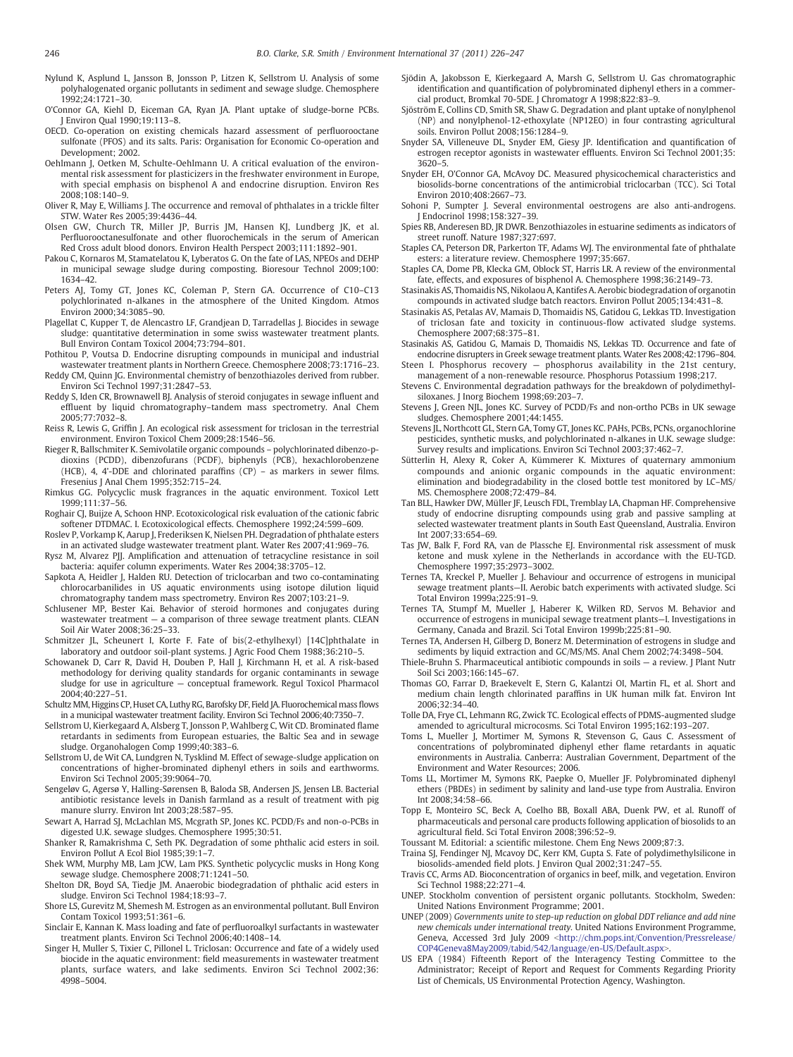<span id="page-20-0"></span>Nylund K, Asplund L, Jansson B, Jonsson P, Litzen K, Sellstrom U. Analysis of some polyhalogenated organic pollutants in sediment and sewage sludge. Chemosphere 1992;24:1721–30.

O'Connor GA, Kiehl D, Eiceman GA, Ryan JA. Plant uptake of sludge-borne PCBs. J Environ Qual 1990;19:113–8.

OECD. Co-operation on existing chemicals hazard assessment of perfluorooctane sulfonate (PFOS) and its salts. Paris: Organisation for Economic Co-operation and Development; 2002.

- Oehlmann J, Oetken M, Schulte-Oehlmann U. A critical evaluation of the environmental risk assessment for plasticizers in the freshwater environment in Europe, with special emphasis on bisphenol A and endocrine disruption. Environ Res  $2008:108:140-9$
- Oliver R, May E, Williams J. The occurrence and removal of phthalates in a trickle filter STW. Water Res 2005;39:4436–44.
- Olsen GW, Church TR, Miller JP, Burris JM, Hansen KJ, Lundberg JK, et al. Perfluorooctanesulfonate and other fluorochemicals in the serum of American Red Cross adult blood donors. Environ Health Perspect 2003;111:1892–901.
- Pakou C, Kornaros M, Stamatelatou K, Lyberatos G. On the fate of LAS, NPEOs and DEHP in municipal sewage sludge during composting. Bioresour Technol 2009;100: 1634–42.
- Peters AJ, Tomy GT, Jones KC, Coleman P, Stern GA. Occurrence of C10–C13 polychlorinated n-alkanes in the atmosphere of the United Kingdom. Atmos Environ 2000;34:3085–90.
- Plagellat C, Kupper T, de Alencastro LF, Grandjean D, Tarradellas J. Biocides in sewage sludge: quantitative determination in some swiss wastewater treatment plants. Bull Environ Contam Toxicol 2004;73:794–801.
- Pothitou P, Voutsa D. Endocrine disrupting compounds in municipal and industrial wastewater treatment plants in Northern Greece. Chemosphere 2008;73:1716–23.

Reddy CM, Quinn JG. Environmental chemistry of benzothiazoles derived from rubber. Environ Sci Technol 1997;31:2847–53.

- Reddy S, Iden CR, Brownawell BJ. Analysis of steroid conjugates in sewage influent and effluent by liquid chromatography–tandem mass spectrometry. Anal Chem 2005;77:7032–8.
- Reiss R, Lewis G, Griffin J. An ecological risk assessment for triclosan in the terrestrial environment. Environ Toxicol Chem 2009;28:1546–56.
- Rieger R, Ballschmiter K. Semivolatile organic compounds polychlorinated dibenzo-pdioxins (PCDD), dibenzofurans (PCDF), biphenyls (PCB), hexachlorobenzene (HCB), 4, 4'-DDE and chlorinated paraffins (CP) – as markers in sewer films. Fresenius J Anal Chem 1995;352:715–24.
- Rimkus GG. Polycyclic musk fragrances in the aquatic environment. Toxicol Lett 1999;111:37–56.
- Roghair CJ, Buijze A, Schoon HNP. Ecotoxicological risk evaluation of the cationic fabric softener DTDMAC. I. Ecotoxicological effects. Chemosphere 1992;24:599–609.
- Roslev P, Vorkamp K, Aarup J, Frederiksen K, Nielsen PH. Degradation of phthalate esters in an activated sludge wastewater treatment plant. Water Res 2007;41:969–76.
- Rysz M, Alvarez PJJ. Amplification and attenuation of tetracycline resistance in soil bacteria: aquifer column experiments. Water Res 2004;38:3705–12.
- Sapkota A, Heidler J, Halden RU. Detection of triclocarban and two co-contaminating chlorocarbanilides in US aquatic environments using isotope dilution liquid chromatography tandem mass spectrometry. Environ Res 2007;103:21–9.
- Schlusener MP, Bester Kai. Behavior of steroid hormones and conjugates during wastewater treatment — a comparison of three sewage treatment plants. CLEAN Soil Air Water 2008;36:25–33.
- Schmitzer JL, Scheunert I, Korte F. Fate of bis(2-ethylhexyl) [14C]phthalate in laboratory and outdoor soil-plant systems. J Agric Food Chem 1988;36:210-5.
- Schowanek D, Carr R, David H, Douben P, Hall J, Kirchmann H, et al. A risk-based methodology for deriving quality standards for organic contaminants in sewage sludge for use in agriculture — conceptual framework. Regul Toxicol Pharmacol 2004;40:227–51.
- Schultz MM, Higgins CP, Huset CA, Luthy RG, Barofsky DF, Field JA. Fluorochemical mass flows in a municipal wastewater treatment facility. Environ Sci Technol 2006;40:7350–7.
- Sellstrom U, Kierkegaard A, Alsberg T, Jonsson P, Wahlberg C, Wit CD. Brominated flame retardants in sediments from European estuaries, the Baltic Sea and in sewage sludge. Organohalogen Comp 1999;40:383–6.
- Sellstrom U, de Wit CA, Lundgren N, Tysklind M. Effect of sewage-sludge application on concentrations of higher-brominated diphenyl ethers in soils and earthworms. Environ Sci Technol 2005;39:9064–70.
- Sengeløv G, Agersø Y, Halling-Sørensen B, Baloda SB, Andersen JS, Jensen LB. Bacterial antibiotic resistance levels in Danish farmland as a result of treatment with pig manure slurry. Environ Int 2003;28:587–95.
- Sewart A, Harrad SJ, McLachlan MS, Mcgrath SP, Jones KC. PCDD/Fs and non-o-PCBs in digested U.K. sewage sludges. Chemosphere 1995;30:51.
- Shanker R, Ramakrishma C, Seth PK. Degradation of some phthalic acid esters in soil. Environ Pollut A Ecol Biol 1985;39:1–7.
- Shek WM, Murphy MB, Lam JCW, Lam PKS. Synthetic polycyclic musks in Hong Kong sewage sludge. Chemosphere 2008;71:1241–50.
- Shelton DR, Boyd SA, Tiedje JM. Anaerobic biodegradation of phthalic acid esters in sludge. Environ Sci Technol 1984;18:93–7.
- Shore LS, Gurevitz M, Shemesh M. Estrogen as an environmental pollutant. Bull Environ Contam Toxicol 1993;51:361–6.
- Sinclair E, Kannan K. Mass loading and fate of perfluoroalkyl surfactants in wastewater treatment plants. Environ Sci Technol 2006;40:1408–14.
- Singer H, Muller S, Tixier C, Pillonel L. Triclosan: Occurrence and fate of a widely used biocide in the aquatic environment: field measurements in wastewater treatment plants, surface waters, and lake sediments. Environ Sci Technol 2002;36: 4998–5004.
- Sjödin A, Jakobsson E, Kierkegaard A, Marsh G, Sellstrom U. Gas chromatographic identification and quantification of polybrominated diphenyl ethers in a commercial product, Bromkal 70-5DE. J Chromatogr A 1998;822:83–9.
- Sjöström E, Collins CD, Smith SR, Shaw G. Degradation and plant uptake of nonylphenol (NP) and nonylphenol-12-ethoxylate (NP12EO) in four contrasting agricultural soils. Environ Pollut 2008;156:1284–9.
- Snyder SA, Villeneuve DL, Snyder EM, Giesy JP. Identification and quantification of estrogen receptor agonists in wastewater effluents. Environ Sci Technol 2001;35: 3620–5.
- Snyder EH, O'Connor GA, McAvoy DC. Measured physicochemical characteristics and biosolids-borne concentrations of the antimicrobial triclocarban (TCC). Sci Total Environ 2010;408:2667–73.
- Sohoni P, Sumpter J. Several environmental oestrogens are also anti-androgens. J Endocrinol 1998;158:327–39.
- Spies RB, Anderesen BD, JR DWR. Benzothiazoles in estuarine sediments as indicators of street runoff. Nature 1987:327:697
- Staples CA, Peterson DR, Parkerton TF, Adams WJ. The environmental fate of phthalate esters: a literature review. Chemosphere 1997;35:667.
- Staples CA, Dome PB, Klecka GM, Oblock ST, Harris LR. A review of the environmental fate, effects, and exposures of bisphenol A. Chemosphere 1998;36:2149–73.
- Stasinakis AS, Thomaidis NS, Nikolaou A, Kantifes A. Aerobic biodegradation of organotin compounds in activated sludge batch reactors. Environ Pollut 2005;134:431–8.
- Stasinakis AS, Petalas AV, Mamais D, Thomaidis NS, Gatidou G, Lekkas TD. Investigation of triclosan fate and toxicity in continuous-flow activated sludge systems. Chemosphere 2007;68:375–81.
- Stasinakis AS, Gatidou G, Mamais D, Thomaidis NS, Lekkas TD. Occurrence and fate of endocrine disrupters in Greek sewage treatment plants. Water Res 2008;42:1796–804.
- Steen I. Phosphorus recovery phosphorus availability in the 21st century, management of a non-renewable resource. Phosphorus Potassium 1998;217
- Stevens C. Environmental degradation pathways for the breakdown of polydimethylsiloxanes. J Inorg Biochem 1998;69:203–7.
- Stevens J, Green NJL, Jones KC. Survey of PCDD/Fs and non-ortho PCBs in UK sewage sludges. Chemosphere 2001;44:1455.
- Stevens JL, Northcott GL, Stern GA, Tomy GT, Jones KC. PAHs, PCBs, PCNs, organochlorine pesticides, synthetic musks, and polychlorinated n-alkanes in U.K. sewage sludge: Survey results and implications. Environ Sci Technol 2003;37:462–7.
- Sütterlin H, Alexy R, Coker A, Kümmerer K. Mixtures of quaternary ammonium compounds and anionic organic compounds in the aquatic environment: elimination and biodegradability in the closed bottle test monitored by LC–MS/ MS. Chemosphere 2008;72:479–84.
- Tan BLL, Hawker DW, Müller JF, Leusch FDL, Tremblay LA, Chapman HF. Comprehensive study of endocrine disrupting compounds using grab and passive sampling at selected wastewater treatment plants in South East Queensland, Australia. Environ Int 2007;33:654–69.
- Tas JW, Balk F, Ford RA, van de Plassche EJ. Environmental risk assessment of musk ketone and musk xylene in the Netherlands in accordance with the EU-TGD. Chemosphere 1997;35:2973–3002.
- Ternes TA, Kreckel P, Mueller J. Behaviour and occurrence of estrogens in municipal sewage treatment plants—II. Aerobic batch experiments with activated sludge. Sci Total Environ 1999a;225:91–9.
- Ternes TA, Stumpf M, Mueller J, Haberer K, Wilken RD, Servos M. Behavior and occurrence of estrogens in municipal sewage treatment plants—I. Investigations in Germany, Canada and Brazil. Sci Total Environ 1999b;225:81–90.
- Ternes TA, Andersen H, Gilberg D, Bonerz M. Determination of estrogens in sludge and sediments by liquid extraction and GC/MS/MS. Anal Chem 2002;74:3498–504.
- Thiele-Bruhn S. Pharmaceutical antibiotic compounds in soils a review. J Plant Nutr Soil Sci 2003;166:145–67.
- Thomas GO, Farrar D, Braekevelt E, Stern G, Kalantzi OI, Martin FL, et al. Short and medium chain length chlorinated paraffins in UK human milk fat. Environ Int 2006;32:34–40.
- Tolle DA, Frye CL, Lehmann RG, Zwick TC. Ecological effects of PDMS-augmented sludge amended to agricultural microcosms. Sci Total Environ 1995;162:193–207.
- Toms L, Mueller J, Mortimer M, Symons R, Stevenson G, Gaus C. Assessment of concentrations of polybrominated diphenyl ether flame retardants in aquatic environments in Australia. Canberra: Australian Government, Department of the Environment and Water Resources; 2006.
- Toms LL, Mortimer M, Symons RK, Paepke O, Mueller JF. Polybrominated diphenyl ethers (PBDEs) in sediment by salinity and land-use type from Australia. Environ Int 2008;34:58–66.
- Topp E, Monteiro SC, Beck A, Coelho BB, Boxall ABA, Duenk PW, et al. Runoff of pharmaceuticals and personal care products following application of biosolids to an agricultural field. Sci Total Environ 2008;396:52–9.
- Toussant M. Editorial: a scientific milestone. Chem Eng News 2009;87:3.
- Traina SJ, Fendinger NJ, Mcavoy DC, Kerr KM, Gupta S. Fate of polydimethylsilicone in biosolids-amended field plots. J Environ Qual 2002;31:247–55.
- Travis CC, Arms AD. Bioconcentration of organics in beef, milk, and vegetation. Environ Sci Technol 1988;22:271–4.
- UNEP. Stockholm convention of persistent organic pollutants. Stockholm, Sweden: United Nations Environment Programme; 2001.
- UNEP (2009) Governments unite to step-up reduction on global DDT reliance and add nine new chemicals under international treaty. United Nations Environment Programme, Geneva, Accessed 3rd July 2009 <[http://chm.pops.int/Convention/Pressrelease/](http://chm.pops.int/Convention/Pressrelease/COP4Geneva8May2009/tabid/542/language/en-US/Default.aspx) [COP4Geneva8May2009/tabid/542/language/en-US/Default.aspx](http://chm.pops.int/Convention/Pressrelease/COP4Geneva8May2009/tabid/542/language/en-US/Default.aspx)N. US EPA (1984) Fifteenth Report of the Interagency Testing Committee to the
- Administrator; Receipt of Report and Request for Comments Regarding Priority List of Chemicals, US Environmental Protection Agency, Washington.